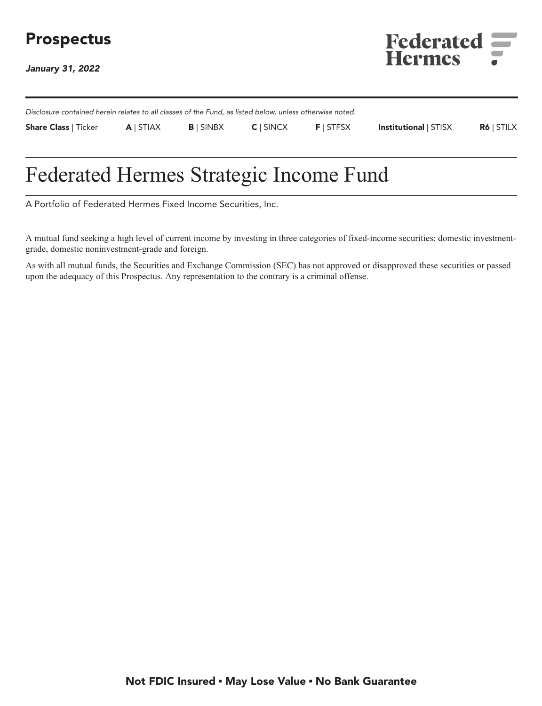# **Prospectus**

**January 31, 2022**



**Disclosure contained herein relates to all classes of the Fund, as listed below, unless otherwise noted. Share Class | Ticker A | STIAX B | SINBX C | SINCX F | STFSX Institutional | STISX R6 | STILX**

# **Federated Hermes Strategic Income Fund**

**A Portfolio of Federated Hermes Fixed Income Securities, Inc.**

**A mutual fund seeking a high level of current income by investing in three categories of fixed-income securities: domestic investmentgrade, domestic noninvestment-grade and foreign.**

**As with all mutual funds, the Securities and Exchange Commission (SEC) has not approved or disapproved these securities or passed upon the adequacy of this Prospectus. Any representation to the contrary is a criminal offense.**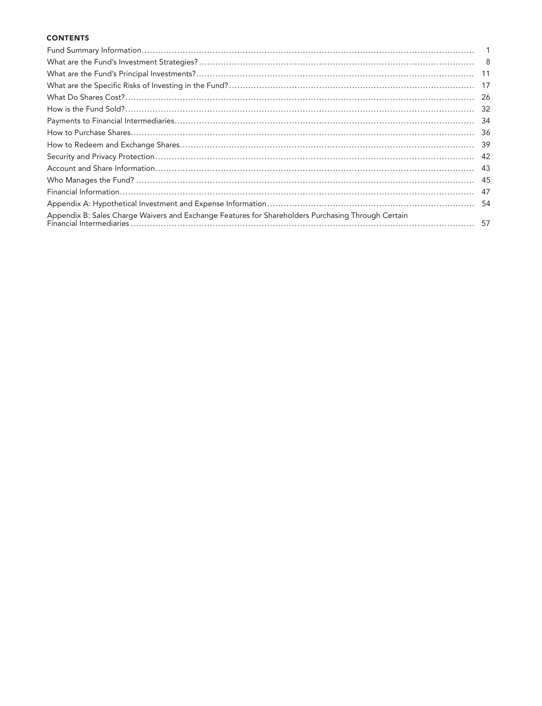## **CONTENTS**

|                                                                                                    | -11 |
|----------------------------------------------------------------------------------------------------|-----|
|                                                                                                    | -17 |
|                                                                                                    | -26 |
|                                                                                                    | -32 |
|                                                                                                    | -34 |
|                                                                                                    | -36 |
|                                                                                                    | 39  |
|                                                                                                    | 42  |
|                                                                                                    | 43  |
|                                                                                                    | 45  |
|                                                                                                    | 47  |
|                                                                                                    | -54 |
| Appendix B: Sales Charge Waivers and Exchange Features for Shareholders Purchasing Through Certain |     |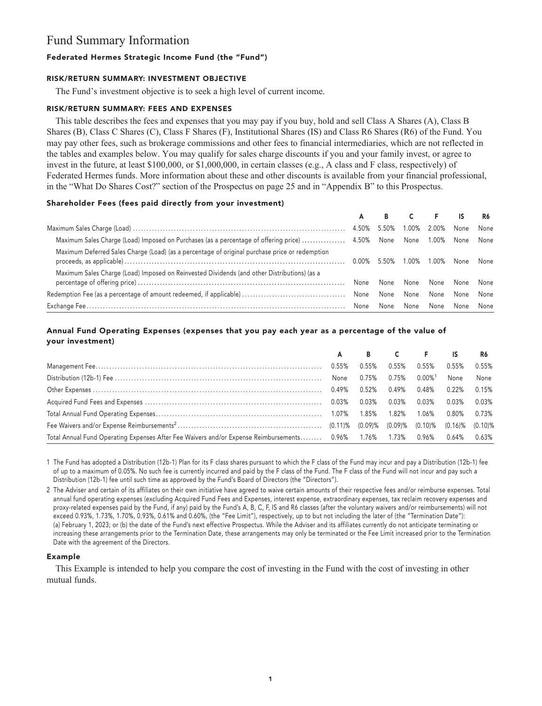## **Fund Summary Information**

## **Federated Hermes Strategic Income Fund (the "Fund")**

## **RISK/RETURN SUMMARY: INVESTMENT OBJECTIVE**

**The Fund's investment objective is to seek a high level of current income.**

## **RISK/RETURN SUMMARY: FEES AND EXPENSES**

**This table describes the fees and expenses that you may pay if you buy, hold and sell Class A Shares (A), Class B Shares (B), Class C Shares (C), Class F Shares (F), Institutional Shares (IS) and Class R6 Shares (R6) of the Fund. You may pay other fees, such as brokerage commissions and other fees to financial intermediaries, which are not reflected in the tables and examples below. You may qualify for sales charge discounts if you and your family invest, or agree to invest in the future, at least \$100,000, or \$1,000,000, in certain classes (e.g., A class and F class, respectively) of Federated Hermes funds. More information about these and other discounts is available from your financial professional, in the "What Do Shares Cost?" section of the Prospectus on page 25 and in "Appendix B" to this Prospectus.**

## **Shareholder Fees (fees paid directly from your investment)**

|                                                                                                                            | A | B    |       | E.    | -IS       | R6   |
|----------------------------------------------------------------------------------------------------------------------------|---|------|-------|-------|-----------|------|
|                                                                                                                            |   |      | 1.00% | 2.00% | None      | None |
| Maximum Sales Charge (Load) Imposed on Purchases (as a percentage of offering price)  4.50% None None None 1.00% None None |   |      |       |       |           |      |
| Maximum Deferred Sales Charge (Load) (as a percentage of original purchase price or redemption                             |   |      | 1.00% | 1.00% | None None |      |
| Maximum Sales Charge (Load) Imposed on Reinvested Dividends (and other Distributions) (as a                                |   | None | None  | None  | None      | None |
|                                                                                                                            |   | None | None  | None  | None      | None |
|                                                                                                                            |   | None | None  | None  | None      | None |

## **Annual Fund Operating Expenses (expenses that you pay each year as a percentage of the value of your investment)**

|                                                                                                                    | A     |          | B C      | <b>E</b> IS           |                       | R6    |
|--------------------------------------------------------------------------------------------------------------------|-------|----------|----------|-----------------------|-----------------------|-------|
|                                                                                                                    | 0.55% | $0.55\%$ | 0.55%    | 0.55%                 | 0.55%                 | 0.55% |
|                                                                                                                    |       | 0.75%    | 0.75%    | $0.00\%$ <sup>1</sup> | None                  | None  |
|                                                                                                                    |       | $0.52\%$ | 0.49%    | 0.48%                 | 0.22%                 | 0.15% |
|                                                                                                                    |       | $0.03\%$ | $0.03\%$ | $0.03\%$              | 0.03%                 | 0.03% |
|                                                                                                                    |       |          |          | 1.06%                 | $0.80\%$              | 0.73% |
|                                                                                                                    |       |          |          |                       | $(0.16)$ % $(0.10)$ % |       |
| Total Annual Fund Operating Expenses After Fee Waivers and/or Expense Reimbursements 0.96% 1.76% 1.73% 0.96% 0.64% |       |          |          |                       |                       | 0.63% |

**1 The Fund has adopted a Distribution (12b-1) Plan for its F class shares pursuant to which the F class of the Fund may incur and pay a Distribution (12b-1) fee of up to a maximum of 0.05%. No such fee is currently incurred and paid by the F class of the Fund. The F class of the Fund will not incur and pay such a Distribution (12b-1) fee until such time as approved by the Fund's Board of Directors (the "Directors").**

**2 The Adviser and certain of its affiliates on their own initiative have agreed to waive certain amounts of their respective fees and/or reimburse expenses. Total annual fund operating expenses (excluding Acquired Fund Fees and Expenses, interest expense, extraordinary expenses, tax reclaim recovery expenses and proxy-related expenses paid by the Fund, if any) paid by the Fund's A, B, C, F, IS and R6 classes (after the voluntary waivers and/or reimbursements) will not exceed 0.93%, 1.73%, 1.70%, 0.93%, 0.61% and 0.60%, (the "Fee Limit"), respectively, up to but not including the later of (the "Termination Date"): (a) February 1, 2023; or (b) the date of the Fund's next effective Prospectus. While the Adviser and its affiliates currently do not anticipate terminating or increasing these arrangements prior to the Termination Date, these arrangements may only be terminated or the Fee Limit increased prior to the Termination Date with the agreement of the Directors.**

## **Example**

**This Example is intended to help you compare the cost of investing in the Fund with the cost of investing in other mutual funds.**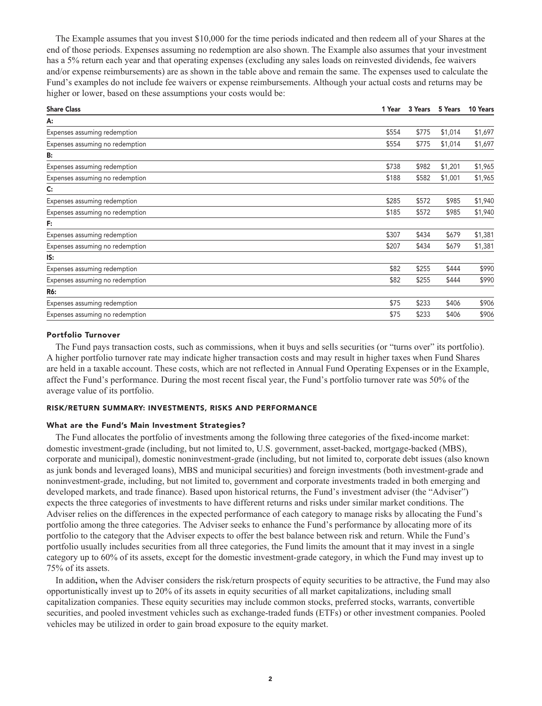**The Example assumes that you invest \$10,000 for the time periods indicated and then redeem all of your Shares at the end of those periods. Expenses assuming no redemption are also shown. The Example also assumes that your investment has a 5% return each year and that operating expenses (excluding any sales loads on reinvested dividends, fee waivers and/or expense reimbursements) are as shown in the table above and remain the same. The expenses used to calculate the Fund's examples do not include fee waivers or expense reimbursements. Although your actual costs and returns may be higher or lower, based on these assumptions your costs would be:**

| <b>Share Class</b>              | 1 Year | 3 Years | 5 Years | 10 Years |
|---------------------------------|--------|---------|---------|----------|
| A:                              |        |         |         |          |
| Expenses assuming redemption    | \$554  | \$775   | \$1,014 | \$1,697  |
| Expenses assuming no redemption | \$554  | \$775   | \$1,014 | \$1,697  |
| B:                              |        |         |         |          |
| Expenses assuming redemption    | \$738  | \$982   | \$1,201 | \$1,965  |
| Expenses assuming no redemption | \$188  | \$582   | \$1,001 | \$1,965  |
| $\mathsf{C}$ :                  |        |         |         |          |
| Expenses assuming redemption    | \$285  | \$572   | \$985   | \$1,940  |
| Expenses assuming no redemption | \$185  | \$572   | \$985   | \$1,940  |
| F:                              |        |         |         |          |
| Expenses assuming redemption    | \$307  | \$434   | \$679   | \$1,381  |
| Expenses assuming no redemption | \$207  | \$434   | \$679   | \$1,381  |
| IS:                             |        |         |         |          |
| Expenses assuming redemption    | \$82   | \$255   | \$444   | \$990    |
| Expenses assuming no redemption | \$82   | \$255   | \$444   | \$990    |
| R6:                             |        |         |         |          |
| Expenses assuming redemption    | \$75   | \$233   | \$406   | \$906    |
| Expenses assuming no redemption | \$75   | \$233   | \$406   | \$906    |

### **Portfolio Turnover**

**The Fund pays transaction costs, such as commissions, when it buys and sells securities (or "turns over" its portfolio). A higher portfolio turnover rate may indicate higher transaction costs and may result in higher taxes when Fund Shares are held in a taxable account. These costs, which are not reflected in Annual Fund Operating Expenses or in the Example, affect the Fund's performance. During the most recent fiscal year, the Fund's portfolio turnover rate was 50% of the average value of its portfolio.**

## **RISK/RETURN SUMMARY: INVESTMENTS, RISKS AND PERFORMANCE**

#### **What are the Fund's Main Investment Strategies?**

**The Fund allocates the portfolio of investments among the following three categories of the fixed-income market: domestic investment-grade (including, but not limited to, U.S. government, asset-backed, mortgage-backed (MBS), corporate and municipal), domestic noninvestment-grade (including, but not limited to, corporate debt issues (also known as junk bonds and leveraged loans), MBS and municipal securities) and foreign investments (both investment-grade and noninvestment-grade, including, but not limited to, government and corporate investments traded in both emerging and developed markets, and trade finance). Based upon historical returns, the Fund's investment adviser (the "Adviser") expects the three categories of investments to have different returns and risks under similar market conditions. The Adviser relies on the differences in the expected performance of each category to manage risks by allocating the Fund's portfolio among the three categories. The Adviser seeks to enhance the Fund's performance by allocating more of its portfolio to the category that the Adviser expects to offer the best balance between risk and return. While the Fund's portfolio usually includes securities from all three categories, the Fund limits the amount that it may invest in a single category up to 60% of its assets, except for the domestic investment-grade category, in which the Fund may invest up to 75% of its assets.**

**In addition, when the Adviser considers the risk/return prospects of equity securities to be attractive, the Fund may also opportunistically invest up to 20% of its assets in equity securities of all market capitalizations, including small capitalization companies. These equity securities may include common stocks, preferred stocks, warrants, convertible securities, and pooled investment vehicles such as exchange-traded funds (ETFs) or other investment companies. Pooled vehicles may be utilized in order to gain broad exposure to the equity market.**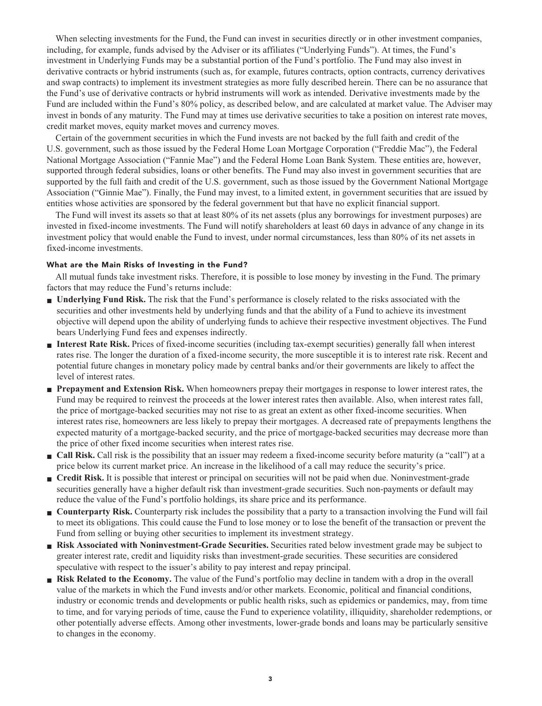**When selecting investments for the Fund, the Fund can invest in securities directly or in other investment companies, including, for example, funds advised by the Adviser or its affiliates ("Underlying Funds"). At times, the Fund's investment in Underlying Funds may be a substantial portion of the Fund's portfolio. The Fund may also invest in derivative contracts or hybrid instruments (such as, for example, futures contracts, option contracts, currency derivatives and swap contracts) to implement its investment strategies as more fully described herein. There can be no assurance that the Fund's use of derivative contracts or hybrid instruments will work as intended. Derivative investments made by the Fund are included within the Fund's 80% policy, as described below, and are calculated at market value. The Adviser may invest in bonds of any maturity. The Fund may at times use derivative securities to take a position on interest rate moves, credit market moves, equity market moves and currency moves.**

**Certain of the government securities in which the Fund invests are not backed by the full faith and credit of the U.S. government, such as those issued by the Federal Home Loan Mortgage Corporation ("Freddie Mac"), the Federal National Mortgage Association ("Fannie Mae") and the Federal Home Loan Bank System. These entities are, however, supported through federal subsidies, loans or other benefits. The Fund may also invest in government securities that are supported by the full faith and credit of the U.S. government, such as those issued by the Government National Mortgage Association ("Ginnie Mae"). Finally, the Fund may invest, to a limited extent, in government securities that are issued by entities whose activities are sponsored by the federal government but that have no explicit financial support.**

**The Fund will invest its assets so that at least 80% of its net assets (plus any borrowings for investment purposes) are invested in fixed-income investments. The Fund will notify shareholders at least 60 days in advance of any change in its investment policy that would enable the Fund to invest, under normal circumstances, less than 80% of its net assets in fixed-income investments.**

## **What are the Main Risks of Investing in the Fund?**

**All mutual funds take investment risks. Therefore, it is possible to lose money by investing in the Fund. The primary factors that may reduce the Fund's returns include:**

- **■ Underlying Fund Risk. The risk that the Fund's performance is closely related to the risks associated with the securities and other investments held by underlying funds and that the ability of a Fund to achieve its investment objective will depend upon the ability of underlying funds to achieve their respective investment objectives. The Fund bears Underlying Fund fees and expenses indirectly.**
- **■ Interest Rate Risk. Prices of fixed-income securities (including tax-exempt securities) generally fall when interest rates rise. The longer the duration of a fixed-income security, the more susceptible it is to interest rate risk. Recent and potential future changes in monetary policy made by central banks and/or their governments are likely to affect the level of interest rates.**
- **■ Prepayment and Extension Risk. When homeowners prepay their mortgages in response to lower interest rates, the Fund may be required to reinvest the proceeds at the lower interest rates then available. Also, when interest rates fall, the price of mortgage-backed securities may not rise to as great an extent as other fixed-income securities. When interest rates rise, homeowners are less likely to prepay their mortgages. A decreased rate of prepayments lengthens the expected maturity of a mortgage-backed security, and the price of mortgage-backed securities may decrease more than the price of other fixed income securities when interest rates rise.**
- **Call Risk.** Call risk is the possibility that an issuer may redeem a fixed-income security before maturity (a "call") at a **price below its current market price. An increase in the likelihood of a call may reduce the security's price.**
- **Credit Risk.** It is possible that interest or principal on securities will not be paid when due. Noninvestment-grade **securities generally have a higher default risk than investment-grade securities. Such non-payments or default may reduce the value of the Fund's portfolio holdings, its share price and its performance.**
- **Counterparty Risk.** Counterparty risk includes the possibility that a party to a transaction involving the Fund will fail **to meet its obligations. This could cause the Fund to lose money or to lose the benefit of the transaction or prevent the Fund from selling or buying other securities to implement its investment strategy.**
- **■ Risk Associated with Noninvestment-Grade Securities. Securities rated below investment grade may be subject to greater interest rate, credit and liquidity risks than investment-grade securities. These securities are considered speculative with respect to the issuer's ability to pay interest and repay principal.**
- **Risk Related to the Economy.** The value of the Fund's portfolio may decline in tandem with a drop in the overall **value of the markets in which the Fund invests and/or other markets. Economic, political and financial conditions, industry or economic trends and developments or public health risks, such as epidemics or pandemics, may, from time to time, and for varying periods of time, cause the Fund to experience volatility, illiquidity, shareholder redemptions, or other potentially adverse effects. Among other investments, lower-grade bonds and loans may be particularly sensitive to changes in the economy.**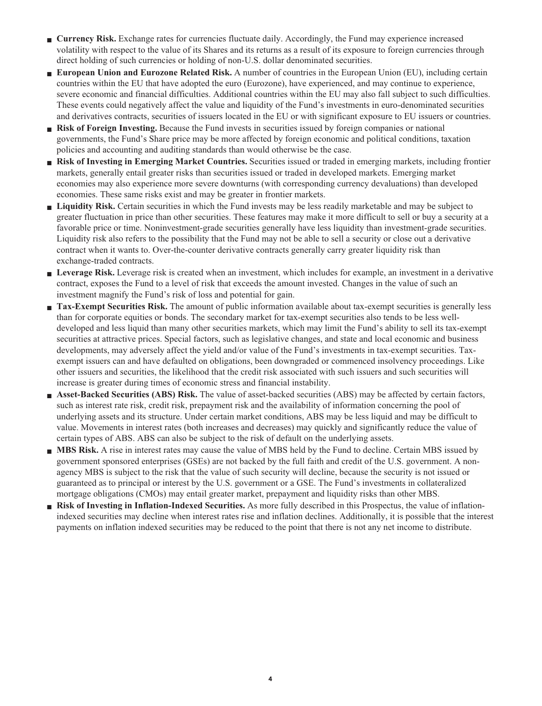- **■ Currency Risk. Exchange rates for currencies fluctuate daily. Accordingly, the Fund may experience increased volatility with respect to the value of its Shares and its returns as a result of its exposure to foreign currencies through direct holding of such currencies or holding of non-U.S. dollar denominated securities.**
- **■ European Union and Eurozone Related Risk. A number of countries in the European Union (EU), including certain countries within the EU that have adopted the euro (Eurozone), have experienced, and may continue to experience, severe economic and financial difficulties. Additional countries within the EU may also fall subject to such difficulties. These events could negatively affect the value and liquidity of the Fund's investments in euro-denominated securities and derivatives contracts, securities of issuers located in the EU or with significant exposure to EU issuers or countries.**
- **Risk of Foreign Investing.** Because the Fund invests in securities issued by foreign companies or national **governments, the Fund's Share price may be more affected by foreign economic and political conditions, taxation policies and accounting and auditing standards than would otherwise be the case.**
- **■ Risk of Investing in Emerging Market Countries. Securities issued or traded in emerging markets, including frontier markets, generally entail greater risks than securities issued or traded in developed markets. Emerging market economies may also experience more severe downturns (with corresponding currency devaluations) than developed economies. These same risks exist and may be greater in frontier markets.**
- **■ Liquidity Risk. Certain securities in which the Fund invests may be less readily marketable and may be subject to greater fluctuation in price than other securities. These features may make it more difficult to sell or buy a security at a favorable price or time. Noninvestment-grade securities generally have less liquidity than investment-grade securities. Liquidity risk also refers to the possibility that the Fund may not be able to sell a security or close out a derivative contract when it wants to. Over-the-counter derivative contracts generally carry greater liquidity risk than exchange-traded contracts.**
- **■ Leverage Risk. Leverage risk is created when an investment, which includes for example, an investment in a derivative contract, exposes the Fund to a level of risk that exceeds the amount invested. Changes in the value of such an investment magnify the Fund's risk of loss and potential for gain.**
- **Tax-Exempt Securities Risk.** The amount of public information available about tax-exempt securities is generally less **than for corporate equities or bonds. The secondary market for tax-exempt securities also tends to be less welldeveloped and less liquid than many other securities markets, which may limit the Fund's ability to sell its tax-exempt securities at attractive prices. Special factors, such as legislative changes, and state and local economic and business developments, may adversely affect the yield and/or value of the Fund's investments in tax-exempt securities. Taxexempt issuers can and have defaulted on obligations, been downgraded or commenced insolvency proceedings. Like other issuers and securities, the likelihood that the credit risk associated with such issuers and such securities will increase is greater during times of economic stress and financial instability.**
- **■ Asset-Backed Securities (ABS) Risk. The value of asset-backed securities (ABS) may be affected by certain factors, such as interest rate risk, credit risk, prepayment risk and the availability of information concerning the pool of underlying assets and its structure. Under certain market conditions, ABS may be less liquid and may be difficult to value. Movements in interest rates (both increases and decreases) may quickly and significantly reduce the value of certain types of ABS. ABS can also be subject to the risk of default on the underlying assets.**
- **MBS Risk.** A rise in interest rates may cause the value of MBS held by the Fund to decline. Certain MBS issued by **government sponsored enterprises (GSEs) are not backed by the full faith and credit of the U.S. government. A nonagency MBS is subject to the risk that the value of such security will decline, because the security is not issued or guaranteed as to principal or interest by the U.S. government or a GSE. The Fund's investments in collateralized mortgage obligations (CMOs) may entail greater market, prepayment and liquidity risks than other MBS.**
- **Risk of Investing in Inflation-Indexed Securities.** As more fully described in this Prospectus, the value of inflation**indexed securities may decline when interest rates rise and inflation declines. Additionally, it is possible that the interest payments on inflation indexed securities may be reduced to the point that there is not any net income to distribute.**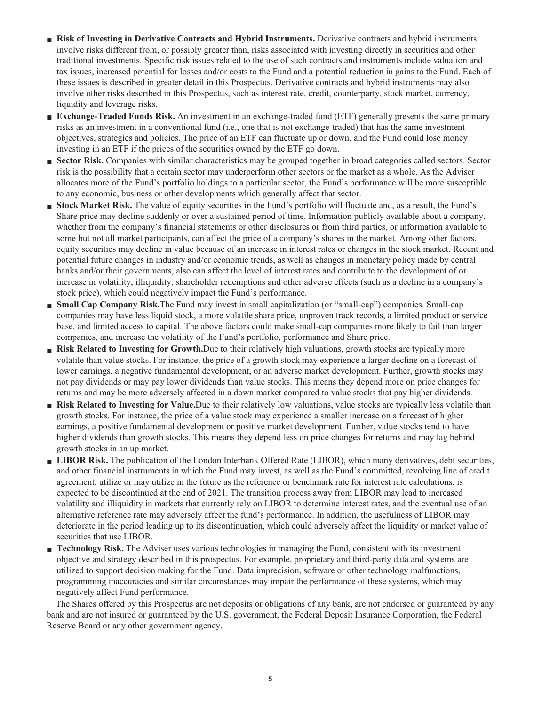- **■ Risk of Investing in Derivative Contracts and Hybrid Instruments. Derivative contracts and hybrid instruments involve risks different from, or possibly greater than, risks associated with investing directly in securities and other traditional investments. Specific risk issues related to the use of such contracts and instruments include valuation and tax issues, increased potential for losses and/or costs to the Fund and a potential reduction in gains to the Fund. Each of these issues is described in greater detail in this Prospectus. Derivative contracts and hybrid instruments may also involve other risks described in this Prospectus, such as interest rate, credit, counterparty, stock market, currency, liquidity and leverage risks.**
- **■ Exchange-Traded Funds Risk. An investment in an exchange-traded fund (ETF) generally presents the same primary risks as an investment in a conventional fund (i.e., one that is not exchange-traded) that has the same investment objectives, strategies and policies. The price of an ETF can fluctuate up or down, and the Fund could lose money investing in an ETF if the prices of the securities owned by the ETF go down.**
- **■ Sector Risk. Companies with similar characteristics may be grouped together in broad categories called sectors. Sector risk is the possibility that a certain sector may underperform other sectors or the market as a whole. As the Adviser allocates more of the Fund's portfolio holdings to a particular sector, the Fund's performance will be more susceptible to any economic, business or other developments which generally affect that sector.**
- **■ Stock Market Risk. The value of equity securities in the Fund's portfolio will fluctuate and, as a result, the Fund's Share price may decline suddenly or over a sustained period of time. Information publicly available about a company, whether from the company's financial statements or other disclosures or from third parties, or information available to some but not all market participants, can affect the price of a company's shares in the market. Among other factors, equity securities may decline in value because of an increase in interest rates or changes in the stock market. Recent and potential future changes in industry and/or economic trends, as well as changes in monetary policy made by central banks and/or their governments, also can affect the level of interest rates and contribute to the development of or increase in volatility, illiquidity, shareholder redemptions and other adverse effects (such as a decline in a company's stock price), which could negatively impact the Fund's performance.**
- **■ Small Cap Company Risk.The Fund may invest in small capitalization (or "small-cap") companies. Small-cap companies may have less liquid stock, a more volatile share price, unproven track records, a limited product or service base, and limited access to capital. The above factors could make small-cap companies more likely to fail than larger companies, and increase the volatility of the Fund's portfolio, performance and Share price.**
- **■ Risk Related to Investing for Growth.Due to their relatively high valuations, growth stocks are typically more volatile than value stocks. For instance, the price of a growth stock may experience a larger decline on a forecast of lower earnings, a negative fundamental development, or an adverse market development. Further, growth stocks may not pay dividends or may pay lower dividends than value stocks. This means they depend more on price changes for returns and may be more adversely affected in a down market compared to value stocks that pay higher dividends.**
- **■ Risk Related to Investing for Value.Due to their relatively low valuations, value stocks are typically less volatile than growth stocks. For instance, the price of a value stock may experience a smaller increase on a forecast of higher earnings, a positive fundamental development or positive market development. Further, value stocks tend to have higher dividends than growth stocks. This means they depend less on price changes for returns and may lag behind growth stocks in an up market.**
- **■ LIBOR Risk. The publication of the London Interbank Offered Rate (LIBOR), which many derivatives, debt securities, and other financial instruments in which the Fund may invest, as well as the Fund's committed, revolving line of credit agreement, utilize or may utilize in the future as the reference or benchmark rate for interest rate calculations, is expected to be discontinued at the end of 2021. The transition process away from LIBOR may lead to increased volatility and illiquidity in markets that currently rely on LIBOR to determine interest rates, and the eventual use of an alternative reference rate may adversely affect the fund's performance. In addition, the usefulness of LIBOR may deteriorate in the period leading up to its discontinuation, which could adversely affect the liquidity or market value of securities that use LIBOR.**
- **■ Technology Risk. The Adviser uses various technologies in managing the Fund, consistent with its investment objective and strategy described in this prospectus. For example, proprietary and third-party data and systems are utilized to support decision making for the Fund. Data imprecision, software or other technology malfunctions, programming inaccuracies and similar circumstances may impair the performance of these systems, which may negatively affect Fund performance.**

**The Shares offered by this Prospectus are not deposits or obligations of any bank, are not endorsed or guaranteed by any bank and are not insured or guaranteed by the U.S. government, the Federal Deposit Insurance Corporation, the Federal Reserve Board or any other government agency.**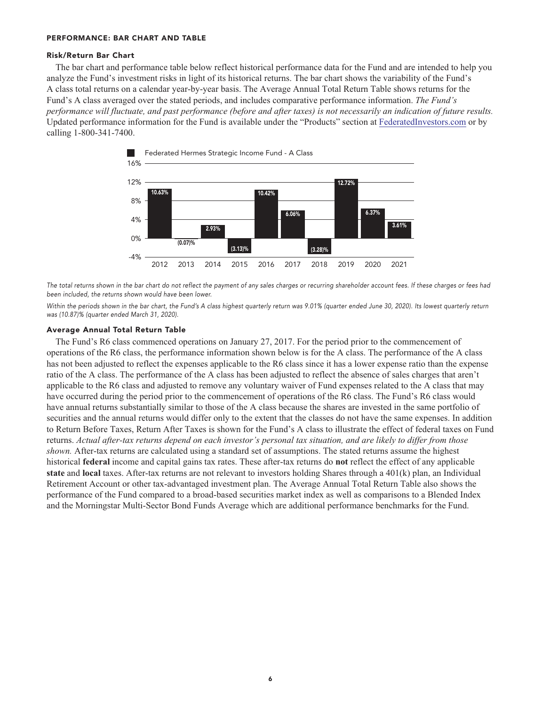### **PERFORMANCE: BAR CHART AND TABLE**

### **Risk/Return Bar Chart**

**The bar chart and performance table below reflect historical performance data for the Fund and are intended to help you analyze the Fund's investment risks in light of its historical returns. The bar chart shows the variability of the Fund's A class total returns on a calendar year-by-year basis. The Average Annual Total Return Table shows returns for the Fund's A class averaged over the stated periods, and includes comparative performance information.** *The Fund's performance will fluctuate, and past performance (before and after taxes) is not necessarily an indication of future results.* **Updated performance information for the Fund is available under the "Products" section at [FederatedInvestors.com](https://www.federatedinvestors.com/home.do) or by calling 1-800-341-7400.**



**The total returns shown in the bar chart do not reflect the payment of any sales charges or recurring shareholder account fees. If these charges or fees had been included, the returns shown would have been lower.**

**Within the periods shown in the bar chart, the Fund's A class highest quarterly return was 9.01% (quarter ended June 30, 2020). Its lowest quarterly return was (10.87)% (quarter ended March 31, 2020).**

#### **Average Annual Total Return Table**

**The Fund's R6 class commenced operations on January 27, 2017. For the period prior to the commencement of operations of the R6 class, the performance information shown below is for the A class. The performance of the A class has not been adjusted to reflect the expenses applicable to the R6 class since it has a lower expense ratio than the expense ratio of the A class. The performance of the A class has been adjusted to reflect the absence of sales charges that aren't applicable to the R6 class and adjusted to remove any voluntary waiver of Fund expenses related to the A class that may have occurred during the period prior to the commencement of operations of the R6 class. The Fund's R6 class would have annual returns substantially similar to those of the A class because the shares are invested in the same portfolio of securities and the annual returns would differ only to the extent that the classes do not have the same expenses. In addition to Return Before Taxes, Return After Taxes is shown for the Fund's A class to illustrate the effect of federal taxes on Fund returns.** *Actual after-tax returns depend on each investor's personal tax situation, and are likely to differ from those shown.* **After-tax returns are calculated using a standard set of assumptions. The stated returns assume the highest historical federal income and capital gains tax rates. These after-tax returns do not reflect the effect of any applicable state and local taxes. After-tax returns are not relevant to investors holding Shares through a 401(k) plan, an Individual Retirement Account or other tax-advantaged investment plan. The Average Annual Total Return Table also shows the performance of the Fund compared to a broad-based securities market index as well as comparisons to a Blended Index and the Morningstar Multi-Sector Bond Funds Average which are additional performance benchmarks for the Fund.**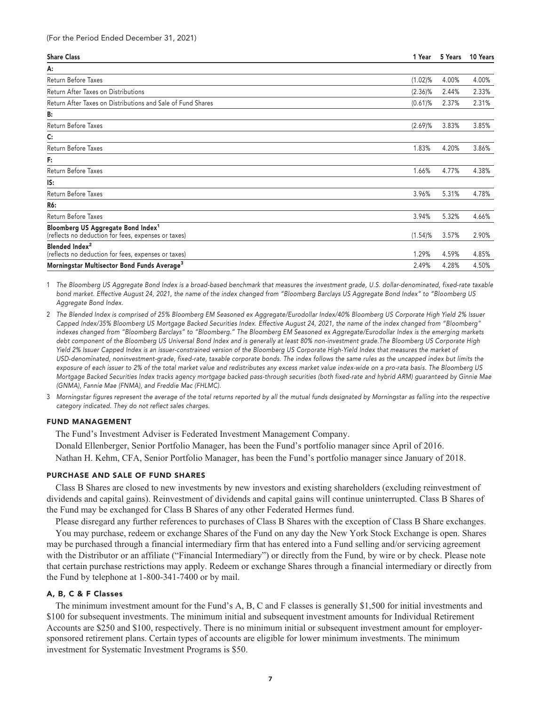| <b>Share Class</b>                                                                                    | 1 Year     | 5 Years | 10 Years |
|-------------------------------------------------------------------------------------------------------|------------|---------|----------|
| A:                                                                                                    |            |         |          |
| Return Before Taxes                                                                                   | $(1.02)\%$ | 4.00%   | 4.00%    |
| Return After Taxes on Distributions                                                                   | $(2.36)\%$ | 2.44%   | 2.33%    |
| Return After Taxes on Distributions and Sale of Fund Shares                                           | $(0.61)$ % | 2.37%   | 2.31%    |
| B:                                                                                                    |            |         |          |
| Return Before Taxes                                                                                   | (2.69)%    | 3.83%   | 3.85%    |
| C:                                                                                                    |            |         |          |
| Return Before Taxes                                                                                   | 1.83%      | 4.20%   | 3.86%    |
| F:                                                                                                    |            |         |          |
| Return Before Taxes                                                                                   | 1.66%      | 4.77%   | 4.38%    |
| IS:                                                                                                   |            |         |          |
| Return Before Taxes                                                                                   | 3.96%      | 5.31%   | 4.78%    |
| R6:                                                                                                   |            |         |          |
| Return Before Taxes                                                                                   | 3.94%      | 5.32%   | 4.66%    |
| Bloomberg US Aggregate Bond Index <sup>1</sup><br>(reflects no deduction for fees, expenses or taxes) | $(1.54)$ % | 3.57%   | 2.90%    |
| Blended Index <sup>2</sup><br>(reflects no deduction for fees, expenses or taxes)                     | 1.29%      | 4.59%   | 4.85%    |
| Morningstar Multisector Bond Funds Average <sup>3</sup>                                               | 2.49%      | 4.28%   | 4.50%    |

**1 The Bloomberg US Aggregate Bond Index is a broad-based benchmark that measures the investment grade, U.S. dollar-denominated, fixed-rate taxable bond market. Effective August 24, 2021, the name of the index changed from "Bloomberg Barclays US Aggregate Bond Index" to "Bloomberg US Aggregate Bond Index.**

- **2 The Blended Index is comprised of 25% Bloomberg EM Seasoned ex Aggregate/Eurodollar Index/40% Bloomberg US Corporate High Yield 2% Issuer Capped Index/35% Bloomberg US Mortgage Backed Securities Index. Effective August 24, 2021, the name of the index changed from "Bloomberg" indexes changed from "Bloomberg Barclays" to "Bloomberg." The Bloomberg EM Seasoned ex Aggregate/Eurodollar Index is the emerging markets debt component of the Bloomberg US Universal Bond Index and is generally at least 80% non-investment grade.The Bloomberg US Corporate High Yield 2% Issuer Capped Index is an issuer-constrained version of the Bloomberg US Corporate High-Yield Index that measures the market of USD-denominated, noninvestment-grade, fixed-rate, taxable corporate bonds. The index follows the same rules as the uncapped index but limits the exposure of each issuer to 2% of the total market value and redistributes any excess market value index-wide on a pro-rata basis. The Bloomberg US Mortgage Backed Securities Index tracks agency mortgage backed pass-through securities (both fixed-rate and hybrid ARM) guaranteed by Ginnie Mae (GNMA), Fannie Mae (FNMA), and Freddie Mac (FHLMC).**
- **3 Morningstar figures represent the average of the total returns reported by all the mutual funds designated by Morningstar as falling into the respective category indicated. They do not reflect sales charges.**

### **FUND MANAGEMENT**

**The Fund's Investment Adviser is Federated Investment Management Company. Donald Ellenberger, Senior Portfolio Manager, has been the Fund's portfolio manager since April of 2016. Nathan H. Kehm, CFA, Senior Portfolio Manager, has been the Fund's portfolio manager since January of 2018.**

#### **PURCHASE AND SALE OF FUND SHARES**

**Class B Shares are closed to new investments by new investors and existing shareholders (excluding reinvestment of dividends and capital gains). Reinvestment of dividends and capital gains will continue uninterrupted. Class B Shares of the Fund may be exchanged for Class B Shares of any other Federated Hermes fund.**

**Please disregard any further references to purchases of Class B Shares with the exception of Class B Share exchanges.**

**You may purchase, redeem or exchange Shares of the Fund on any day the New York Stock Exchange is open. Shares may be purchased through a financial intermediary firm that has entered into a Fund selling and/or servicing agreement with the Distributor or an affiliate ("Financial Intermediary") or directly from the Fund, by wire or by check. Please note that certain purchase restrictions may apply. Redeem or exchange Shares through a financial intermediary or directly from the Fund by telephone at 1-800-341-7400 or by mail.**

## **A, B, C & F Classes**

**The minimum investment amount for the Fund's A, B, C and F classes is generally \$1,500 for initial investments and \$100 for subsequent investments. The minimum initial and subsequent investment amounts for Individual Retirement Accounts are \$250 and \$100, respectively. There is no minimum initial or subsequent investment amount for employersponsored retirement plans. Certain types of accounts are eligible for lower minimum investments. The minimum investment for Systematic Investment Programs is \$50.**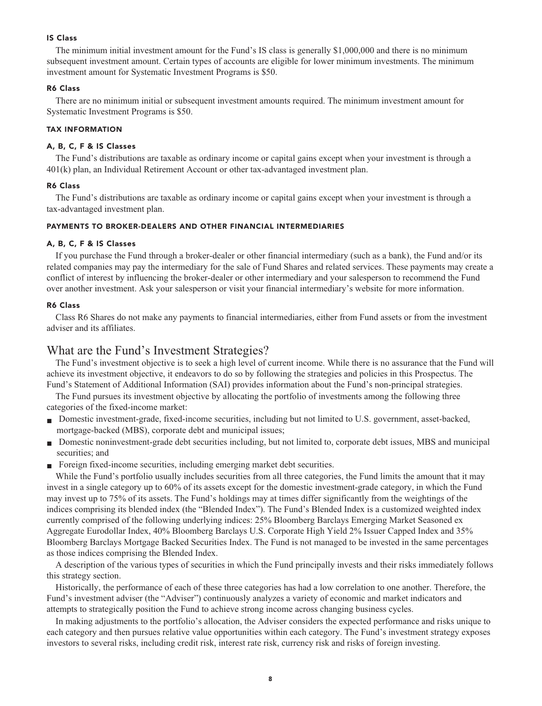## **IS Class**

**The minimum initial investment amount for the Fund's IS class is generally \$1,000,000 and there is no minimum subsequent investment amount. Certain types of accounts are eligible for lower minimum investments. The minimum investment amount for Systematic Investment Programs is \$50.**

## **R6 Class**

**There are no minimum initial or subsequent investment amounts required. The minimum investment amount for Systematic Investment Programs is \$50.**

#### **TAX INFORMATION**

## **A, B, C, F & IS Classes**

**The Fund's distributions are taxable as ordinary income or capital gains except when your investment is through a 401(k) plan, an Individual Retirement Account or other tax-advantaged investment plan.**

## **R6 Class**

**The Fund's distributions are taxable as ordinary income or capital gains except when your investment is through a tax-advantaged investment plan.**

#### **PAYMENTS TO BROKER-DEALERS AND OTHER FINANCIAL INTERMEDIARIES**

## **A, B, C, F & IS Classes**

**If you purchase the Fund through a broker-dealer or other financial intermediary (such as a bank), the Fund and/or its related companies may pay the intermediary for the sale of Fund Shares and related services. These payments may create a conflict of interest by influencing the broker-dealer or other intermediary and your salesperson to recommend the Fund over another investment. Ask your salesperson or visit your financial intermediary's website for more information.**

#### **R6 Class**

**Class R6 Shares do not make any payments to financial intermediaries, either from Fund assets or from the investment adviser and its affiliates.**

## **What are the Fund's Investment Strategies?**

**The Fund's investment objective is to seek a high level of current income. While there is no assurance that the Fund will achieve its investment objective, it endeavors to do so by following the strategies and policies in this Prospectus. The Fund's Statement of Additional Information (SAI) provides information about the Fund's non-principal strategies.**

**The Fund pursues its investment objective by allocating the portfolio of investments among the following three categories of the fixed-income market:**

- **Domestic investment-grade, fixed-income securities, including but not limited to U.S. government, asset-backed, mortgage-backed (MBS), corporate debt and municipal issues;**
- **Domestic noninvestment-grade debt securities including, but not limited to, corporate debt issues, MBS and municipal securities; and**
- **Foreign fixed-income securities, including emerging market debt securities.**

**While the Fund's portfolio usually includes securities from all three categories, the Fund limits the amount that it may invest in a single category up to 60% of its assets except for the domestic investment-grade category, in which the Fund may invest up to 75% of its assets. The Fund's holdings may at times differ significantly from the weightings of the indices comprising its blended index (the "Blended Index"). The Fund's Blended Index is a customized weighted index currently comprised of the following underlying indices: 25% Bloomberg Barclays Emerging Market Seasoned ex Aggregate Eurodollar Index, 40% Bloomberg Barclays U.S. Corporate High Yield 2% Issuer Capped Index and 35% Bloomberg Barclays Mortgage Backed Securities Index. The Fund is not managed to be invested in the same percentages as those indices comprising the Blended Index.**

**A description of the various types of securities in which the Fund principally invests and their risks immediately follows this strategy section.**

**Historically, the performance of each of these three categories has had a low correlation to one another. Therefore, the Fund's investment adviser (the "Adviser") continuously analyzes a variety of economic and market indicators and attempts to strategically position the Fund to achieve strong income across changing business cycles.**

**In making adjustments to the portfolio's allocation, the Adviser considers the expected performance and risks unique to each category and then pursues relative value opportunities within each category. The Fund's investment strategy exposes investors to several risks, including credit risk, interest rate risk, currency risk and risks of foreign investing.**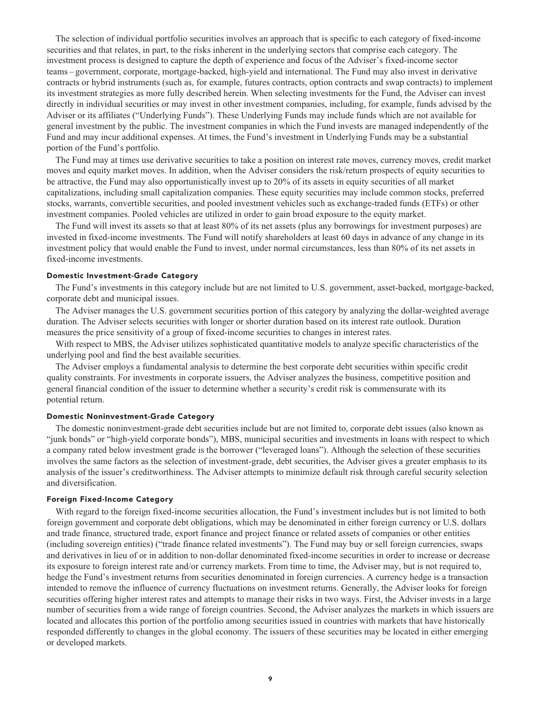**The selection of individual portfolio securities involves an approach that is specific to each category of fixed-income securities and that relates, in part, to the risks inherent in the underlying sectors that comprise each category. The investment process is designed to capture the depth of experience and focus of the Adviser's fixed-income sector teams – government, corporate, mortgage-backed, high-yield and international. The Fund may also invest in derivative contracts or hybrid instruments (such as, for example, futures contracts, option contracts and swap contracts) to implement its investment strategies as more fully described herein. When selecting investments for the Fund, the Adviser can invest directly in individual securities or may invest in other investment companies, including, for example, funds advised by the Adviser or its affiliates ("Underlying Funds"). These Underlying Funds may include funds which are not available for general investment by the public. The investment companies in which the Fund invests are managed independently of the Fund and may incur additional expenses. At times, the Fund's investment in Underlying Funds may be a substantial portion of the Fund's portfolio.**

**The Fund may at times use derivative securities to take a position on interest rate moves, currency moves, credit market moves and equity market moves. In addition, when the Adviser considers the risk/return prospects of equity securities to be attractive, the Fund may also opportunistically invest up to 20% of its assets in equity securities of all market capitalizations, including small capitalization companies. These equity securities may include common stocks, preferred stocks, warrants, convertible securities, and pooled investment vehicles such as exchange-traded funds (ETFs) or other investment companies. Pooled vehicles are utilized in order to gain broad exposure to the equity market.**

**The Fund will invest its assets so that at least 80% of its net assets (plus any borrowings for investment purposes) are invested in fixed-income investments. The Fund will notify shareholders at least 60 days in advance of any change in its investment policy that would enable the Fund to invest, under normal circumstances, less than 80% of its net assets in fixed-income investments.**

## **Domestic Investment-Grade Category**

**The Fund's investments in this category include but are not limited to U.S. government, asset-backed, mortgage-backed, corporate debt and municipal issues.**

**The Adviser manages the U.S. government securities portion of this category by analyzing the dollar-weighted average duration. The Adviser selects securities with longer or shorter duration based on its interest rate outlook. Duration measures the price sensitivity of a group of fixed-income securities to changes in interest rates.**

**With respect to MBS, the Adviser utilizes sophisticated quantitative models to analyze specific characteristics of the underlying pool and find the best available securities.**

**The Adviser employs a fundamental analysis to determine the best corporate debt securities within specific credit quality constraints. For investments in corporate issuers, the Adviser analyzes the business, competitive position and general financial condition of the issuer to determine whether a security's credit risk is commensurate with its potential return.**

## **Domestic Noninvestment-Grade Category**

**The domestic noninvestment-grade debt securities include but are not limited to, corporate debt issues (also known as "junk bonds" or "high-yield corporate bonds"), MBS, municipal securities and investments in loans with respect to which a company rated below investment grade is the borrower ("leveraged loans"). Although the selection of these securities involves the same factors as the selection of investment-grade, debt securities, the Adviser gives a greater emphasis to its analysis of the issuer's creditworthiness. The Adviser attempts to minimize default risk through careful security selection and diversification.**

## **Foreign Fixed-Income Category**

**With regard to the foreign fixed-income securities allocation, the Fund's investment includes but is not limited to both foreign government and corporate debt obligations, which may be denominated in either foreign currency or U.S. dollars and trade finance, structured trade, export finance and project finance or related assets of companies or other entities (including sovereign entities) ("trade finance related investments"). The Fund may buy or sell foreign currencies, swaps and derivatives in lieu of or in addition to non-dollar denominated fixed-income securities in order to increase or decrease its exposure to foreign interest rate and/or currency markets. From time to time, the Adviser may, but is not required to, hedge the Fund's investment returns from securities denominated in foreign currencies. A currency hedge is a transaction intended to remove the influence of currency fluctuations on investment returns. Generally, the Adviser looks for foreign securities offering higher interest rates and attempts to manage their risks in two ways. First, the Adviser invests in a large number of securities from a wide range of foreign countries. Second, the Adviser analyzes the markets in which issuers are located and allocates this portion of the portfolio among securities issued in countries with markets that have historically responded differently to changes in the global economy. The issuers of these securities may be located in either emerging or developed markets.**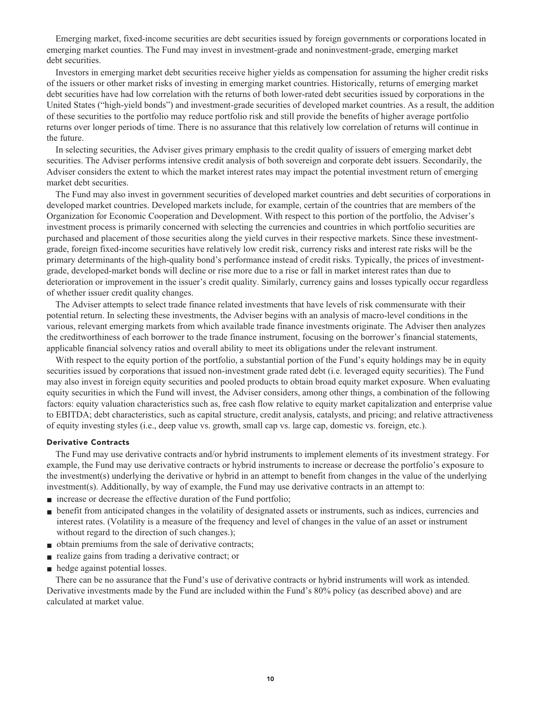**Emerging market, fixed-income securities are debt securities issued by foreign governments or corporations located in emerging market counties. The Fund may invest in investment-grade and noninvestment-grade, emerging market debt securities.**

**Investors in emerging market debt securities receive higher yields as compensation for assuming the higher credit risks of the issuers or other market risks of investing in emerging market countries. Historically, returns of emerging market debt securities have had low correlation with the returns of both lower-rated debt securities issued by corporations in the United States ("high-yield bonds") and investment-grade securities of developed market countries. As a result, the addition of these securities to the portfolio may reduce portfolio risk and still provide the benefits of higher average portfolio returns over longer periods of time. There is no assurance that this relatively low correlation of returns will continue in the future.**

**In selecting securities, the Adviser gives primary emphasis to the credit quality of issuers of emerging market debt securities. The Adviser performs intensive credit analysis of both sovereign and corporate debt issuers. Secondarily, the Adviser considers the extent to which the market interest rates may impact the potential investment return of emerging market debt securities.**

**The Fund may also invest in government securities of developed market countries and debt securities of corporations in developed market countries. Developed markets include, for example, certain of the countries that are members of the Organization for Economic Cooperation and Development. With respect to this portion of the portfolio, the Adviser's investment process is primarily concerned with selecting the currencies and countries in which portfolio securities are purchased and placement of those securities along the yield curves in their respective markets. Since these investmentgrade, foreign fixed-income securities have relatively low credit risk, currency risks and interest rate risks will be the primary determinants of the high-quality bond's performance instead of credit risks. Typically, the prices of investmentgrade, developed-market bonds will decline or rise more due to a rise or fall in market interest rates than due to deterioration or improvement in the issuer's credit quality. Similarly, currency gains and losses typically occur regardless of whether issuer credit quality changes.**

**The Adviser attempts to select trade finance related investments that have levels of risk commensurate with their potential return. In selecting these investments, the Adviser begins with an analysis of macro-level conditions in the various, relevant emerging markets from which available trade finance investments originate. The Adviser then analyzes the creditworthiness of each borrower to the trade finance instrument, focusing on the borrower's financial statements, applicable financial solvency ratios and overall ability to meet its obligations under the relevant instrument.**

**With respect to the equity portion of the portfolio, a substantial portion of the Fund's equity holdings may be in equity securities issued by corporations that issued non-investment grade rated debt (i.e. leveraged equity securities). The Fund may also invest in foreign equity securities and pooled products to obtain broad equity market exposure. When evaluating equity securities in which the Fund will invest, the Adviser considers, among other things, a combination of the following factors: equity valuation characteristics such as, free cash flow relative to equity market capitalization and enterprise value to EBITDA; debt characteristics, such as capital structure, credit analysis, catalysts, and pricing; and relative attractiveness of equity investing styles (i.e., deep value vs. growth, small cap vs. large cap, domestic vs. foreign, etc.).**

## **Derivative Contracts**

**The Fund may use derivative contracts and/or hybrid instruments to implement elements of its investment strategy. For example, the Fund may use derivative contracts or hybrid instruments to increase or decrease the portfolio's exposure to the investment(s) underlying the derivative or hybrid in an attempt to benefit from changes in the value of the underlying investment(s). Additionally, by way of example, the Fund may use derivative contracts in an attempt to:**

- **increase** or decrease the effective duration of the Fund portfolio;
- **■ benefit from anticipated changes in the volatility of designated assets or instruments, such as indices, currencies and interest rates. (Volatility is a measure of the frequency and level of changes in the value of an asset or instrument without regard to the direction of such changes.);**
- **■ obtain premiums from the sale of derivative contracts;**
- **realize gains from trading a derivative contract; or**
- **hedge against potential losses.**

**There can be no assurance that the Fund's use of derivative contracts or hybrid instruments will work as intended. Derivative investments made by the Fund are included within the Fund's 80% policy (as described above) and are calculated at market value.**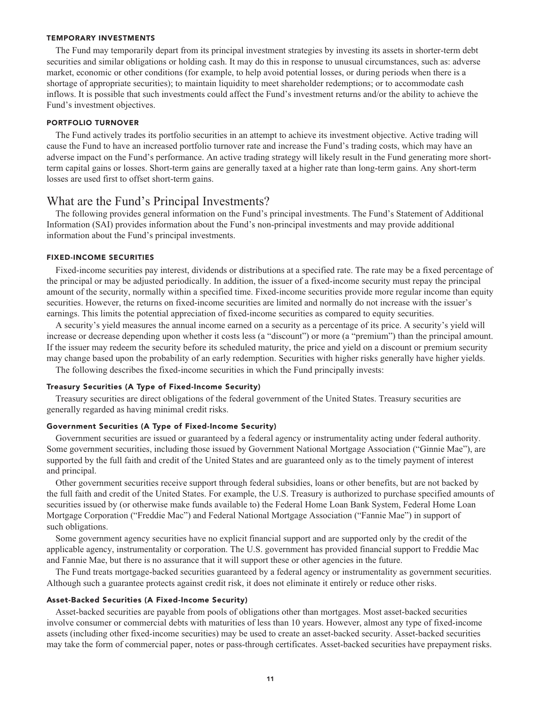#### **TEMPORARY INVESTMENTS**

**The Fund may temporarily depart from its principal investment strategies by investing its assets in shorter-term debt securities and similar obligations or holding cash. It may do this in response to unusual circumstances, such as: adverse market, economic or other conditions (for example, to help avoid potential losses, or during periods when there is a shortage of appropriate securities); to maintain liquidity to meet shareholder redemptions; or to accommodate cash inflows. It is possible that such investments could affect the Fund's investment returns and/or the ability to achieve the Fund's investment objectives.**

#### **PORTFOLIO TURNOVER**

**The Fund actively trades its portfolio securities in an attempt to achieve its investment objective. Active trading will cause the Fund to have an increased portfolio turnover rate and increase the Fund's trading costs, which may have an adverse impact on the Fund's performance. An active trading strategy will likely result in the Fund generating more shortterm capital gains or losses. Short-term gains are generally taxed at a higher rate than long-term gains. Any short-term losses are used first to offset short-term gains.**

## **What are the Fund's Principal Investments?**

**The following provides general information on the Fund's principal investments. The Fund's Statement of Additional Information (SAI) provides information about the Fund's non-principal investments and may provide additional information about the Fund's principal investments.**

## **FIXED-INCOME SECURITIES**

**Fixed-income securities pay interest, dividends or distributions at a specified rate. The rate may be a fixed percentage of the principal or may be adjusted periodically. In addition, the issuer of a fixed-income security must repay the principal amount of the security, normally within a specified time. Fixed-income securities provide more regular income than equity securities. However, the returns on fixed-income securities are limited and normally do not increase with the issuer's earnings. This limits the potential appreciation of fixed-income securities as compared to equity securities.**

**A security's yield measures the annual income earned on a security as a percentage of its price. A security's yield will increase or decrease depending upon whether it costs less (a "discount") or more (a "premium") than the principal amount. If the issuer may redeem the security before its scheduled maturity, the price and yield on a discount or premium security may change based upon the probability of an early redemption. Securities with higher risks generally have higher yields.**

**The following describes the fixed-income securities in which the Fund principally invests:**

## **Treasury Securities (A Type of Fixed-Income Security)**

**Treasury securities are direct obligations of the federal government of the United States. Treasury securities are generally regarded as having minimal credit risks.**

## **Government Securities (A Type of Fixed-Income Security)**

**Government securities are issued or guaranteed by a federal agency or instrumentality acting under federal authority. Some government securities, including those issued by Government National Mortgage Association ("Ginnie Mae"), are supported by the full faith and credit of the United States and are guaranteed only as to the timely payment of interest and principal.**

**Other government securities receive support through federal subsidies, loans or other benefits, but are not backed by the full faith and credit of the United States. For example, the U.S. Treasury is authorized to purchase specified amounts of securities issued by (or otherwise make funds available to) the Federal Home Loan Bank System, Federal Home Loan Mortgage Corporation ("Freddie Mac") and Federal National Mortgage Association ("Fannie Mae") in support of such obligations.**

**Some government agency securities have no explicit financial support and are supported only by the credit of the applicable agency, instrumentality or corporation. The U.S. government has provided financial support to Freddie Mac and Fannie Mae, but there is no assurance that it will support these or other agencies in the future.**

**The Fund treats mortgage-backed securities guaranteed by a federal agency or instrumentality as government securities. Although such a guarantee protects against credit risk, it does not eliminate it entirely or reduce other risks.**

#### **Asset-Backed Securities (A Fixed-Income Security)**

**Asset-backed securities are payable from pools of obligations other than mortgages. Most asset-backed securities involve consumer or commercial debts with maturities of less than 10 years. However, almost any type of fixed-income assets (including other fixed-income securities) may be used to create an asset-backed security. Asset-backed securities may take the form of commercial paper, notes or pass-through certificates. Asset-backed securities have prepayment risks.**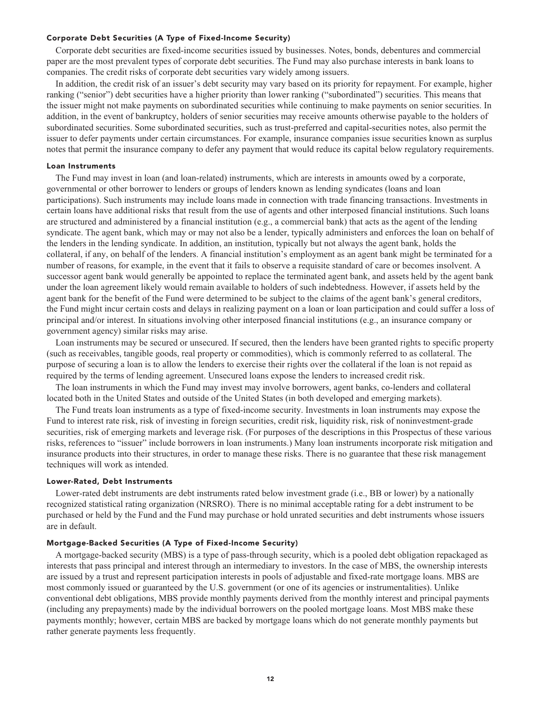## **Corporate Debt Securities (A Type of Fixed-Income Security)**

**Corporate debt securities are fixed-income securities issued by businesses. Notes, bonds, debentures and commercial paper are the most prevalent types of corporate debt securities. The Fund may also purchase interests in bank loans to companies. The credit risks of corporate debt securities vary widely among issuers.**

**In addition, the credit risk of an issuer's debt security may vary based on its priority for repayment. For example, higher ranking ("senior") debt securities have a higher priority than lower ranking ("subordinated") securities. This means that the issuer might not make payments on subordinated securities while continuing to make payments on senior securities. In addition, in the event of bankruptcy, holders of senior securities may receive amounts otherwise payable to the holders of subordinated securities. Some subordinated securities, such as trust-preferred and capital-securities notes, also permit the issuer to defer payments under certain circumstances. For example, insurance companies issue securities known as surplus notes that permit the insurance company to defer any payment that would reduce its capital below regulatory requirements.**

#### **Loan Instruments**

**The Fund may invest in loan (and loan-related) instruments, which are interests in amounts owed by a corporate, governmental or other borrower to lenders or groups of lenders known as lending syndicates (loans and loan participations). Such instruments may include loans made in connection with trade financing transactions. Investments in certain loans have additional risks that result from the use of agents and other interposed financial institutions. Such loans are structured and administered by a financial institution (e.g., a commercial bank) that acts as the agent of the lending syndicate. The agent bank, which may or may not also be a lender, typically administers and enforces the loan on behalf of the lenders in the lending syndicate. In addition, an institution, typically but not always the agent bank, holds the collateral, if any, on behalf of the lenders. A financial institution's employment as an agent bank might be terminated for a number of reasons, for example, in the event that it fails to observe a requisite standard of care or becomes insolvent. A successor agent bank would generally be appointed to replace the terminated agent bank, and assets held by the agent bank under the loan agreement likely would remain available to holders of such indebtedness. However, if assets held by the agent bank for the benefit of the Fund were determined to be subject to the claims of the agent bank's general creditors, the Fund might incur certain costs and delays in realizing payment on a loan or loan participation and could suffer a loss of principal and/or interest. In situations involving other interposed financial institutions (e.g., an insurance company or government agency) similar risks may arise.**

**Loan instruments may be secured or unsecured. If secured, then the lenders have been granted rights to specific property (such as receivables, tangible goods, real property or commodities), which is commonly referred to as collateral. The purpose of securing a loan is to allow the lenders to exercise their rights over the collateral if the loan is not repaid as required by the terms of lending agreement. Unsecured loans expose the lenders to increased credit risk.**

**The loan instruments in which the Fund may invest may involve borrowers, agent banks, co-lenders and collateral located both in the United States and outside of the United States (in both developed and emerging markets).**

**The Fund treats loan instruments as a type of fixed-income security. Investments in loan instruments may expose the Fund to interest rate risk, risk of investing in foreign securities, credit risk, liquidity risk, risk of noninvestment-grade securities, risk of emerging markets and leverage risk. (For purposes of the descriptions in this Prospectus of these various risks, references to "issuer" include borrowers in loan instruments.) Many loan instruments incorporate risk mitigation and insurance products into their structures, in order to manage these risks. There is no guarantee that these risk management techniques will work as intended.**

#### **Lower-Rated, Debt Instruments**

**Lower-rated debt instruments are debt instruments rated below investment grade (i.e., BB or lower) by a nationally recognized statistical rating organization (NRSRO). There is no minimal acceptable rating for a debt instrument to be purchased or held by the Fund and the Fund may purchase or hold unrated securities and debt instruments whose issuers are in default.**

## **Mortgage-Backed Securities (A Type of Fixed-Income Security)**

**A mortgage-backed security (MBS) is a type of pass-through security, which is a pooled debt obligation repackaged as interests that pass principal and interest through an intermediary to investors. In the case of MBS, the ownership interests are issued by a trust and represent participation interests in pools of adjustable and fixed-rate mortgage loans. MBS are most commonly issued or guaranteed by the U.S. government (or one of its agencies or instrumentalities). Unlike conventional debt obligations, MBS provide monthly payments derived from the monthly interest and principal payments (including any prepayments) made by the individual borrowers on the pooled mortgage loans. Most MBS make these payments monthly; however, certain MBS are backed by mortgage loans which do not generate monthly payments but rather generate payments less frequently.**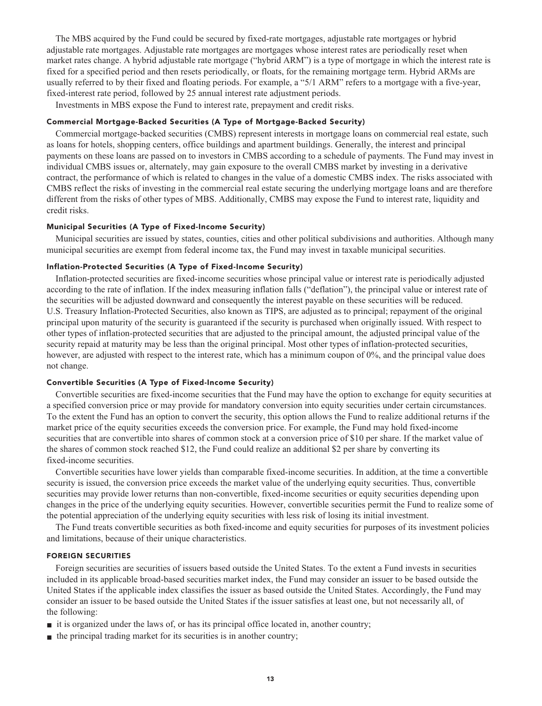**The MBS acquired by the Fund could be secured by fixed-rate mortgages, adjustable rate mortgages or hybrid adjustable rate mortgages. Adjustable rate mortgages are mortgages whose interest rates are periodically reset when market rates change. A hybrid adjustable rate mortgage ("hybrid ARM") is a type of mortgage in which the interest rate is fixed for a specified period and then resets periodically, or floats, for the remaining mortgage term. Hybrid ARMs are usually referred to by their fixed and floating periods. For example, a "5/1 ARM" refers to a mortgage with a five-year, fixed-interest rate period, followed by 25 annual interest rate adjustment periods.**

**Investments in MBS expose the Fund to interest rate, prepayment and credit risks.**

## **Commercial Mortgage-Backed Securities (A Type of Mortgage-Backed Security)**

**Commercial mortgage-backed securities (CMBS) represent interests in mortgage loans on commercial real estate, such as loans for hotels, shopping centers, office buildings and apartment buildings. Generally, the interest and principal payments on these loans are passed on to investors in CMBS according to a schedule of payments. The Fund may invest in individual CMBS issues or, alternately, may gain exposure to the overall CMBS market by investing in a derivative contract, the performance of which is related to changes in the value of a domestic CMBS index. The risks associated with CMBS reflect the risks of investing in the commercial real estate securing the underlying mortgage loans and are therefore different from the risks of other types of MBS. Additionally, CMBS may expose the Fund to interest rate, liquidity and credit risks.**

## **Municipal Securities (A Type of Fixed-Income Security)**

**Municipal securities are issued by states, counties, cities and other political subdivisions and authorities. Although many municipal securities are exempt from federal income tax, the Fund may invest in taxable municipal securities.**

## **Inflation-Protected Securities (A Type of Fixed-Income Security)**

**Inflation-protected securities are fixed-income securities whose principal value or interest rate is periodically adjusted according to the rate of inflation. If the index measuring inflation falls ("deflation"), the principal value or interest rate of the securities will be adjusted downward and consequently the interest payable on these securities will be reduced. U.S. Treasury Inflation-Protected Securities, also known as TIPS, are adjusted as to principal; repayment of the original principal upon maturity of the security is guaranteed if the security is purchased when originally issued. With respect to other types of inflation-protected securities that are adjusted to the principal amount, the adjusted principal value of the security repaid at maturity may be less than the original principal. Most other types of inflation-protected securities, however, are adjusted with respect to the interest rate, which has a minimum coupon of 0%, and the principal value does not change.**

## **Convertible Securities (A Type of Fixed-Income Security)**

**Convertible securities are fixed-income securities that the Fund may have the option to exchange for equity securities at a specified conversion price or may provide for mandatory conversion into equity securities under certain circumstances. To the extent the Fund has an option to convert the security, this option allows the Fund to realize additional returns if the market price of the equity securities exceeds the conversion price. For example, the Fund may hold fixed-income securities that are convertible into shares of common stock at a conversion price of \$10 per share. If the market value of the shares of common stock reached \$12, the Fund could realize an additional \$2 per share by converting its fixed-income securities.**

**Convertible securities have lower yields than comparable fixed-income securities. In addition, at the time a convertible security is issued, the conversion price exceeds the market value of the underlying equity securities. Thus, convertible securities may provide lower returns than non-convertible, fixed-income securities or equity securities depending upon changes in the price of the underlying equity securities. However, convertible securities permit the Fund to realize some of the potential appreciation of the underlying equity securities with less risk of losing its initial investment.**

**The Fund treats convertible securities as both fixed-income and equity securities for purposes of its investment policies and limitations, because of their unique characteristics.**

#### **FOREIGN SECURITIES**

**Foreign securities are securities of issuers based outside the United States. To the extent a Fund invests in securities included in its applicable broad-based securities market index, the Fund may consider an issuer to be based outside the United States if the applicable index classifies the issuer as based outside the United States. Accordingly, the Fund may consider an issuer to be based outside the United States if the issuer satisfies at least one, but not necessarily all, of the following:**

- **■ it is organized under the laws of, or has its principal office located in, another country;**
- **■ the principal trading market for its securities is in another country;**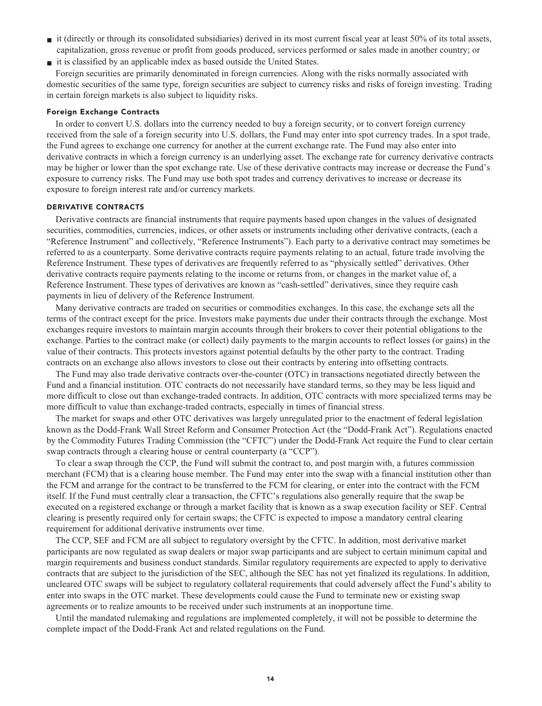- **■ it (directly or through its consolidated subsidiaries) derived in its most current fiscal year at least 50% of its total assets, capitalization, gross revenue or profit from goods produced, services performed or sales made in another country; or**
- **■ it is classified by an applicable index as based outside the United States.**

**Foreign securities are primarily denominated in foreign currencies. Along with the risks normally associated with domestic securities of the same type, foreign securities are subject to currency risks and risks of foreign investing. Trading in certain foreign markets is also subject to liquidity risks.**

## **Foreign Exchange Contracts**

**In order to convert U.S. dollars into the currency needed to buy a foreign security, or to convert foreign currency received from the sale of a foreign security into U.S. dollars, the Fund may enter into spot currency trades. In a spot trade, the Fund agrees to exchange one currency for another at the current exchange rate. The Fund may also enter into derivative contracts in which a foreign currency is an underlying asset. The exchange rate for currency derivative contracts may be higher or lower than the spot exchange rate. Use of these derivative contracts may increase or decrease the Fund's exposure to currency risks. The Fund may use both spot trades and currency derivatives to increase or decrease its exposure to foreign interest rate and/or currency markets.**

### **DERIVATIVE CONTRACTS**

**Derivative contracts are financial instruments that require payments based upon changes in the values of designated securities, commodities, currencies, indices, or other assets or instruments including other derivative contracts, (each a "Reference Instrument" and collectively, "Reference Instruments"). Each party to a derivative contract may sometimes be referred to as a counterparty. Some derivative contracts require payments relating to an actual, future trade involving the Reference Instrument. These types of derivatives are frequently referred to as "physically settled" derivatives. Other derivative contracts require payments relating to the income or returns from, or changes in the market value of, a Reference Instrument. These types of derivatives are known as "cash-settled" derivatives, since they require cash payments in lieu of delivery of the Reference Instrument.**

**Many derivative contracts are traded on securities or commodities exchanges. In this case, the exchange sets all the terms of the contract except for the price. Investors make payments due under their contracts through the exchange. Most exchanges require investors to maintain margin accounts through their brokers to cover their potential obligations to the exchange. Parties to the contract make (or collect) daily payments to the margin accounts to reflect losses (or gains) in the value of their contracts. This protects investors against potential defaults by the other party to the contract. Trading contracts on an exchange also allows investors to close out their contracts by entering into offsetting contracts.**

**The Fund may also trade derivative contracts over-the-counter (OTC) in transactions negotiated directly between the Fund and a financial institution. OTC contracts do not necessarily have standard terms, so they may be less liquid and more difficult to close out than exchange-traded contracts. In addition, OTC contracts with more specialized terms may be more difficult to value than exchange-traded contracts, especially in times of financial stress.**

**The market for swaps and other OTC derivatives was largely unregulated prior to the enactment of federal legislation known as the Dodd-Frank Wall Street Reform and Consumer Protection Act (the "Dodd-Frank Act"). Regulations enacted by the Commodity Futures Trading Commission (the "CFTC") under the Dodd-Frank Act require the Fund to clear certain swap contracts through a clearing house or central counterparty (a "CCP").**

**To clear a swap through the CCP, the Fund will submit the contract to, and post margin with, a futures commission merchant (FCM) that is a clearing house member. The Fund may enter into the swap with a financial institution other than the FCM and arrange for the contract to be transferred to the FCM for clearing, or enter into the contract with the FCM itself. If the Fund must centrally clear a transaction, the CFTC's regulations also generally require that the swap be executed on a registered exchange or through a market facility that is known as a swap execution facility or SEF. Central clearing is presently required only for certain swaps; the CFTC is expected to impose a mandatory central clearing requirement for additional derivative instruments over time.**

**The CCP, SEF and FCM are all subject to regulatory oversight by the CFTC. In addition, most derivative market participants are now regulated as swap dealers or major swap participants and are subject to certain minimum capital and margin requirements and business conduct standards. Similar regulatory requirements are expected to apply to derivative contracts that are subject to the jurisdiction of the SEC, although the SEC has not yet finalized its regulations. In addition, uncleared OTC swaps will be subject to regulatory collateral requirements that could adversely affect the Fund's ability to enter into swaps in the OTC market. These developments could cause the Fund to terminate new or existing swap agreements or to realize amounts to be received under such instruments at an inopportune time.**

**Until the mandated rulemaking and regulations are implemented completely, it will not be possible to determine the complete impact of the Dodd-Frank Act and related regulations on the Fund.**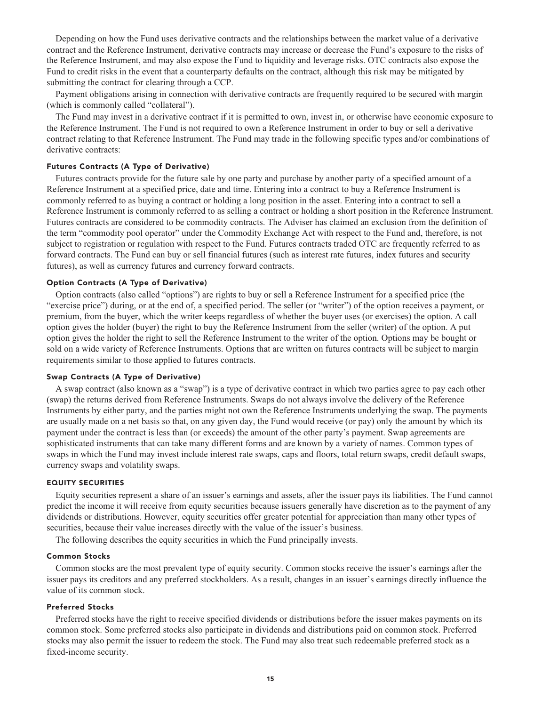**Depending on how the Fund uses derivative contracts and the relationships between the market value of a derivative contract and the Reference Instrument, derivative contracts may increase or decrease the Fund's exposure to the risks of the Reference Instrument, and may also expose the Fund to liquidity and leverage risks. OTC contracts also expose the Fund to credit risks in the event that a counterparty defaults on the contract, although this risk may be mitigated by submitting the contract for clearing through a CCP.**

**Payment obligations arising in connection with derivative contracts are frequently required to be secured with margin (which is commonly called "collateral").**

**The Fund may invest in a derivative contract if it is permitted to own, invest in, or otherwise have economic exposure to the Reference Instrument. The Fund is not required to own a Reference Instrument in order to buy or sell a derivative contract relating to that Reference Instrument. The Fund may trade in the following specific types and/or combinations of derivative contracts:**

#### **Futures Contracts (A Type of Derivative)**

**Futures contracts provide for the future sale by one party and purchase by another party of a specified amount of a Reference Instrument at a specified price, date and time. Entering into a contract to buy a Reference Instrument is commonly referred to as buying a contract or holding a long position in the asset. Entering into a contract to sell a Reference Instrument is commonly referred to as selling a contract or holding a short position in the Reference Instrument. Futures contracts are considered to be commodity contracts. The Adviser has claimed an exclusion from the definition of the term "commodity pool operator" under the Commodity Exchange Act with respect to the Fund and, therefore, is not subject to registration or regulation with respect to the Fund. Futures contracts traded OTC are frequently referred to as forward contracts. The Fund can buy or sell financial futures (such as interest rate futures, index futures and security futures), as well as currency futures and currency forward contracts.**

## **Option Contracts (A Type of Derivative)**

**Option contracts (also called "options") are rights to buy or sell a Reference Instrument for a specified price (the "exercise price") during, or at the end of, a specified period. The seller (or "writer") of the option receives a payment, or premium, from the buyer, which the writer keeps regardless of whether the buyer uses (or exercises) the option. A call option gives the holder (buyer) the right to buy the Reference Instrument from the seller (writer) of the option. A put option gives the holder the right to sell the Reference Instrument to the writer of the option. Options may be bought or sold on a wide variety of Reference Instruments. Options that are written on futures contracts will be subject to margin requirements similar to those applied to futures contracts.**

## **Swap Contracts (A Type of Derivative)**

**A swap contract (also known as a "swap") is a type of derivative contract in which two parties agree to pay each other (swap) the returns derived from Reference Instruments. Swaps do not always involve the delivery of the Reference Instruments by either party, and the parties might not own the Reference Instruments underlying the swap. The payments are usually made on a net basis so that, on any given day, the Fund would receive (or pay) only the amount by which its payment under the contract is less than (or exceeds) the amount of the other party's payment. Swap agreements are sophisticated instruments that can take many different forms and are known by a variety of names. Common types of swaps in which the Fund may invest include interest rate swaps, caps and floors, total return swaps, credit default swaps, currency swaps and volatility swaps.**

#### **EQUITY SECURITIES**

**Equity securities represent a share of an issuer's earnings and assets, after the issuer pays its liabilities. The Fund cannot predict the income it will receive from equity securities because issuers generally have discretion as to the payment of any dividends or distributions. However, equity securities offer greater potential for appreciation than many other types of securities, because their value increases directly with the value of the issuer's business.**

**The following describes the equity securities in which the Fund principally invests.**

#### **Common Stocks**

**Common stocks are the most prevalent type of equity security. Common stocks receive the issuer's earnings after the issuer pays its creditors and any preferred stockholders. As a result, changes in an issuer's earnings directly influence the value of its common stock.**

## **Preferred Stocks**

**Preferred stocks have the right to receive specified dividends or distributions before the issuer makes payments on its common stock. Some preferred stocks also participate in dividends and distributions paid on common stock. Preferred stocks may also permit the issuer to redeem the stock. The Fund may also treat such redeemable preferred stock as a fixed-income security.**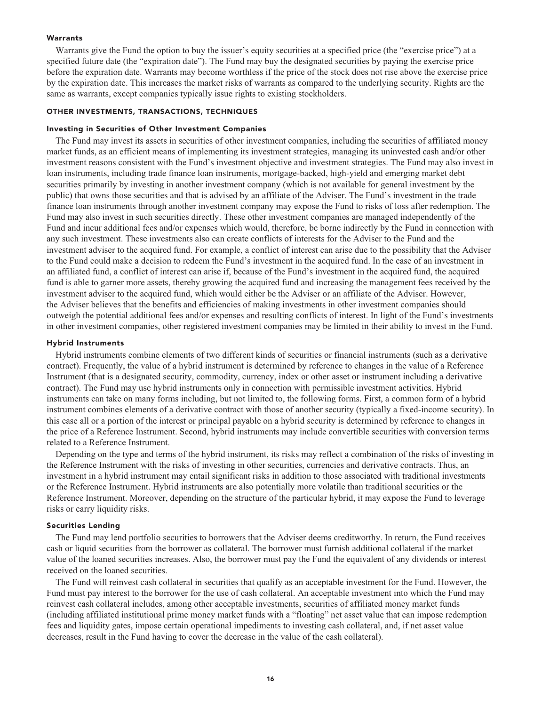## **Warrants**

**Warrants give the Fund the option to buy the issuer's equity securities at a specified price (the "exercise price") at a specified future date (the "expiration date"). The Fund may buy the designated securities by paying the exercise price before the expiration date. Warrants may become worthless if the price of the stock does not rise above the exercise price by the expiration date. This increases the market risks of warrants as compared to the underlying security. Rights are the same as warrants, except companies typically issue rights to existing stockholders.**

#### **OTHER INVESTMENTS, TRANSACTIONS, TECHNIQUES**

#### **Investing in Securities of Other Investment Companies**

**The Fund may invest its assets in securities of other investment companies, including the securities of affiliated money market funds, as an efficient means of implementing its investment strategies, managing its uninvested cash and/or other investment reasons consistent with the Fund's investment objective and investment strategies. The Fund may also invest in loan instruments, including trade finance loan instruments, mortgage-backed, high-yield and emerging market debt securities primarily by investing in another investment company (which is not available for general investment by the public) that owns those securities and that is advised by an affiliate of the Adviser. The Fund's investment in the trade finance loan instruments through another investment company may expose the Fund to risks of loss after redemption. The Fund may also invest in such securities directly. These other investment companies are managed independently of the Fund and incur additional fees and/or expenses which would, therefore, be borne indirectly by the Fund in connection with any such investment. These investments also can create conflicts of interests for the Adviser to the Fund and the investment adviser to the acquired fund. For example, a conflict of interest can arise due to the possibility that the Adviser to the Fund could make a decision to redeem the Fund's investment in the acquired fund. In the case of an investment in an affiliated fund, a conflict of interest can arise if, because of the Fund's investment in the acquired fund, the acquired fund is able to garner more assets, thereby growing the acquired fund and increasing the management fees received by the investment adviser to the acquired fund, which would either be the Adviser or an affiliate of the Adviser. However, the Adviser believes that the benefits and efficiencies of making investments in other investment companies should outweigh the potential additional fees and/or expenses and resulting conflicts of interest. In light of the Fund's investments in other investment companies, other registered investment companies may be limited in their ability to invest in the Fund.**

#### **Hybrid Instruments**

**Hybrid instruments combine elements of two different kinds of securities or financial instruments (such as a derivative contract). Frequently, the value of a hybrid instrument is determined by reference to changes in the value of a Reference Instrument (that is a designated security, commodity, currency, index or other asset or instrument including a derivative contract). The Fund may use hybrid instruments only in connection with permissible investment activities. Hybrid instruments can take on many forms including, but not limited to, the following forms. First, a common form of a hybrid instrument combines elements of a derivative contract with those of another security (typically a fixed-income security). In this case all or a portion of the interest or principal payable on a hybrid security is determined by reference to changes in the price of a Reference Instrument. Second, hybrid instruments may include convertible securities with conversion terms related to a Reference Instrument.**

**Depending on the type and terms of the hybrid instrument, its risks may reflect a combination of the risks of investing in the Reference Instrument with the risks of investing in other securities, currencies and derivative contracts. Thus, an investment in a hybrid instrument may entail significant risks in addition to those associated with traditional investments or the Reference Instrument. Hybrid instruments are also potentially more volatile than traditional securities or the Reference Instrument. Moreover, depending on the structure of the particular hybrid, it may expose the Fund to leverage risks or carry liquidity risks.**

## **Securities Lending**

**The Fund may lend portfolio securities to borrowers that the Adviser deems creditworthy. In return, the Fund receives cash or liquid securities from the borrower as collateral. The borrower must furnish additional collateral if the market value of the loaned securities increases. Also, the borrower must pay the Fund the equivalent of any dividends or interest received on the loaned securities.**

**The Fund will reinvest cash collateral in securities that qualify as an acceptable investment for the Fund. However, the Fund must pay interest to the borrower for the use of cash collateral. An acceptable investment into which the Fund may reinvest cash collateral includes, among other acceptable investments, securities of affiliated money market funds (including affiliated institutional prime money market funds with a "floating" net asset value that can impose redemption fees and liquidity gates, impose certain operational impediments to investing cash collateral, and, if net asset value decreases, result in the Fund having to cover the decrease in the value of the cash collateral).**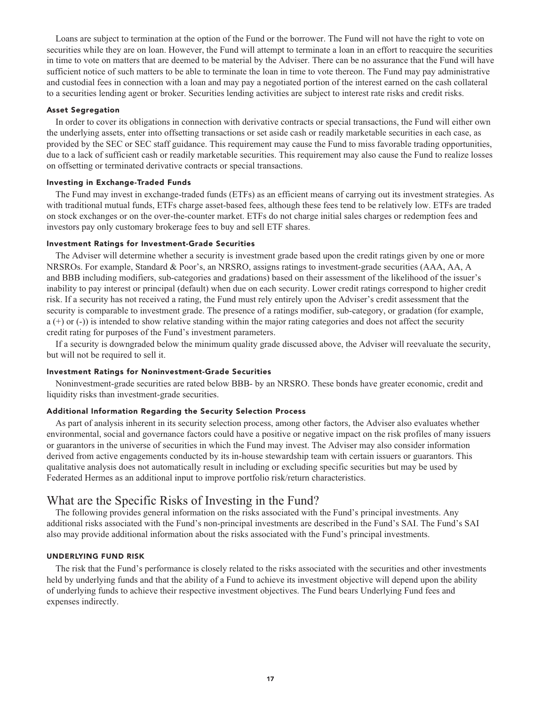**Loans are subject to termination at the option of the Fund or the borrower. The Fund will not have the right to vote on securities while they are on loan. However, the Fund will attempt to terminate a loan in an effort to reacquire the securities in time to vote on matters that are deemed to be material by the Adviser. There can be no assurance that the Fund will have sufficient notice of such matters to be able to terminate the loan in time to vote thereon. The Fund may pay administrative and custodial fees in connection with a loan and may pay a negotiated portion of the interest earned on the cash collateral to a securities lending agent or broker. Securities lending activities are subject to interest rate risks and credit risks.**

#### **Asset Segregation**

**In order to cover its obligations in connection with derivative contracts or special transactions, the Fund will either own the underlying assets, enter into offsetting transactions or set aside cash or readily marketable securities in each case, as provided by the SEC or SEC staff guidance. This requirement may cause the Fund to miss favorable trading opportunities, due to a lack of sufficient cash or readily marketable securities. This requirement may also cause the Fund to realize losses on offsetting or terminated derivative contracts or special transactions.**

### **Investing in Exchange-Traded Funds**

**The Fund may invest in exchange-traded funds (ETFs) as an efficient means of carrying out its investment strategies. As with traditional mutual funds, ETFs charge asset-based fees, although these fees tend to be relatively low. ETFs are traded on stock exchanges or on the over-the-counter market. ETFs do not charge initial sales charges or redemption fees and investors pay only customary brokerage fees to buy and sell ETF shares.**

#### **Investment Ratings for Investment-Grade Securities**

**The Adviser will determine whether a security is investment grade based upon the credit ratings given by one or more NRSROs. For example, Standard & Poor's, an NRSRO, assigns ratings to investment-grade securities (AAA, AA, A and BBB including modifiers, sub-categories and gradations) based on their assessment of the likelihood of the issuer's inability to pay interest or principal (default) when due on each security. Lower credit ratings correspond to higher credit risk. If a security has not received a rating, the Fund must rely entirely upon the Adviser's credit assessment that the security is comparable to investment grade. The presence of a ratings modifier, sub-category, or gradation (for example, a (+) or (-)) is intended to show relative standing within the major rating categories and does not affect the security credit rating for purposes of the Fund's investment parameters.**

**If a security is downgraded below the minimum quality grade discussed above, the Adviser will reevaluate the security, but will not be required to sell it.**

#### **Investment Ratings for Noninvestment-Grade Securities**

**Noninvestment-grade securities are rated below BBB- by an NRSRO. These bonds have greater economic, credit and liquidity risks than investment-grade securities.**

## **Additional Information Regarding the Security Selection Process**

**As part of analysis inherent in its security selection process, among other factors, the Adviser also evaluates whether environmental, social and governance factors could have a positive or negative impact on the risk profiles of many issuers or guarantors in the universe of securities in which the Fund may invest. The Adviser may also consider information derived from active engagements conducted by its in-house stewardship team with certain issuers or guarantors. This qualitative analysis does not automatically result in including or excluding specific securities but may be used by Federated Hermes as an additional input to improve portfolio risk/return characteristics.**

## **What are the Specific Risks of Investing in the Fund?**

**The following provides general information on the risks associated with the Fund's principal investments. Any additional risks associated with the Fund's non-principal investments are described in the Fund's SAI. The Fund's SAI also may provide additional information about the risks associated with the Fund's principal investments.**

#### **UNDERLYING FUND RISK**

**The risk that the Fund's performance is closely related to the risks associated with the securities and other investments held by underlying funds and that the ability of a Fund to achieve its investment objective will depend upon the ability of underlying funds to achieve their respective investment objectives. The Fund bears Underlying Fund fees and expenses indirectly.**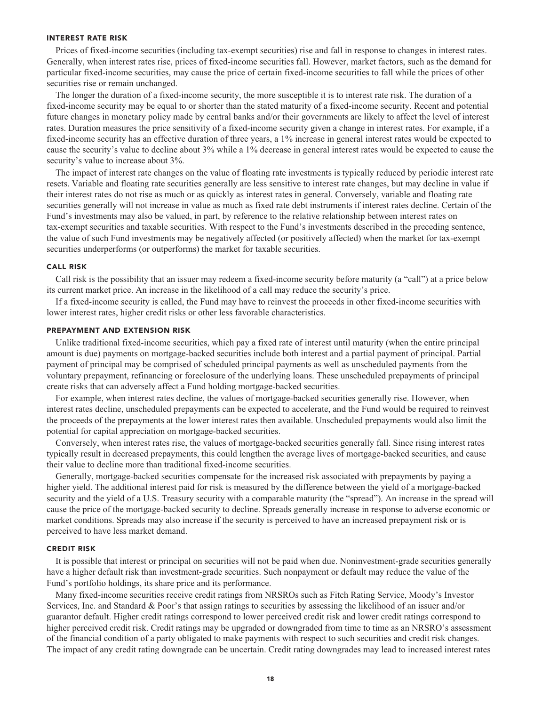#### **INTEREST RATE RISK**

**Prices of fixed-income securities (including tax-exempt securities) rise and fall in response to changes in interest rates. Generally, when interest rates rise, prices of fixed-income securities fall. However, market factors, such as the demand for particular fixed-income securities, may cause the price of certain fixed-income securities to fall while the prices of other securities rise or remain unchanged.**

**The longer the duration of a fixed-income security, the more susceptible it is to interest rate risk. The duration of a fixed-income security may be equal to or shorter than the stated maturity of a fixed-income security. Recent and potential future changes in monetary policy made by central banks and/or their governments are likely to affect the level of interest rates. Duration measures the price sensitivity of a fixed-income security given a change in interest rates. For example, if a fixed-income security has an effective duration of three years, a 1% increase in general interest rates would be expected to cause the security's value to decline about 3% while a 1% decrease in general interest rates would be expected to cause the security's value to increase about 3%.**

**The impact of interest rate changes on the value of floating rate investments is typically reduced by periodic interest rate resets. Variable and floating rate securities generally are less sensitive to interest rate changes, but may decline in value if their interest rates do not rise as much or as quickly as interest rates in general. Conversely, variable and floating rate securities generally will not increase in value as much as fixed rate debt instruments if interest rates decline. Certain of the Fund's investments may also be valued, in part, by reference to the relative relationship between interest rates on tax-exempt securities and taxable securities. With respect to the Fund's investments described in the preceding sentence, the value of such Fund investments may be negatively affected (or positively affected) when the market for tax-exempt securities underperforms (or outperforms) the market for taxable securities.**

#### **CALL RISK**

**Call risk is the possibility that an issuer may redeem a fixed-income security before maturity (a "call") at a price below its current market price. An increase in the likelihood of a call may reduce the security's price.**

**If a fixed-income security is called, the Fund may have to reinvest the proceeds in other fixed-income securities with lower interest rates, higher credit risks or other less favorable characteristics.**

#### **PREPAYMENT AND EXTENSION RISK**

**Unlike traditional fixed-income securities, which pay a fixed rate of interest until maturity (when the entire principal amount is due) payments on mortgage-backed securities include both interest and a partial payment of principal. Partial payment of principal may be comprised of scheduled principal payments as well as unscheduled payments from the voluntary prepayment, refinancing or foreclosure of the underlying loans. These unscheduled prepayments of principal create risks that can adversely affect a Fund holding mortgage-backed securities.**

**For example, when interest rates decline, the values of mortgage-backed securities generally rise. However, when interest rates decline, unscheduled prepayments can be expected to accelerate, and the Fund would be required to reinvest the proceeds of the prepayments at the lower interest rates then available. Unscheduled prepayments would also limit the potential for capital appreciation on mortgage-backed securities.**

**Conversely, when interest rates rise, the values of mortgage-backed securities generally fall. Since rising interest rates typically result in decreased prepayments, this could lengthen the average lives of mortgage-backed securities, and cause their value to decline more than traditional fixed-income securities.**

**Generally, mortgage-backed securities compensate for the increased risk associated with prepayments by paying a higher yield. The additional interest paid for risk is measured by the difference between the yield of a mortgage-backed security and the yield of a U.S. Treasury security with a comparable maturity (the "spread"). An increase in the spread will cause the price of the mortgage-backed security to decline. Spreads generally increase in response to adverse economic or market conditions. Spreads may also increase if the security is perceived to have an increased prepayment risk or is perceived to have less market demand.**

#### **CREDIT RISK**

**It is possible that interest or principal on securities will not be paid when due. Noninvestment-grade securities generally have a higher default risk than investment-grade securities. Such nonpayment or default may reduce the value of the Fund's portfolio holdings, its share price and its performance.**

**Many fixed-income securities receive credit ratings from NRSROs such as Fitch Rating Service, Moody's Investor Services, Inc. and Standard & Poor's that assign ratings to securities by assessing the likelihood of an issuer and/or guarantor default. Higher credit ratings correspond to lower perceived credit risk and lower credit ratings correspond to higher perceived credit risk. Credit ratings may be upgraded or downgraded from time to time as an NRSRO's assessment of the financial condition of a party obligated to make payments with respect to such securities and credit risk changes. The impact of any credit rating downgrade can be uncertain. Credit rating downgrades may lead to increased interest rates**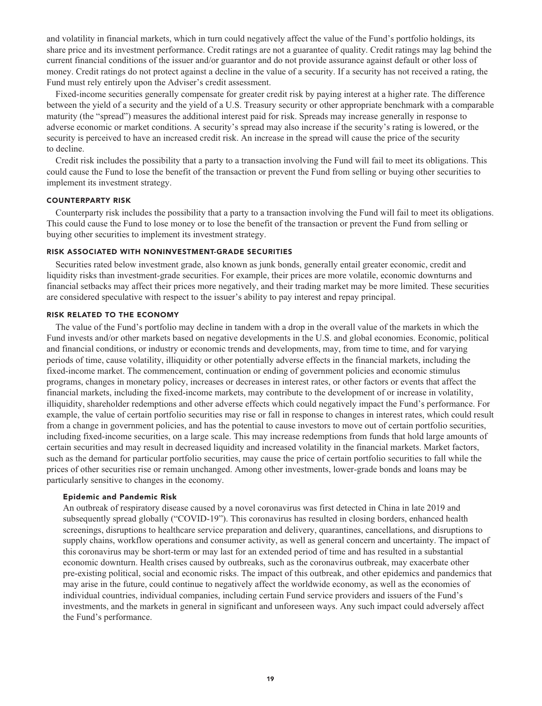**and volatility in financial markets, which in turn could negatively affect the value of the Fund's portfolio holdings, its share price and its investment performance. Credit ratings are not a guarantee of quality. Credit ratings may lag behind the current financial conditions of the issuer and/or guarantor and do not provide assurance against default or other loss of money. Credit ratings do not protect against a decline in the value of a security. If a security has not received a rating, the Fund must rely entirely upon the Adviser's credit assessment.**

**Fixed-income securities generally compensate for greater credit risk by paying interest at a higher rate. The difference between the yield of a security and the yield of a U.S. Treasury security or other appropriate benchmark with a comparable maturity (the "spread") measures the additional interest paid for risk. Spreads may increase generally in response to adverse economic or market conditions. A security's spread may also increase if the security's rating is lowered, or the security is perceived to have an increased credit risk. An increase in the spread will cause the price of the security to decline.**

**Credit risk includes the possibility that a party to a transaction involving the Fund will fail to meet its obligations. This could cause the Fund to lose the benefit of the transaction or prevent the Fund from selling or buying other securities to implement its investment strategy.**

#### **COUNTERPARTY RISK**

**Counterparty risk includes the possibility that a party to a transaction involving the Fund will fail to meet its obligations. This could cause the Fund to lose money or to lose the benefit of the transaction or prevent the Fund from selling or buying other securities to implement its investment strategy.**

#### **RISK ASSOCIATED WITH NONINVESTMENT-GRADE SECURITIES**

**Securities rated below investment grade, also known as junk bonds, generally entail greater economic, credit and liquidity risks than investment-grade securities. For example, their prices are more volatile, economic downturns and financial setbacks may affect their prices more negatively, and their trading market may be more limited. These securities are considered speculative with respect to the issuer's ability to pay interest and repay principal.**

### **RISK RELATED TO THE ECONOMY**

**The value of the Fund's portfolio may decline in tandem with a drop in the overall value of the markets in which the Fund invests and/or other markets based on negative developments in the U.S. and global economies. Economic, political and financial conditions, or industry or economic trends and developments, may, from time to time, and for varying periods of time, cause volatility, illiquidity or other potentially adverse effects in the financial markets, including the fixed-income market. The commencement, continuation or ending of government policies and economic stimulus programs, changes in monetary policy, increases or decreases in interest rates, or other factors or events that affect the financial markets, including the fixed-income markets, may contribute to the development of or increase in volatility, illiquidity, shareholder redemptions and other adverse effects which could negatively impact the Fund's performance. For example, the value of certain portfolio securities may rise or fall in response to changes in interest rates, which could result from a change in government policies, and has the potential to cause investors to move out of certain portfolio securities, including fixed-income securities, on a large scale. This may increase redemptions from funds that hold large amounts of certain securities and may result in decreased liquidity and increased volatility in the financial markets. Market factors, such as the demand for particular portfolio securities, may cause the price of certain portfolio securities to fall while the prices of other securities rise or remain unchanged. Among other investments, lower-grade bonds and loans may be particularly sensitive to changes in the economy.**

#### **Epidemic and Pandemic Risk**

**An outbreak of respiratory disease caused by a novel coronavirus was first detected in China in late 2019 and subsequently spread globally ("COVID-19"). This coronavirus has resulted in closing borders, enhanced health screenings, disruptions to healthcare service preparation and delivery, quarantines, cancellations, and disruptions to supply chains, workflow operations and consumer activity, as well as general concern and uncertainty. The impact of this coronavirus may be short-term or may last for an extended period of time and has resulted in a substantial economic downturn. Health crises caused by outbreaks, such as the coronavirus outbreak, may exacerbate other pre-existing political, social and economic risks. The impact of this outbreak, and other epidemics and pandemics that may arise in the future, could continue to negatively affect the worldwide economy, as well as the economies of individual countries, individual companies, including certain Fund service providers and issuers of the Fund's investments, and the markets in general in significant and unforeseen ways. Any such impact could adversely affect the Fund's performance.**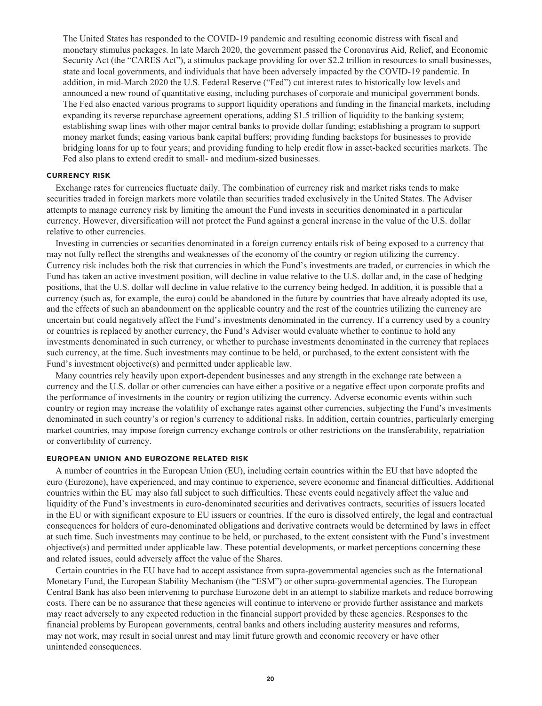**The United States has responded to the COVID-19 pandemic and resulting economic distress with fiscal and monetary stimulus packages. In late March 2020, the government passed the Coronavirus Aid, Relief, and Economic Security Act (the "CARES Act"), a stimulus package providing for over \$2.2 trillion in resources to small businesses, state and local governments, and individuals that have been adversely impacted by the COVID-19 pandemic. In addition, in mid-March 2020 the U.S. Federal Reserve ("Fed") cut interest rates to historically low levels and announced a new round of quantitative easing, including purchases of corporate and municipal government bonds. The Fed also enacted various programs to support liquidity operations and funding in the financial markets, including expanding its reverse repurchase agreement operations, adding \$1.5 trillion of liquidity to the banking system; establishing swap lines with other major central banks to provide dollar funding; establishing a program to support money market funds; easing various bank capital buffers; providing funding backstops for businesses to provide bridging loans for up to four years; and providing funding to help credit flow in asset-backed securities markets. The Fed also plans to extend credit to small- and medium-sized businesses.**

#### **CURRENCY RISK**

**Exchange rates for currencies fluctuate daily. The combination of currency risk and market risks tends to make securities traded in foreign markets more volatile than securities traded exclusively in the United States. The Adviser attempts to manage currency risk by limiting the amount the Fund invests in securities denominated in a particular currency. However, diversification will not protect the Fund against a general increase in the value of the U.S. dollar relative to other currencies.**

**Investing in currencies or securities denominated in a foreign currency entails risk of being exposed to a currency that may not fully reflect the strengths and weaknesses of the economy of the country or region utilizing the currency. Currency risk includes both the risk that currencies in which the Fund's investments are traded, or currencies in which the Fund has taken an active investment position, will decline in value relative to the U.S. dollar and, in the case of hedging positions, that the U.S. dollar will decline in value relative to the currency being hedged. In addition, it is possible that a currency (such as, for example, the euro) could be abandoned in the future by countries that have already adopted its use, and the effects of such an abandonment on the applicable country and the rest of the countries utilizing the currency are uncertain but could negatively affect the Fund's investments denominated in the currency. If a currency used by a country or countries is replaced by another currency, the Fund's Adviser would evaluate whether to continue to hold any investments denominated in such currency, or whether to purchase investments denominated in the currency that replaces such currency, at the time. Such investments may continue to be held, or purchased, to the extent consistent with the Fund's investment objective(s) and permitted under applicable law.**

**Many countries rely heavily upon export-dependent businesses and any strength in the exchange rate between a currency and the U.S. dollar or other currencies can have either a positive or a negative effect upon corporate profits and the performance of investments in the country or region utilizing the currency. Adverse economic events within such country or region may increase the volatility of exchange rates against other currencies, subjecting the Fund's investments denominated in such country's or region's currency to additional risks. In addition, certain countries, particularly emerging market countries, may impose foreign currency exchange controls or other restrictions on the transferability, repatriation or convertibility of currency.**

## **EUROPEAN UNION AND EUROZONE RELATED RISK**

**A number of countries in the European Union (EU), including certain countries within the EU that have adopted the euro (Eurozone), have experienced, and may continue to experience, severe economic and financial difficulties. Additional countries within the EU may also fall subject to such difficulties. These events could negatively affect the value and liquidity of the Fund's investments in euro-denominated securities and derivatives contracts, securities of issuers located in the EU or with significant exposure to EU issuers or countries. If the euro is dissolved entirely, the legal and contractual consequences for holders of euro-denominated obligations and derivative contracts would be determined by laws in effect at such time. Such investments may continue to be held, or purchased, to the extent consistent with the Fund's investment objective(s) and permitted under applicable law. These potential developments, or market perceptions concerning these and related issues, could adversely affect the value of the Shares.**

**Certain countries in the EU have had to accept assistance from supra-governmental agencies such as the International Monetary Fund, the European Stability Mechanism (the "ESM") or other supra-governmental agencies. The European Central Bank has also been intervening to purchase Eurozone debt in an attempt to stabilize markets and reduce borrowing costs. There can be no assurance that these agencies will continue to intervene or provide further assistance and markets may react adversely to any expected reduction in the financial support provided by these agencies. Responses to the financial problems by European governments, central banks and others including austerity measures and reforms, may not work, may result in social unrest and may limit future growth and economic recovery or have other unintended consequences.**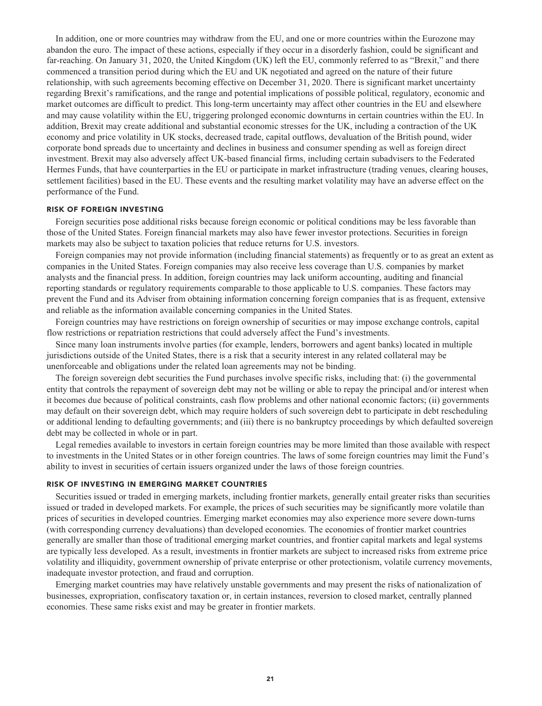**In addition, one or more countries may withdraw from the EU, and one or more countries within the Eurozone may abandon the euro. The impact of these actions, especially if they occur in a disorderly fashion, could be significant and far-reaching. On January 31, 2020, the United Kingdom (UK) left the EU, commonly referred to as "Brexit," and there commenced a transition period during which the EU and UK negotiated and agreed on the nature of their future relationship, with such agreements becoming effective on December 31, 2020. There is significant market uncertainty regarding Brexit's ramifications, and the range and potential implications of possible political, regulatory, economic and market outcomes are difficult to predict. This long-term uncertainty may affect other countries in the EU and elsewhere and may cause volatility within the EU, triggering prolonged economic downturns in certain countries within the EU. In addition, Brexit may create additional and substantial economic stresses for the UK, including a contraction of the UK economy and price volatility in UK stocks, decreased trade, capital outflows, devaluation of the British pound, wider corporate bond spreads due to uncertainty and declines in business and consumer spending as well as foreign direct investment. Brexit may also adversely affect UK-based financial firms, including certain subadvisers to the Federated Hermes Funds, that have counterparties in the EU or participate in market infrastructure (trading venues, clearing houses, settlement facilities) based in the EU. These events and the resulting market volatility may have an adverse effect on the performance of the Fund.**

#### **RISK OF FOREIGN INVESTING**

**Foreign securities pose additional risks because foreign economic or political conditions may be less favorable than those of the United States. Foreign financial markets may also have fewer investor protections. Securities in foreign markets may also be subject to taxation policies that reduce returns for U.S. investors.**

**Foreign companies may not provide information (including financial statements) as frequently or to as great an extent as companies in the United States. Foreign companies may also receive less coverage than U.S. companies by market analysts and the financial press. In addition, foreign countries may lack uniform accounting, auditing and financial reporting standards or regulatory requirements comparable to those applicable to U.S. companies. These factors may prevent the Fund and its Adviser from obtaining information concerning foreign companies that is as frequent, extensive and reliable as the information available concerning companies in the United States.**

**Foreign countries may have restrictions on foreign ownership of securities or may impose exchange controls, capital flow restrictions or repatriation restrictions that could adversely affect the Fund's investments.**

**Since many loan instruments involve parties (for example, lenders, borrowers and agent banks) located in multiple jurisdictions outside of the United States, there is a risk that a security interest in any related collateral may be unenforceable and obligations under the related loan agreements may not be binding.**

**The foreign sovereign debt securities the Fund purchases involve specific risks, including that: (i) the governmental entity that controls the repayment of sovereign debt may not be willing or able to repay the principal and/or interest when it becomes due because of political constraints, cash flow problems and other national economic factors; (ii) governments may default on their sovereign debt, which may require holders of such sovereign debt to participate in debt rescheduling or additional lending to defaulting governments; and (iii) there is no bankruptcy proceedings by which defaulted sovereign debt may be collected in whole or in part.**

**Legal remedies available to investors in certain foreign countries may be more limited than those available with respect to investments in the United States or in other foreign countries. The laws of some foreign countries may limit the Fund's ability to invest in securities of certain issuers organized under the laws of those foreign countries.**

#### **RISK OF INVESTING IN EMERGING MARKET COUNTRIES**

**Securities issued or traded in emerging markets, including frontier markets, generally entail greater risks than securities issued or traded in developed markets. For example, the prices of such securities may be significantly more volatile than prices of securities in developed countries. Emerging market economies may also experience more severe down-turns (with corresponding currency devaluations) than developed economies. The economies of frontier market countries generally are smaller than those of traditional emerging market countries, and frontier capital markets and legal systems are typically less developed. As a result, investments in frontier markets are subject to increased risks from extreme price volatility and illiquidity, government ownership of private enterprise or other protectionism, volatile currency movements, inadequate investor protection, and fraud and corruption.**

**Emerging market countries may have relatively unstable governments and may present the risks of nationalization of businesses, expropriation, confiscatory taxation or, in certain instances, reversion to closed market, centrally planned economies. These same risks exist and may be greater in frontier markets.**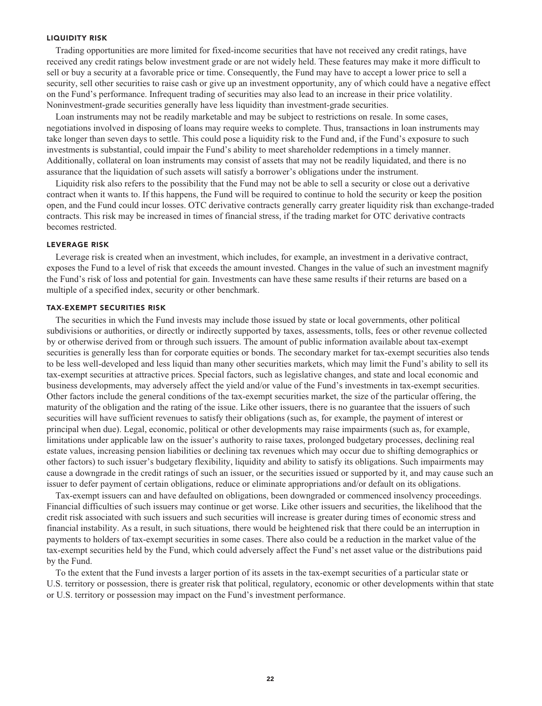#### **LIQUIDITY RISK**

**Trading opportunities are more limited for fixed-income securities that have not received any credit ratings, have received any credit ratings below investment grade or are not widely held. These features may make it more difficult to sell or buy a security at a favorable price or time. Consequently, the Fund may have to accept a lower price to sell a security, sell other securities to raise cash or give up an investment opportunity, any of which could have a negative effect on the Fund's performance. Infrequent trading of securities may also lead to an increase in their price volatility. Noninvestment-grade securities generally have less liquidity than investment-grade securities.**

**Loan instruments may not be readily marketable and may be subject to restrictions on resale. In some cases, negotiations involved in disposing of loans may require weeks to complete. Thus, transactions in loan instruments may take longer than seven days to settle. This could pose a liquidity risk to the Fund and, if the Fund's exposure to such investments is substantial, could impair the Fund's ability to meet shareholder redemptions in a timely manner. Additionally, collateral on loan instruments may consist of assets that may not be readily liquidated, and there is no assurance that the liquidation of such assets will satisfy a borrower's obligations under the instrument.**

**Liquidity risk also refers to the possibility that the Fund may not be able to sell a security or close out a derivative contract when it wants to. If this happens, the Fund will be required to continue to hold the security or keep the position open, and the Fund could incur losses. OTC derivative contracts generally carry greater liquidity risk than exchange-traded contracts. This risk may be increased in times of financial stress, if the trading market for OTC derivative contracts becomes restricted.**

### **LEVERAGE RISK**

**Leverage risk is created when an investment, which includes, for example, an investment in a derivative contract, exposes the Fund to a level of risk that exceeds the amount invested. Changes in the value of such an investment magnify the Fund's risk of loss and potential for gain. Investments can have these same results if their returns are based on a multiple of a specified index, security or other benchmark.**

#### **TAX-EXEMPT SECURITIES RISK**

**The securities in which the Fund invests may include those issued by state or local governments, other political subdivisions or authorities, or directly or indirectly supported by taxes, assessments, tolls, fees or other revenue collected by or otherwise derived from or through such issuers. The amount of public information available about tax-exempt securities is generally less than for corporate equities or bonds. The secondary market for tax-exempt securities also tends to be less well-developed and less liquid than many other securities markets, which may limit the Fund's ability to sell its tax-exempt securities at attractive prices. Special factors, such as legislative changes, and state and local economic and business developments, may adversely affect the yield and/or value of the Fund's investments in tax-exempt securities. Other factors include the general conditions of the tax-exempt securities market, the size of the particular offering, the maturity of the obligation and the rating of the issue. Like other issuers, there is no guarantee that the issuers of such securities will have sufficient revenues to satisfy their obligations (such as, for example, the payment of interest or principal when due). Legal, economic, political or other developments may raise impairments (such as, for example, limitations under applicable law on the issuer's authority to raise taxes, prolonged budgetary processes, declining real estate values, increasing pension liabilities or declining tax revenues which may occur due to shifting demographics or other factors) to such issuer's budgetary flexibility, liquidity and ability to satisfy its obligations. Such impairments may cause a downgrade in the credit ratings of such an issuer, or the securities issued or supported by it, and may cause such an issuer to defer payment of certain obligations, reduce or eliminate appropriations and/or default on its obligations.**

**Tax-exempt issuers can and have defaulted on obligations, been downgraded or commenced insolvency proceedings. Financial difficulties of such issuers may continue or get worse. Like other issuers and securities, the likelihood that the credit risk associated with such issuers and such securities will increase is greater during times of economic stress and financial instability. As a result, in such situations, there would be heightened risk that there could be an interruption in payments to holders of tax-exempt securities in some cases. There also could be a reduction in the market value of the tax-exempt securities held by the Fund, which could adversely affect the Fund's net asset value or the distributions paid by the Fund.**

**To the extent that the Fund invests a larger portion of its assets in the tax-exempt securities of a particular state or U.S. territory or possession, there is greater risk that political, regulatory, economic or other developments within that state or U.S. territory or possession may impact on the Fund's investment performance.**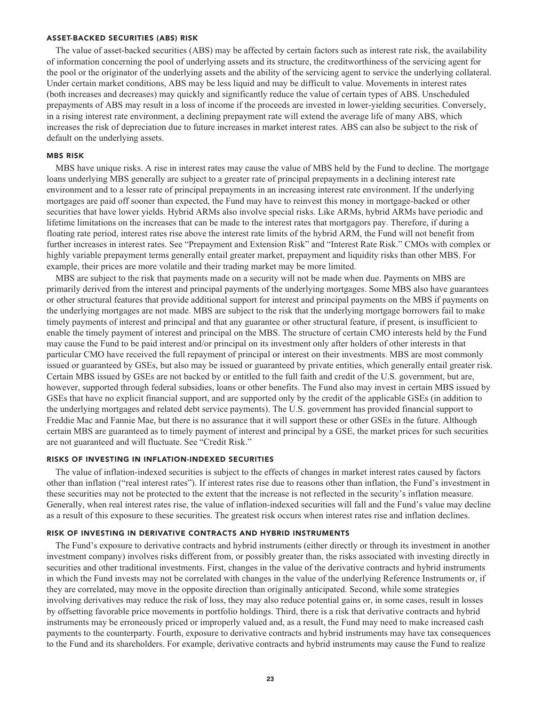## **ASSET-BACKED SECURITIES (ABS) RISK**

**The value of asset-backed securities (ABS) may be affected by certain factors such as interest rate risk, the availability of information concerning the pool of underlying assets and its structure, the creditworthiness of the servicing agent for the pool or the originator of the underlying assets and the ability of the servicing agent to service the underlying collateral. Under certain market conditions, ABS may be less liquid and may be difficult to value. Movements in interest rates (both increases and decreases) may quickly and significantly reduce the value of certain types of ABS. Unscheduled prepayments of ABS may result in a loss of income if the proceeds are invested in lower-yielding securities. Conversely, in a rising interest rate environment, a declining prepayment rate will extend the average life of many ABS, which increases the risk of depreciation due to future increases in market interest rates. ABS can also be subject to the risk of default on the underlying assets.**

## **MBS RISK**

**MBS have unique risks. A rise in interest rates may cause the value of MBS held by the Fund to decline. The mortgage loans underlying MBS generally are subject to a greater rate of principal prepayments in a declining interest rate environment and to a lesser rate of principal prepayments in an increasing interest rate environment. If the underlying mortgages are paid off sooner than expected, the Fund may have to reinvest this money in mortgage-backed or other securities that have lower yields. Hybrid ARMs also involve special risks. Like ARMs, hybrid ARMs have periodic and lifetime limitations on the increases that can be made to the interest rates that mortgagors pay. Therefore, if during a floating rate period, interest rates rise above the interest rate limits of the hybrid ARM, the Fund will not benefit from further increases in interest rates. See "Prepayment and Extension Risk" and "Interest Rate Risk." CMOs with complex or highly variable prepayment terms generally entail greater market, prepayment and liquidity risks than other MBS. For example, their prices are more volatile and their trading market may be more limited.**

**MBS are subject to the risk that payments made on a security will not be made when due. Payments on MBS are primarily derived from the interest and principal payments of the underlying mortgages. Some MBS also have guarantees or other structural features that provide additional support for interest and principal payments on the MBS if payments on the underlying mortgages are not made. MBS are subject to the risk that the underlying mortgage borrowers fail to make timely payments of interest and principal and that any guarantee or other structural feature, if present, is insufficient to enable the timely payment of interest and principal on the MBS. The structure of certain CMO interests held by the Fund may cause the Fund to be paid interest and/or principal on its investment only after holders of other interests in that particular CMO have received the full repayment of principal or interest on their investments. MBS are most commonly issued or guaranteed by GSEs, but also may be issued or guaranteed by private entities, which generally entail greater risk. Certain MBS issued by GSEs are not backed by or entitled to the full faith and credit of the U.S. government, but are, however, supported through federal subsidies, loans or other benefits. The Fund also may invest in certain MBS issued by GSEs that have no explicit financial support, and are supported only by the credit of the applicable GSEs (in addition to the underlying mortgages and related debt service payments). The U.S. government has provided financial support to Freddie Mac and Fannie Mae, but there is no assurance that it will support these or other GSEs in the future. Although certain MBS are guaranteed as to timely payment of interest and principal by a GSE, the market prices for such securities are not guaranteed and will fluctuate. See "Credit Risk."**

#### **RISKS OF INVESTING IN INFLATION-INDEXED SECURITIES**

**The value of inflation-indexed securities is subject to the effects of changes in market interest rates caused by factors other than inflation ("real interest rates"). If interest rates rise due to reasons other than inflation, the Fund's investment in these securities may not be protected to the extent that the increase is not reflected in the security's inflation measure. Generally, when real interest rates rise, the value of inflation-indexed securities will fall and the Fund's value may decline as a result of this exposure to these securities. The greatest risk occurs when interest rates rise and inflation declines.**

#### **RISK OF INVESTING IN DERIVATIVE CONTRACTS AND HYBRID INSTRUMENTS**

**The Fund's exposure to derivative contracts and hybrid instruments (either directly or through its investment in another investment company) involves risks different from, or possibly greater than, the risks associated with investing directly in securities and other traditional investments. First, changes in the value of the derivative contracts and hybrid instruments in which the Fund invests may not be correlated with changes in the value of the underlying Reference Instruments or, if they are correlated, may move in the opposite direction than originally anticipated. Second, while some strategies involving derivatives may reduce the risk of loss, they may also reduce potential gains or, in some cases, result in losses by offsetting favorable price movements in portfolio holdings. Third, there is a risk that derivative contracts and hybrid instruments may be erroneously priced or improperly valued and, as a result, the Fund may need to make increased cash payments to the counterparty. Fourth, exposure to derivative contracts and hybrid instruments may have tax consequences to the Fund and its shareholders. For example, derivative contracts and hybrid instruments may cause the Fund to realize**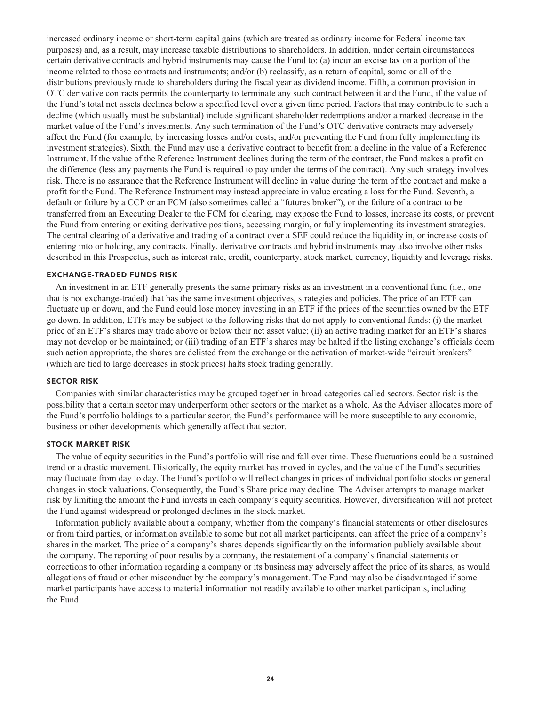**increased ordinary income or short-term capital gains (which are treated as ordinary income for Federal income tax purposes) and, as a result, may increase taxable distributions to shareholders. In addition, under certain circumstances certain derivative contracts and hybrid instruments may cause the Fund to: (a) incur an excise tax on a portion of the income related to those contracts and instruments; and/or (b) reclassify, as a return of capital, some or all of the distributions previously made to shareholders during the fiscal year as dividend income. Fifth, a common provision in OTC derivative contracts permits the counterparty to terminate any such contract between it and the Fund, if the value of the Fund's total net assets declines below a specified level over a given time period. Factors that may contribute to such a decline (which usually must be substantial) include significant shareholder redemptions and/or a marked decrease in the market value of the Fund's investments. Any such termination of the Fund's OTC derivative contracts may adversely affect the Fund (for example, by increasing losses and/or costs, and/or preventing the Fund from fully implementing its investment strategies). Sixth, the Fund may use a derivative contract to benefit from a decline in the value of a Reference Instrument. If the value of the Reference Instrument declines during the term of the contract, the Fund makes a profit on the difference (less any payments the Fund is required to pay under the terms of the contract). Any such strategy involves risk. There is no assurance that the Reference Instrument will decline in value during the term of the contract and make a profit for the Fund. The Reference Instrument may instead appreciate in value creating a loss for the Fund. Seventh, a default or failure by a CCP or an FCM (also sometimes called a "futures broker"), or the failure of a contract to be transferred from an Executing Dealer to the FCM for clearing, may expose the Fund to losses, increase its costs, or prevent the Fund from entering or exiting derivative positions, accessing margin, or fully implementing its investment strategies. The central clearing of a derivative and trading of a contract over a SEF could reduce the liquidity in, or increase costs of entering into or holding, any contracts. Finally, derivative contracts and hybrid instruments may also involve other risks described in this Prospectus, such as interest rate, credit, counterparty, stock market, currency, liquidity and leverage risks.**

## **EXCHANGE-TRADED FUNDS RISK**

**An investment in an ETF generally presents the same primary risks as an investment in a conventional fund (i.e., one that is not exchange-traded) that has the same investment objectives, strategies and policies. The price of an ETF can fluctuate up or down, and the Fund could lose money investing in an ETF if the prices of the securities owned by the ETF go down. In addition, ETFs may be subject to the following risks that do not apply to conventional funds: (i) the market price of an ETF's shares may trade above or below their net asset value; (ii) an active trading market for an ETF's shares may not develop or be maintained; or (iii) trading of an ETF's shares may be halted if the listing exchange's officials deem such action appropriate, the shares are delisted from the exchange or the activation of market-wide "circuit breakers" (which are tied to large decreases in stock prices) halts stock trading generally.**

#### **SECTOR RISK**

**Companies with similar characteristics may be grouped together in broad categories called sectors. Sector risk is the possibility that a certain sector may underperform other sectors or the market as a whole. As the Adviser allocates more of the Fund's portfolio holdings to a particular sector, the Fund's performance will be more susceptible to any economic, business or other developments which generally affect that sector.**

## **STOCK MARKET RISK**

**The value of equity securities in the Fund's portfolio will rise and fall over time. These fluctuations could be a sustained trend or a drastic movement. Historically, the equity market has moved in cycles, and the value of the Fund's securities may fluctuate from day to day. The Fund's portfolio will reflect changes in prices of individual portfolio stocks or general changes in stock valuations. Consequently, the Fund's Share price may decline. The Adviser attempts to manage market risk by limiting the amount the Fund invests in each company's equity securities. However, diversification will not protect the Fund against widespread or prolonged declines in the stock market.**

**Information publicly available about a company, whether from the company's financial statements or other disclosures or from third parties, or information available to some but not all market participants, can affect the price of a company's shares in the market. The price of a company's shares depends significantly on the information publicly available about the company. The reporting of poor results by a company, the restatement of a company's financial statements or corrections to other information regarding a company or its business may adversely affect the price of its shares, as would allegations of fraud or other misconduct by the company's management. The Fund may also be disadvantaged if some market participants have access to material information not readily available to other market participants, including the Fund.**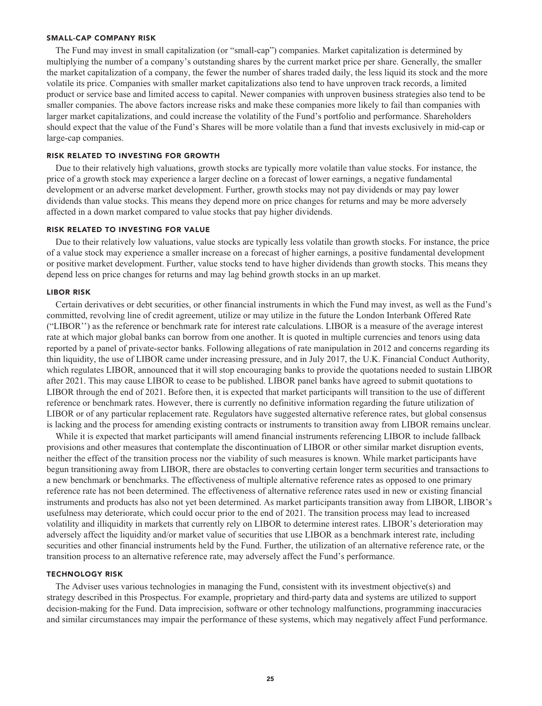#### **SMALL-CAP COMPANY RISK**

**The Fund may invest in small capitalization (or "small-cap") companies. Market capitalization is determined by multiplying the number of a company's outstanding shares by the current market price per share. Generally, the smaller the market capitalization of a company, the fewer the number of shares traded daily, the less liquid its stock and the more volatile its price. Companies with smaller market capitalizations also tend to have unproven track records, a limited product or service base and limited access to capital. Newer companies with unproven business strategies also tend to be smaller companies. The above factors increase risks and make these companies more likely to fail than companies with larger market capitalizations, and could increase the volatility of the Fund's portfolio and performance. Shareholders should expect that the value of the Fund's Shares will be more volatile than a fund that invests exclusively in mid-cap or large-cap companies.**

#### **RISK RELATED TO INVESTING FOR GROWTH**

**Due to their relatively high valuations, growth stocks are typically more volatile than value stocks. For instance, the price of a growth stock may experience a larger decline on a forecast of lower earnings, a negative fundamental development or an adverse market development. Further, growth stocks may not pay dividends or may pay lower dividends than value stocks. This means they depend more on price changes for returns and may be more adversely affected in a down market compared to value stocks that pay higher dividends.**

#### **RISK RELATED TO INVESTING FOR VALUE**

**Due to their relatively low valuations, value stocks are typically less volatile than growth stocks. For instance, the price of a value stock may experience a smaller increase on a forecast of higher earnings, a positive fundamental development or positive market development. Further, value stocks tend to have higher dividends than growth stocks. This means they depend less on price changes for returns and may lag behind growth stocks in an up market.**

#### **LIBOR RISK**

**Certain derivatives or debt securities, or other financial instruments in which the Fund may invest, as well as the Fund's committed, revolving line of credit agreement, utilize or may utilize in the future the London Interbank Offered Rate ("LIBOR'') as the reference or benchmark rate for interest rate calculations. LIBOR is a measure of the average interest rate at which major global banks can borrow from one another. It is quoted in multiple currencies and tenors using data reported by a panel of private-sector banks. Following allegations of rate manipulation in 2012 and concerns regarding its thin liquidity, the use of LIBOR came under increasing pressure, and in July 2017, the U.K. Financial Conduct Authority, which regulates LIBOR, announced that it will stop encouraging banks to provide the quotations needed to sustain LIBOR after 2021. This may cause LIBOR to cease to be published. LIBOR panel banks have agreed to submit quotations to LIBOR through the end of 2021. Before then, it is expected that market participants will transition to the use of different reference or benchmark rates. However, there is currently no definitive information regarding the future utilization of LIBOR or of any particular replacement rate. Regulators have suggested alternative reference rates, but global consensus is lacking and the process for amending existing contracts or instruments to transition away from LIBOR remains unclear.**

**While it is expected that market participants will amend financial instruments referencing LIBOR to include fallback provisions and other measures that contemplate the discontinuation of LIBOR or other similar market disruption events, neither the effect of the transition process nor the viability of such measures is known. While market participants have begun transitioning away from LIBOR, there are obstacles to converting certain longer term securities and transactions to a new benchmark or benchmarks. The effectiveness of multiple alternative reference rates as opposed to one primary reference rate has not been determined. The effectiveness of alternative reference rates used in new or existing financial instruments and products has also not yet been determined. As market participants transition away from LIBOR, LIBOR's usefulness may deteriorate, which could occur prior to the end of 2021. The transition process may lead to increased volatility and illiquidity in markets that currently rely on LIBOR to determine interest rates. LIBOR's deterioration may adversely affect the liquidity and/or market value of securities that use LIBOR as a benchmark interest rate, including securities and other financial instruments held by the Fund. Further, the utilization of an alternative reference rate, or the transition process to an alternative reference rate, may adversely affect the Fund's performance.**

#### **TECHNOLOGY RISK**

**The Adviser uses various technologies in managing the Fund, consistent with its investment objective(s) and strategy described in this Prospectus. For example, proprietary and third-party data and systems are utilized to support decision-making for the Fund. Data imprecision, software or other technology malfunctions, programming inaccuracies and similar circumstances may impair the performance of these systems, which may negatively affect Fund performance.**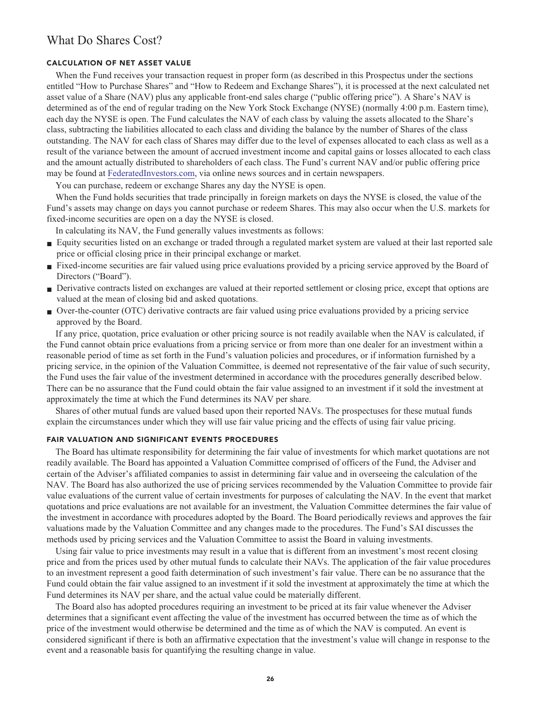## **What Do Shares Cost?**

## **CALCULATION OF NET ASSET VALUE**

**When the Fund receives your transaction request in proper form (as described in this Prospectus under the sections entitled "How to Purchase Shares" and "How to Redeem and Exchange Shares"), it is processed at the next calculated net asset value of a Share (NAV) plus any applicable front-end sales charge ("public offering price"). A Share's NAV is determined as of the end of regular trading on the New York Stock Exchange (NYSE) (normally 4:00 p.m. Eastern time), each day the NYSE is open. The Fund calculates the NAV of each class by valuing the assets allocated to the Share's class, subtracting the liabilities allocated to each class and dividing the balance by the number of Shares of the class outstanding. The NAV for each class of Shares may differ due to the level of expenses allocated to each class as well as a result of the variance between the amount of accrued investment income and capital gains or losses allocated to each class and the amount actually distributed to shareholders of each class. The Fund's current NAV and/or public offering price may be found at [FederatedInvestors.com,](https://www.federatedinvestors.com/home.do) via online news sources and in certain newspapers.**

**You can purchase, redeem or exchange Shares any day the NYSE is open.**

When the Fund holds securities that trade principally in foreign markets on days the NYSE is closed, the value of the **Fund's assets may change on days you cannot purchase or redeem Shares. This may also occur when the U.S. markets for fixed-income securities are open on a day the NYSE is closed.**

**In calculating its NAV, the Fund generally values investments as follows:**

- **■ Equity securities listed on an exchange or traded through a regulated market system are valued at their last reported sale price or official closing price in their principal exchange or market.**
- **■ Fixed-income securities are fair valued using price evaluations provided by a pricing service approved by the Board of Directors ("Board").**
- **■ Derivative contracts listed on exchanges are valued at their reported settlement or closing price, except that options are valued at the mean of closing bid and asked quotations.**
- **■ Over-the-counter (OTC) derivative contracts are fair valued using price evaluations provided by a pricing service approved by the Board.**

**If any price, quotation, price evaluation or other pricing source is not readily available when the NAV is calculated, if the Fund cannot obtain price evaluations from a pricing service or from more than one dealer for an investment within a reasonable period of time as set forth in the Fund's valuation policies and procedures, or if information furnished by a pricing service, in the opinion of the Valuation Committee, is deemed not representative of the fair value of such security, the Fund uses the fair value of the investment determined in accordance with the procedures generally described below. There can be no assurance that the Fund could obtain the fair value assigned to an investment if it sold the investment at approximately the time at which the Fund determines its NAV per share.**

**Shares of other mutual funds are valued based upon their reported NAVs. The prospectuses for these mutual funds explain the circumstances under which they will use fair value pricing and the effects of using fair value pricing.**

#### **FAIR VALUATION AND SIGNIFICANT EVENTS PROCEDURES**

**The Board has ultimate responsibility for determining the fair value of investments for which market quotations are not readily available. The Board has appointed a Valuation Committee comprised of officers of the Fund, the Adviser and certain of the Adviser's affiliated companies to assist in determining fair value and in overseeing the calculation of the NAV. The Board has also authorized the use of pricing services recommended by the Valuation Committee to provide fair value evaluations of the current value of certain investments for purposes of calculating the NAV. In the event that market quotations and price evaluations are not available for an investment, the Valuation Committee determines the fair value of the investment in accordance with procedures adopted by the Board. The Board periodically reviews and approves the fair valuations made by the Valuation Committee and any changes made to the procedures. The Fund's SAI discusses the methods used by pricing services and the Valuation Committee to assist the Board in valuing investments.**

**Using fair value to price investments may result in a value that is different from an investment's most recent closing price and from the prices used by other mutual funds to calculate their NAVs. The application of the fair value procedures to an investment represent a good faith determination of such investment's fair value. There can be no assurance that the Fund could obtain the fair value assigned to an investment if it sold the investment at approximately the time at which the Fund determines its NAV per share, and the actual value could be materially different.**

**The Board also has adopted procedures requiring an investment to be priced at its fair value whenever the Adviser determines that a significant event affecting the value of the investment has occurred between the time as of which the price of the investment would otherwise be determined and the time as of which the NAV is computed. An event is considered significant if there is both an affirmative expectation that the investment's value will change in response to the event and a reasonable basis for quantifying the resulting change in value.**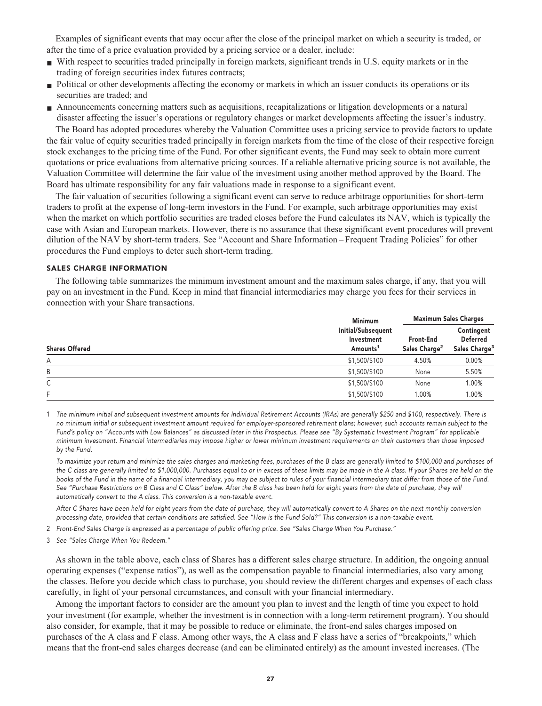**Examples of significant events that may occur after the close of the principal market on which a security is traded, or after the time of a price evaluation provided by a pricing service or a dealer, include:**

- **■ With respect to securities traded principally in foreign markets, significant trends in U.S. equity markets or in the trading of foreign securities index futures contracts;**
- **• Political or other developments affecting the economy or markets in which an issuer conducts its operations or its securities are traded; and**
- Announcements concerning matters such as acquisitions, recapitalizations or litigation developments or a natural **disaster affecting the issuer's operations or regulatory changes or market developments affecting the issuer's industry.**

**The Board has adopted procedures whereby the Valuation Committee uses a pricing service to provide factors to update the fair value of equity securities traded principally in foreign markets from the time of the close of their respective foreign stock exchanges to the pricing time of the Fund. For other significant events, the Fund may seek to obtain more current quotations or price evaluations from alternative pricing sources. If a reliable alternative pricing source is not available, the Valuation Committee will determine the fair value of the investment using another method approved by the Board. The Board has ultimate responsibility for any fair valuations made in response to a significant event.**

**The fair valuation of securities following a significant event can serve to reduce arbitrage opportunities for short-term traders to profit at the expense of long-term investors in the Fund. For example, such arbitrage opportunities may exist when the market on which portfolio securities are traded closes before the Fund calculates its NAV, which is typically the case with Asian and European markets. However, there is no assurance that these significant event procedures will prevent dilution of the NAV by short-term traders. See "Account and Share Information – Frequent Trading Policies" for other procedures the Fund employs to deter such short-term trading.**

#### **SALES CHARGE INFORMATION**

**The following table summarizes the minimum investment amount and the maximum sales charge, if any, that you will pay on an investment in the Fund. Keep in mind that financial intermediaries may charge you fees for their services in connection with your Share transactions.**

|                       | <b>Minimum</b>                                           | <b>Maximum Sales Charges</b>           |                                                            |  |
|-----------------------|----------------------------------------------------------|----------------------------------------|------------------------------------------------------------|--|
| <b>Shares Offered</b> | Initial/Subsequent<br>Investment<br>Amounts <sup>1</sup> | Front-End<br>Sales Charge <sup>2</sup> | Contingent<br><b>Deferred</b><br>Sales Charge <sup>3</sup> |  |
| А                     | \$1,500/\$100                                            | 4.50%                                  | 0.00%                                                      |  |
| В                     | \$1,500/\$100                                            | None                                   | 5.50%                                                      |  |
| С                     | \$1,500/\$100                                            | None                                   | 1.00%                                                      |  |
| F                     | \$1,500/\$100                                            | 1.00%                                  | 1.00%                                                      |  |

**1 The minimum initial and subsequent investment amounts for Individual Retirement Accounts (IRAs) are generally \$250 and \$100, respectively. There is no minimum initial or subsequent investment amount required for employer-sponsored retirement plans; however, such accounts remain subject to the Fund's policy on "Accounts with Low Balances" as discussed later in this Prospectus. Please see "By Systematic Investment Program" for applicable minimum investment. Financial intermediaries may impose higher or lower minimum investment requirements on their customers than those imposed by the Fund.**

 **To maximize your return and minimize the sales charges and marketing fees, purchases of the B class are generally limited to \$100,000 and purchases of the C class are generally limited to \$1,000,000. Purchases equal to or in excess of these limits may be made in the A class. If your Shares are held on the books of the Fund in the name of a financial intermediary, you may be subject to rules of your financial intermediary that differ from those of the Fund. See "Purchase Restrictions on B Class and C Class" below. After the B class has been held for eight years from the date of purchase, they will automatically convert to the A class. This conversion is a non-taxable event.**

 **After C Shares have been held for eight years from the date of purchase, they will automatically convert to A Shares on the next monthly conversion processing date, provided that certain conditions are satisfied. See "How is the Fund Sold?" This conversion is a non-taxable event.**

**2 Front-End Sales Charge is expressed as a percentage of public offering price. See "Sales Charge When You Purchase."**

**3 See "Sales Charge When You Redeem."**

**As shown in the table above, each class of Shares has a different sales charge structure. In addition, the ongoing annual operating expenses ("expense ratios"), as well as the compensation payable to financial intermediaries, also vary among the classes. Before you decide which class to purchase, you should review the different charges and expenses of each class carefully, in light of your personal circumstances, and consult with your financial intermediary.**

**Among the important factors to consider are the amount you plan to invest and the length of time you expect to hold your investment (for example, whether the investment is in connection with a long-term retirement program). You should also consider, for example, that it may be possible to reduce or eliminate, the front-end sales charges imposed on purchases of the A class and F class. Among other ways, the A class and F class have a series of "breakpoints," which means that the front-end sales charges decrease (and can be eliminated entirely) as the amount invested increases. (The**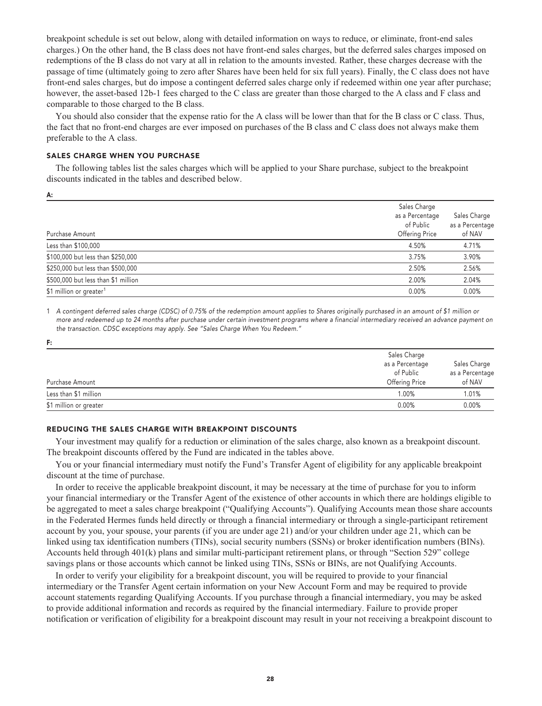**breakpoint schedule is set out below, along with detailed information on ways to reduce, or eliminate, front-end sales charges.) On the other hand, the B class does not have front-end sales charges, but the deferred sales charges imposed on redemptions of the B class do not vary at all in relation to the amounts invested. Rather, these charges decrease with the passage of time (ultimately going to zero after Shares have been held for six full years). Finally, the C class does not have front-end sales charges, but do impose a contingent deferred sales charge only if redeemed within one year after purchase; however, the asset-based 12b-1 fees charged to the C class are greater than those charged to the A class and F class and comparable to those charged to the B class.**

**You should also consider that the expense ratio for the A class will be lower than that for the B class or C class. Thus, the fact that no front-end charges are ever imposed on purchases of the B class and C class does not always make them preferable to the A class.**

#### **SALES CHARGE WHEN YOU PURCHASE**

**The following tables list the sales charges which will be applied to your Share purchase, subject to the breakpoint discounts indicated in the tables and described below.**

| Purchase Amount                     | Sales Charge<br>as a Percentage<br>of Public<br>Offering Price | Sales Charge<br>as a Percentage<br>of NAV |
|-------------------------------------|----------------------------------------------------------------|-------------------------------------------|
| Less than \$100,000                 | 4.50%                                                          | 4.71%                                     |
| \$100,000 but less than \$250,000   | 3.75%                                                          | 3.90%                                     |
| \$250,000 but less than \$500,000   | 2.50%                                                          | 2.56%                                     |
| \$500,000 but less than \$1 million | 2.00%                                                          | 2.04%                                     |
| \$1 million or greater <sup>1</sup> | 0.00%                                                          | 0.00%                                     |

**1 A contingent deferred sales charge (CDSC) of 0.75% of the redemption amount applies to Shares originally purchased in an amount of \$1 million or more and redeemed up to 24 months after purchase under certain investment programs where a financial intermediary received an advance payment on the transaction. CDSC exceptions may apply. See "Sales Charge When You Redeem."**

| F:                     |                 |                 |
|------------------------|-----------------|-----------------|
|                        | Sales Charge    |                 |
|                        | as a Percentage | Sales Charge    |
|                        | of Public       | as a Percentage |
| Purchase Amount        | Offering Price  | of NAV          |
| Less than \$1 million  | 1.00%           | 1.01%           |
| \$1 million or greater | 0.00%           | 0.00%           |

## **REDUCING THE SALES CHARGE WITH BREAKPOINT DISCOUNTS**

**Your investment may qualify for a reduction or elimination of the sales charge, also known as a breakpoint discount. The breakpoint discounts offered by the Fund are indicated in the tables above.**

**You or your financial intermediary must notify the Fund's Transfer Agent of eligibility for any applicable breakpoint discount at the time of purchase.**

**In order to receive the applicable breakpoint discount, it may be necessary at the time of purchase for you to inform your financial intermediary or the Transfer Agent of the existence of other accounts in which there are holdings eligible to be aggregated to meet a sales charge breakpoint ("Qualifying Accounts"). Qualifying Accounts mean those share accounts in the Federated Hermes funds held directly or through a financial intermediary or through a single-participant retirement account by you, your spouse, your parents (if you are under age 21) and/or your children under age 21, which can be linked using tax identification numbers (TINs), social security numbers (SSNs) or broker identification numbers (BINs). Accounts held through 401(k) plans and similar multi-participant retirement plans, or through "Section 529" college savings plans or those accounts which cannot be linked using TINs, SSNs or BINs, are not Qualifying Accounts.**

**In order to verify your eligibility for a breakpoint discount, you will be required to provide to your financial intermediary or the Transfer Agent certain information on your New Account Form and may be required to provide account statements regarding Qualifying Accounts. If you purchase through a financial intermediary, you may be asked to provide additional information and records as required by the financial intermediary. Failure to provide proper notification or verification of eligibility for a breakpoint discount may result in your not receiving a breakpoint discount to**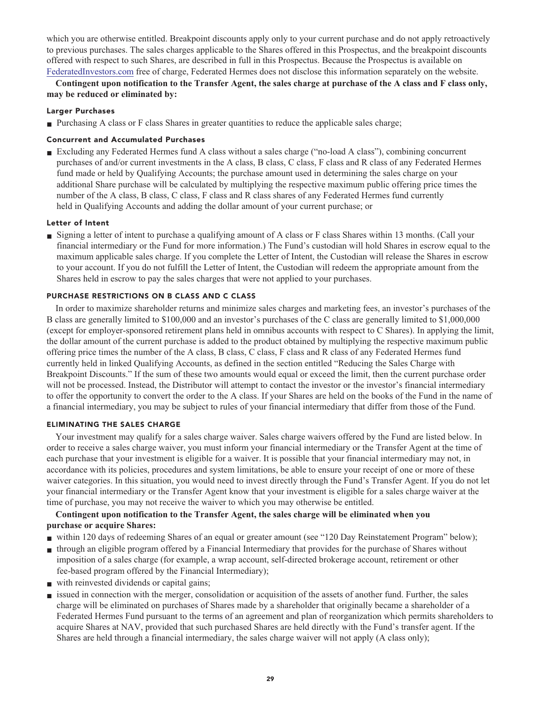**which you are otherwise entitled. Breakpoint discounts apply only to your current purchase and do not apply retroactively to previous purchases. The sales charges applicable to the Shares offered in this Prospectus, and the breakpoint discounts offered with respect to such Shares, are described in full in this Prospectus. Because the Prospectus is available on [FederatedInvestors.com](https://www.federatedinvestors.com/home.do) free of charge, Federated Hermes does not disclose this information separately on the website.**

**Contingent upon notification to the Transfer Agent, the sales charge at purchase of the A class and F class only, may be reduced or eliminated by:**

## **Larger Purchases**

■ Purchasing A class or F class Shares in greater quantities to reduce the applicable sales charge;

## **Concurrent and Accumulated Purchases**

**■ Excluding any Federated Hermes fund A class without a sales charge ("no-load A class"), combining concurrent purchases of and/or current investments in the A class, B class, C class, F class and R class of any Federated Hermes fund made or held by Qualifying Accounts; the purchase amount used in determining the sales charge on your additional Share purchase will be calculated by multiplying the respective maximum public offering price times the number of the A class, B class, C class, F class and R class shares of any Federated Hermes fund currently held in Qualifying Accounts and adding the dollar amount of your current purchase; or**

## **Letter of Intent**

**■ Signing a letter of intent to purchase a qualifying amount of A class or F class Shares within 13 months. (Call your financial intermediary or the Fund for more information.) The Fund's custodian will hold Shares in escrow equal to the maximum applicable sales charge. If you complete the Letter of Intent, the Custodian will release the Shares in escrow to your account. If you do not fulfill the Letter of Intent, the Custodian will redeem the appropriate amount from the Shares held in escrow to pay the sales charges that were not applied to your purchases.**

## **PURCHASE RESTRICTIONS ON B CLASS AND C CLASS**

**In order to maximize shareholder returns and minimize sales charges and marketing fees, an investor's purchases of the B class are generally limited to \$100,000 and an investor's purchases of the C class are generally limited to \$1,000,000 (except for employer-sponsored retirement plans held in omnibus accounts with respect to C Shares). In applying the limit, the dollar amount of the current purchase is added to the product obtained by multiplying the respective maximum public offering price times the number of the A class, B class, C class, F class and R class of any Federated Hermes fund currently held in linked Qualifying Accounts, as defined in the section entitled "Reducing the Sales Charge with Breakpoint Discounts." If the sum of these two amounts would equal or exceed the limit, then the current purchase order will not be processed. Instead, the Distributor will attempt to contact the investor or the investor's financial intermediary to offer the opportunity to convert the order to the A class. If your Shares are held on the books of the Fund in the name of a financial intermediary, you may be subject to rules of your financial intermediary that differ from those of the Fund.**

## **ELIMINATING THE SALES CHARGE**

**Your investment may qualify for a sales charge waiver. Sales charge waivers offered by the Fund are listed below. In order to receive a sales charge waiver, you must inform your financial intermediary or the Transfer Agent at the time of each purchase that your investment is eligible for a waiver. It is possible that your financial intermediary may not, in accordance with its policies, procedures and system limitations, be able to ensure your receipt of one or more of these waiver categories. In this situation, you would need to invest directly through the Fund's Transfer Agent. If you do not let your financial intermediary or the Transfer Agent know that your investment is eligible for a sales charge waiver at the time of purchase, you may not receive the waiver to which you may otherwise be entitled.**

## **Contingent upon notification to the Transfer Agent, the sales charge will be eliminated when you purchase or acquire Shares:**

- **within 120 days of redeeming Shares of an equal or greater amount (see "120 Day Reinstatement Program" below);**
- **■ through an eligible program offered by a Financial Intermediary that provides for the purchase of Shares without imposition of a sales charge (for example, a wrap account, self-directed brokerage account, retirement or other fee-based program offered by the Financial Intermediary);**
- with reinvested dividends or capital gains;
- **issued in connection with the merger, consolidation or acquisition of the assets of another fund. Further, the sales charge will be eliminated on purchases of Shares made by a shareholder that originally became a shareholder of a Federated Hermes Fund pursuant to the terms of an agreement and plan of reorganization which permits shareholders to acquire Shares at NAV, provided that such purchased Shares are held directly with the Fund's transfer agent. If the Shares are held through a financial intermediary, the sales charge waiver will not apply (A class only);**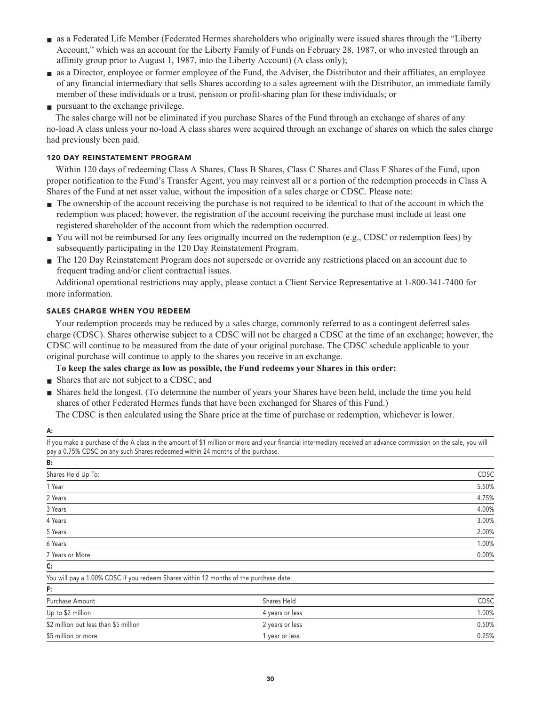- **■ as a Federated Life Member (Federated Hermes shareholders who originally were issued shares through the "Liberty Account," which was an account for the Liberty Family of Funds on February 28, 1987, or who invested through an affinity group prior to August 1, 1987, into the Liberty Account) (A class only);**
- **■ as a Director, employee or former employee of the Fund, the Adviser, the Distributor and their affiliates, an employee of any financial intermediary that sells Shares according to a sales agreement with the Distributor, an immediate family member of these individuals or a trust, pension or profit-sharing plan for these individuals; or**
- **■ pursuant to the exchange privilege.**

**The sales charge will not be eliminated if you purchase Shares of the Fund through an exchange of shares of any no-load A class unless your no-load A class shares were acquired through an exchange of shares on which the sales charge had previously been paid.**

## **120 DAY REINSTATEMENT PROGRAM**

**Within 120 days of redeeming Class A Shares, Class B Shares, Class C Shares and Class F Shares of the Fund, upon proper notification to the Fund's Transfer Agent, you may reinvest all or a portion of the redemption proceeds in Class A Shares of the Fund at net asset value, without the imposition of a sales charge or CDSC. Please note:**

- **■ The ownership of the account receiving the purchase is not required to be identical to that of the account in which the redemption was placed; however, the registration of the account receiving the purchase must include at least one registered shareholder of the account from which the redemption occurred.**
- You will not be reimbursed for any fees originally incurred on the redemption (e.g., CDSC or redemption fees) by **subsequently participating in the 120 Day Reinstatement Program.**
- **■ The 120 Day Reinstatement Program does not supersede or override any restrictions placed on an account due to frequent trading and/or client contractual issues.**

**Additional operational restrictions may apply, please contact a Client Service Representative at 1-800-341-7400 for more information.**

## **SALES CHARGE WHEN YOU REDEEM**

**Your redemption proceeds may be reduced by a sales charge, commonly referred to as a contingent deferred sales charge (CDSC). Shares otherwise subject to a CDSC will not be charged a CDSC at the time of an exchange; however, the CDSC will continue to be measured from the date of your original purchase. The CDSC schedule applicable to your original purchase will continue to apply to the shares you receive in an exchange.**

**To keep the sales charge as low as possible, the Fund redeems your Shares in this order:**

- **Shares that are not subject to a CDSC; and**
- **■ Shares held the longest. (To determine the number of years your Shares have been held, include the time you held shares of other Federated Hermes funds that have been exchanged for Shares of this Fund.)**

**The CDSC is then calculated using the Share price at the time of purchase or redemption, whichever is lower.**

| ٠ | × |
|---|---|

| pay a 0.75% CDSC on any such Shares redeemed within 24 months of the purchase.        |                 | . .         |
|---------------------------------------------------------------------------------------|-----------------|-------------|
| В:                                                                                    |                 |             |
| Shares Held Up To:                                                                    |                 | <b>CDSC</b> |
| 1 Year                                                                                |                 | 5.50%       |
| 2 Years                                                                               |                 | 4.75%       |
| 3 Years                                                                               |                 | 4.00%       |
| 4 Years                                                                               |                 | 3.00%       |
| 5 Years                                                                               |                 | 2.00%       |
| 6 Years                                                                               |                 | 1.00%       |
| 7 Years or More                                                                       |                 | 0.00%       |
| C:                                                                                    |                 |             |
| You will pay a 1.00% CDSC if you redeem Shares within 12 months of the purchase date. |                 |             |
| F:                                                                                    |                 |             |
| Purchase Amount                                                                       | Shares Held     | <b>CDSC</b> |
| Up to \$2 million                                                                     | 4 years or less | 1.00%       |
| \$2 million but less than \$5 million                                                 | 2 years or less | 0.50%       |
| \$5 million or more                                                                   | 1 year or less  | 0.25%       |

**If you make a purchase of the A class in the amount of \$1 million or more and your financial intermediary received an advance commission on the sale, you will**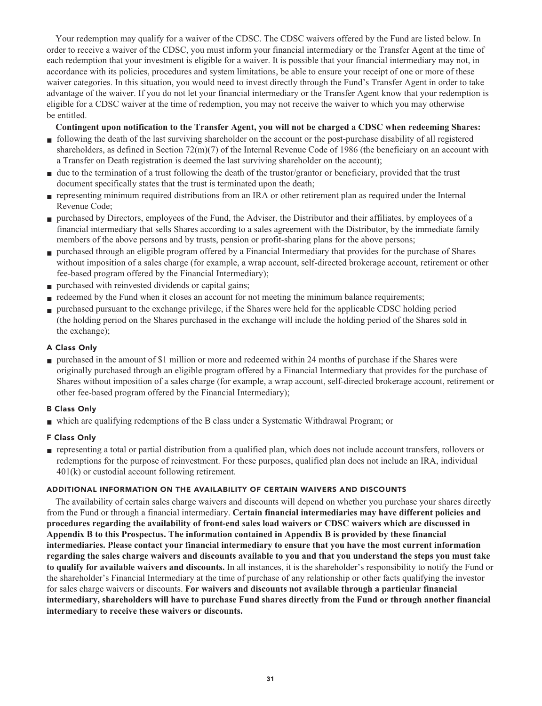**Your redemption may qualify for a waiver of the CDSC. The CDSC waivers offered by the Fund are listed below. In order to receive a waiver of the CDSC, you must inform your financial intermediary or the Transfer Agent at the time of each redemption that your investment is eligible for a waiver. It is possible that your financial intermediary may not, in accordance with its policies, procedures and system limitations, be able to ensure your receipt of one or more of these waiver categories. In this situation, you would need to invest directly through the Fund's Transfer Agent in order to take advantage of the waiver. If you do not let your financial intermediary or the Transfer Agent know that your redemption is eligible for a CDSC waiver at the time of redemption, you may not receive the waiver to which you may otherwise be entitled.**

## **Contingent upon notification to the Transfer Agent, you will not be charged a CDSC when redeeming Shares:**

- **■ following the death of the last surviving shareholder on the account or the post-purchase disability of all registered shareholders, as defined in Section 72(m)(7) of the Internal Revenue Code of 1986 (the beneficiary on an account with a Transfer on Death registration is deemed the last surviving shareholder on the account);**
- **due to the termination of a trust following the death of the trustor/grantor or beneficiary, provided that the trust document specifically states that the trust is terminated upon the death;**
- **■ representing minimum required distributions from an IRA or other retirement plan as required under the Internal Revenue Code;**
- **■ purchased by Directors, employees of the Fund, the Adviser, the Distributor and their affiliates, by employees of a financial intermediary that sells Shares according to a sales agreement with the Distributor, by the immediate family members of the above persons and by trusts, pension or profit-sharing plans for the above persons;**
- **■ purchased through an eligible program offered by a Financial Intermediary that provides for the purchase of Shares without imposition of a sales charge (for example, a wrap account, self-directed brokerage account, retirement or other fee-based program offered by the Financial Intermediary);**
- **■ purchased with reinvested dividends or capital gains;**
- **redeemed by the Fund when it closes an account for not meeting the minimum balance requirements;**
- **■ purchased pursuant to the exchange privilege, if the Shares were held for the applicable CDSC holding period (the holding period on the Shares purchased in the exchange will include the holding period of the Shares sold in the exchange);**

## **A Class Only**

**■ purchased in the amount of \$1 million or more and redeemed within 24 months of purchase if the Shares were originally purchased through an eligible program offered by a Financial Intermediary that provides for the purchase of Shares without imposition of a sales charge (for example, a wrap account, self-directed brokerage account, retirement or other fee-based program offered by the Financial Intermediary);**

## **B Class Only**

**■ which are qualifying redemptions of the B class under a Systematic Withdrawal Program; or**

## **F Class Only**

**■ representing a total or partial distribution from a qualified plan, which does not include account transfers, rollovers or redemptions for the purpose of reinvestment. For these purposes, qualified plan does not include an IRA, individual 401(k) or custodial account following retirement.**

## **ADDITIONAL INFORMATION ON THE AVAILABILITY OF CERTAIN WAIVERS AND DISCOUNTS**

**The availability of certain sales charge waivers and discounts will depend on whether you purchase your shares directly from the Fund or through a financial intermediary. Certain financial intermediaries may have different policies and procedures regarding the availability of front-end sales load waivers or CDSC waivers which are discussed in Appendix B to this Prospectus. The information contained in Appendix B is provided by these financial intermediaries. Please contact your financial intermediary to ensure that you have the most current information regarding the sales charge waivers and discounts available to you and that you understand the steps you must take to qualify for available waivers and discounts. In all instances, it is the shareholder's responsibility to notify the Fund or the shareholder's Financial Intermediary at the time of purchase of any relationship or other facts qualifying the investor for sales charge waivers or discounts. For waivers and discounts not available through a particular financial intermediary, shareholders will have to purchase Fund shares directly from the Fund or through another financial intermediary to receive these waivers or discounts.**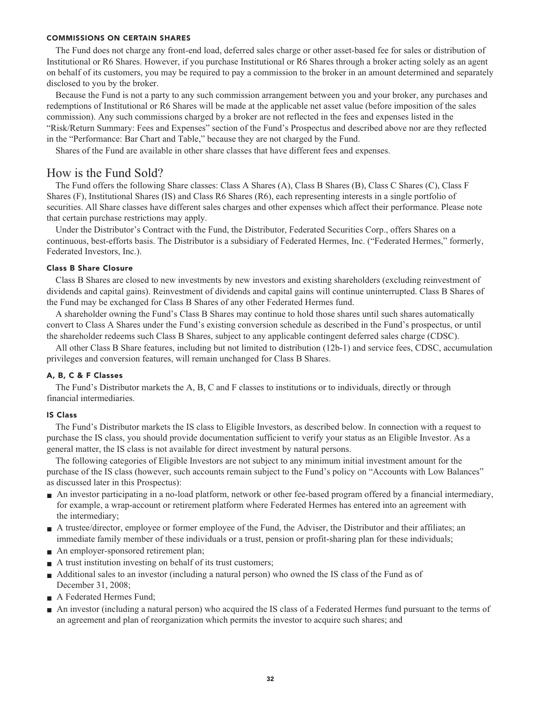### **COMMISSIONS ON CERTAIN SHARES**

**The Fund does not charge any front-end load, deferred sales charge or other asset-based fee for sales or distribution of Institutional or R6 Shares. However, if you purchase Institutional or R6 Shares through a broker acting solely as an agent on behalf of its customers, you may be required to pay a commission to the broker in an amount determined and separately disclosed to you by the broker.**

**Because the Fund is not a party to any such commission arrangement between you and your broker, any purchases and redemptions of Institutional or R6 Shares will be made at the applicable net asset value (before imposition of the sales commission). Any such commissions charged by a broker are not reflected in the fees and expenses listed in the "Risk/Return Summary: Fees and Expenses" section of the Fund's Prospectus and described above nor are they reflected in the "Performance: Bar Chart and Table," because they are not charged by the Fund.**

**Shares of the Fund are available in other share classes that have different fees and expenses.**

## **How is the Fund Sold?**

**. . securities All Share classes have different sales charges and other expenses which affect their performance Please note . that certain purchase restrictions may apply The Fund offers the following Share classes: Class A Shares (A), Class B Shares (B), Class C Shares (C), Class F Shares (F), Institutional Shares (IS) and Class R6 Shares (R6), each representing interests in a single portfolio of**

**. Under the Distributor's Contract with the Fund, the Distributor, Federated Securities Corp , offers Shares on a . . continuous, best-efforts basis The Distributor is a subsidiary of Federated Hermes, Inc ("Federated Hermes," formerly, . . Federated Investors, Inc )**

## **Class B Share Closure**

**. . dividends and capital gains) Reinvestment of dividends and capital gains will continue uninterrupted Class B Shares of . the Fund may be exchanged for Class B Shares of any other Federated Hermes fund Class B Shares are closed to new investments by new investors and existing shareholders (excluding reinvestment of**

**. the shareholder redeems such Class B Shares, subject to any applicable contingent deferred sales charge (CDSC) A shareholder owning the Fund's Class B Shares may continue to hold those shares until such shares automatically convert to Class A Shares under the Fund's existing conversion schedule as described in the Fund's prospectus, or until**

**. privileges and conversion features, will remain unchanged for Class B Shares All other Class B Share features, including but not limited to distribution (12b-1) and service fees, CDSC, accumulation**

## **A, B, C & F Classes**

**. financial intermediaries The Fund's Distributor markets the A, B, C and F classes to institutions or to individuals, directly or through**

## **IS Class**

**. The Fund's Distributor markets the IS class to Eligible Investors, as described below In connection with a request to . purchase the IS class, you should provide documentation sufficient to verify your status as an Eligible Investor As a . general matter, the IS class is not available for direct investment by natural persons**

**The following categories of Eligible Investors are not subject to any minimum initial investment amount for the purchase of the IS class (however, such accounts remain subject to the Fund's policy on "Accounts with Low Balances" as discussed later in this Prospectus):**

- **■ An investor participating in a no-load platform, network or other fee-based program offered by a financial intermediary, for example, a wrap-account or retirement platform where Federated Hermes has entered into an agreement with the intermediary;**
- **A** trustee/director, employee or former employee of the Fund, the Adviser, the Distributor and their affiliates; an **immediate family member of these individuals or a trust, pension or profit-sharing plan for these individuals;**
- **An employer-sponsored retirement plan;**
- **A** trust institution investing on behalf of its trust customers;
- **Additional sales to an investor (including a natural person)** who owned the IS class of the Fund as of **December 31, 2008;**
- **■ A Federated Hermes Fund;**
- **■ An investor (including a natural person) who acquired the IS class of a Federated Hermes fund pursuant to the terms of an agreement and plan of reorganization which permits the investor to acquire such shares; and**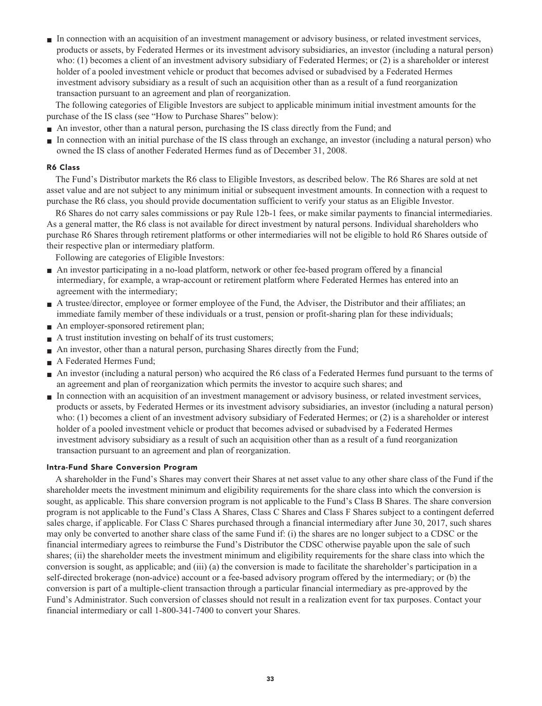**■ In connection with an acquisition of an investment management or advisory business, or related investment services, products or assets, by Federated Hermes or its investment advisory subsidiaries, an investor (including a natural person) who: (1) becomes a client of an investment advisory subsidiary of Federated Hermes; or (2) is a shareholder or interest holder of a pooled investment vehicle or product that becomes advised or subadvised by a Federated Hermes investment advisory subsidiary as a result of such an acquisition other than as a result of a fund reorganization transaction pursuant to an agreement and plan of reorganization.**

**The following categories of Eligible Investors are subject to applicable minimum initial investment amounts for the purchase of the IS class (see "How to Purchase Shares" below):**

- **■ An investor, other than a natural person, purchasing the IS class directly from the Fund; and**
- **■ In connection with an initial purchase of the IS class through an exchange, an investor (including a natural person) who owned the IS class of another Federated Hermes fund as of December 31, 2008.**

## **R6 Class**

**The Fund's Distributor markets the R6 class to Eligible Investors, as described below. The R6 Shares are sold at net asset value and are not subject to any minimum initial or subsequent investment amounts. In connection with a request to purchase the R6 class, you should provide documentation sufficient to verify your status as an Eligible Investor.**

**R6 Shares do not carry sales commissions or pay Rule 12b-1 fees, or make similar payments to financial intermediaries. As a general matter, the R6 class is not available for direct investment by natural persons. Individual shareholders who purchase R6 Shares through retirement platforms or other intermediaries will not be eligible to hold R6 Shares outside of their respective plan or intermediary platform.**

**Following are categories of Eligible Investors:**

- **■ An investor participating in a no-load platform, network or other fee-based program offered by a financial intermediary, for example, a wrap-account or retirement platform where Federated Hermes has entered into an agreement with the intermediary;**
- **■ A trustee/director, employee or former employee of the Fund, the Adviser, the Distributor and their affiliates; an immediate family member of these individuals or a trust, pension or profit-sharing plan for these individuals;**
- **■ An employer-sponsored retirement plan;**
- **A** trust institution investing on behalf of its trust customers;
- **■ An investor, other than a natural person, purchasing Shares directly from the Fund;**
- **■ A Federated Hermes Fund;**
- **■ An investor (including a natural person) who acquired the R6 class of a Federated Hermes fund pursuant to the terms of an agreement and plan of reorganization which permits the investor to acquire such shares; and**
- **■ In connection with an acquisition of an investment management or advisory business, or related investment services, products or assets, by Federated Hermes or its investment advisory subsidiaries, an investor (including a natural person) who: (1) becomes a client of an investment advisory subsidiary of Federated Hermes; or (2) is a shareholder or interest holder of a pooled investment vehicle or product that becomes advised or subadvised by a Federated Hermes investment advisory subsidiary as a result of such an acquisition other than as a result of a fund reorganization transaction pursuant to an agreement and plan of reorganization.**

## **Intra-Fund Share Conversion Program**

**A shareholder in the Fund's Shares may convert their Shares at net asset value to any other share class of the Fund if the shareholder meets the investment minimum and eligibility requirements for the share class into which the conversion is sought, as applicable. This share conversion program is not applicable to the Fund's Class B Shares. The share conversion program is not applicable to the Fund's Class A Shares, Class C Shares and Class F Shares subject to a contingent deferred sales charge, if applicable. For Class C Shares purchased through a financial intermediary after June 30, 2017, such shares may only be converted to another share class of the same Fund if: (i) the shares are no longer subject to a CDSC or the financial intermediary agrees to reimburse the Fund's Distributor the CDSC otherwise payable upon the sale of such shares; (ii) the shareholder meets the investment minimum and eligibility requirements for the share class into which the conversion is sought, as applicable; and (iii) (a) the conversion is made to facilitate the shareholder's participation in a self-directed brokerage (non-advice) account or a fee-based advisory program offered by the intermediary; or (b) the conversion is part of a multiple-client transaction through a particular financial intermediary as pre-approved by the Fund's Administrator. Such conversion of classes should not result in a realization event for tax purposes. Contact your financial intermediary or call 1-800-341-7400 to convert your Shares.**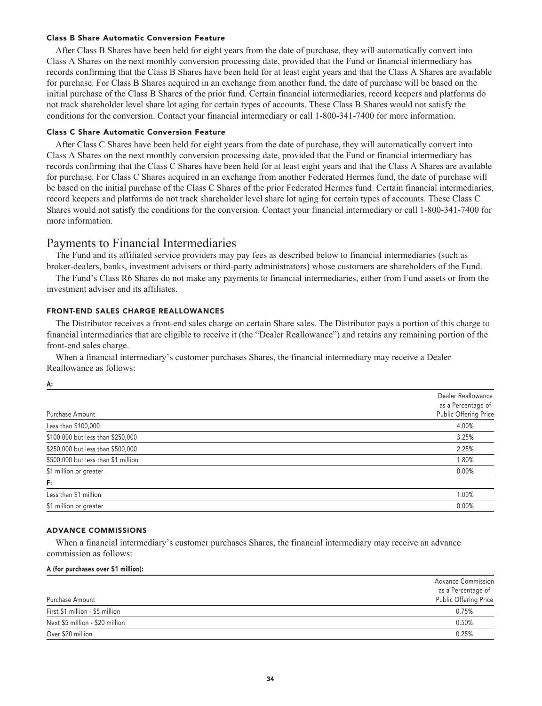## **Class B Share Automatic Conversion Feature**

**After Class B Shares have been held for eight years from the date of purchase, they will automatically convert into Class A Shares on the next monthly conversion processing date, provided that the Fund or financial intermediary has records confirming that the Class B Shares have been held for at least eight years and that the Class A Shares are available for purchase. For Class B Shares acquired in an exchange from another fund, the date of purchase will be based on the initial purchase of the Class B Shares of the prior fund. Certain financial intermediaries, record keepers and platforms do not track shareholder level share lot aging for certain types of accounts. These Class B Shares would not satisfy the conditions for the conversion. Contact your financial intermediary or call 1-800-341-7400 for more information.**

#### **Class C Share Automatic Conversion Feature**

**After Class C Shares have been held for eight years from the date of purchase, they will automatically convert into Class A Shares on the next monthly conversion processing date, provided that the Fund or financial intermediary has records confirming that the Class C Shares have been held for at least eight years and that the Class A Shares are available for purchase. For Class C Shares acquired in an exchange from another Federated Hermes fund, the date of purchase will be based on the initial purchase of the Class C Shares of the prior Federated Hermes fund. Certain financial intermediaries, record keepers and platforms do not track shareholder level share lot aging for certain types of accounts. These Class C Shares would not satisfy the conditions for the conversion. Contact your financial intermediary or call 1-800-341-7400 for more information.**

## **Payments to Financial Intermediaries**

**The Fund and its affiliated service providers may pay fees as described below to financial intermediaries (such as broker-dealers, banks, investment advisers or third-party administrators) whose customers are shareholders of the Fund.**

**The Fund's Class R6 Shares do not make any payments to financial intermediaries, either from Fund assets or from the investment adviser and its affiliates.**

## **FRONT-END SALES CHARGE REALLOWANCES**

**The Distributor receives a front-end sales charge on certain Share sales. The Distributor pays a portion of this charge to financial intermediaries that are eligible to receive it (the "Dealer Reallowance") and retains any remaining portion of the front-end sales charge.**

**When a financial intermediary's customer purchases Shares, the financial intermediary may receive a Dealer Reallowance as follows:**

**A:**

|                                     | Dealer Reallowance    |
|-------------------------------------|-----------------------|
|                                     | as a Percentage of    |
| Purchase Amount                     | Public Offering Price |
| Less than \$100,000                 | 4.00%                 |
| \$100,000 but less than \$250,000   | 3.25%                 |
| \$250,000 but less than \$500,000   | 2.25%                 |
| \$500,000 but less than \$1 million | 1.80%                 |
| \$1 million or greater              | 0.00%                 |
| F:                                  |                       |
| Less than \$1 million               | 1.00%                 |
| \$1 million or greater              | 0.00%                 |
|                                     |                       |

## **ADVANCE COMMISSIONS**

**When a financial intermediary's customer purchases Shares, the financial intermediary may receive an advance commission as follows:**

#### **A (for purchases over \$1 million):**

|                                 | Advance Commission    |
|---------------------------------|-----------------------|
|                                 | as a Percentage of    |
| Purchase Amount                 | Public Offering Price |
| First \$1 million - \$5 million | 0.75%                 |
| Next \$5 million - \$20 million | 0.50%                 |
| Over \$20 million               | 0.25%                 |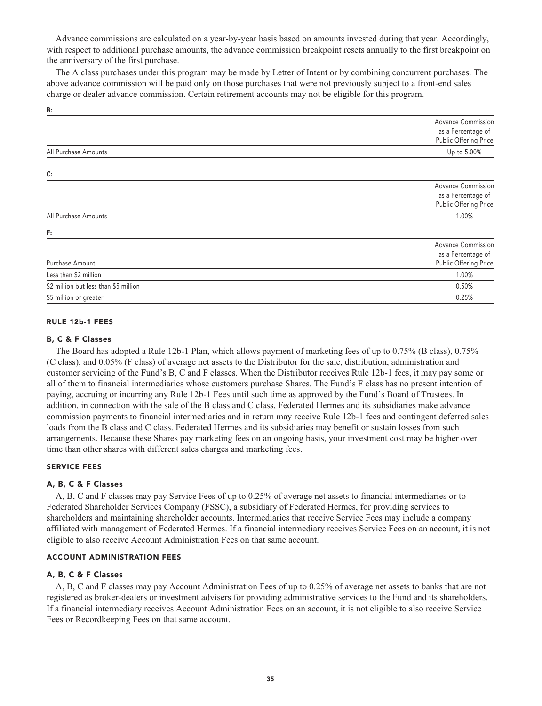**Advance commissions are calculated on a year-by-year basis based on amounts invested during that year. Accordingly, with respect to additional purchase amounts, the advance commission breakpoint resets annually to the first breakpoint on the anniversary of the first purchase.**

**The A class purchases under this program may be made by Letter of Intent or by combining concurrent purchases. The above advance commission will be paid only on those purchases that were not previously subject to a front-end sales charge or dealer advance commission. Certain retirement accounts may not be eligible for this program.**

|                                       | <b>Advance Commission</b><br>as a Percentage of<br>Public Offering Price |
|---------------------------------------|--------------------------------------------------------------------------|
| All Purchase Amounts                  | Up to 5.00%                                                              |
| C:                                    |                                                                          |
|                                       | <b>Advance Commission</b><br>as a Percentage of<br>Public Offering Price |
| All Purchase Amounts                  | 1.00%                                                                    |
| F:                                    |                                                                          |
| Purchase Amount                       | <b>Advance Commission</b><br>as a Percentage of<br>Public Offering Price |
| Less than \$2 million                 | 1.00%                                                                    |
| \$2 million but less than \$5 million | 0.50%                                                                    |
| \$5 million or greater                | 0.25%                                                                    |

#### **RULE 12b-1 FEES**

**B:**

#### **B, C & F Classes**

**The Board has adopted a Rule 12b-1 Plan, which allows payment of marketing fees of up to 0.75% (B class), 0.75% (C class), and 0.05% (F class) of average net assets to the Distributor for the sale, distribution, administration and customer servicing of the Fund's B, C and F classes. When the Distributor receives Rule 12b-1 fees, it may pay some or all of them to financial intermediaries whose customers purchase Shares. The Fund's F class has no present intention of paying, accruing or incurring any Rule 12b-1 Fees until such time as approved by the Fund's Board of Trustees. In addition, in connection with the sale of the B class and C class, Federated Hermes and its subsidiaries make advance commission payments to financial intermediaries and in return may receive Rule 12b-1 fees and contingent deferred sales loads from the B class and C class. Federated Hermes and its subsidiaries may benefit or sustain losses from such arrangements. Because these Shares pay marketing fees on an ongoing basis, your investment cost may be higher over time than other shares with different sales charges and marketing fees.**

### **SERVICE FEES**

#### **A, B, C & F Classes**

**A, B, C and F classes may pay Service Fees of up to 0.25% of average net assets to financial intermediaries or to Federated Shareholder Services Company (FSSC), a subsidiary of Federated Hermes, for providing services to shareholders and maintaining shareholder accounts. Intermediaries that receive Service Fees may include a company affiliated with management of Federated Hermes. If a financial intermediary receives Service Fees on an account, it is not eligible to also receive Account Administration Fees on that same account.**

#### **ACCOUNT ADMINISTRATION FEES**

## **A, B, C & F Classes**

**A, B, C and F classes may pay Account Administration Fees of up to 0.25% of average net assets to banks that are not registered as broker-dealers or investment advisers for providing administrative services to the Fund and its shareholders. If a financial intermediary receives Account Administration Fees on an account, it is not eligible to also receive Service Fees or Recordkeeping Fees on that same account.**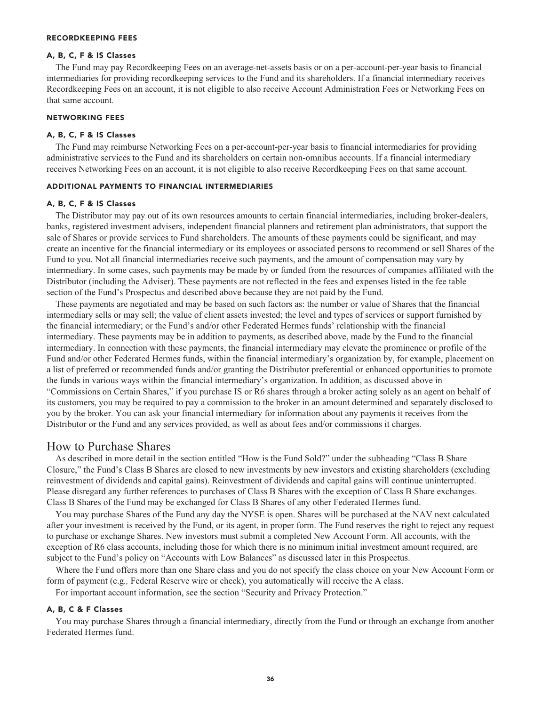#### **RECORDKEEPING FEES**

## **A, B, C, F & IS Classes**

**The Fund may pay Recordkeeping Fees on an average-net-assets basis or on a per-account-per-year basis to financial intermediaries for providing recordkeeping services to the Fund and its shareholders. If a financial intermediary receives Recordkeeping Fees on an account, it is not eligible to also receive Account Administration Fees or Networking Fees on that same account.**

## **NETWORKING FEES**

#### **A, B, C, F & IS Classes**

**The Fund may reimburse Networking Fees on a per-account-per-year basis to financial intermediaries for providing administrative services to the Fund and its shareholders on certain non-omnibus accounts. If a financial intermediary receives Networking Fees on an account, it is not eligible to also receive Recordkeeping Fees on that same account.**

#### **ADDITIONAL PAYMENTS TO FINANCIAL INTERMEDIARIES**

#### **A, B, C, F & IS Classes**

**The Distributor may pay out of its own resources amounts to certain financial intermediaries, including broker-dealers, banks, registered investment advisers, independent financial planners and retirement plan administrators, that support the sale of Shares or provide services to Fund shareholders. The amounts of these payments could be significant, and may create an incentive for the financial intermediary or its employees or associated persons to recommend or sell Shares of the Fund to you. Not all financial intermediaries receive such payments, and the amount of compensation may vary by intermediary. In some cases, such payments may be made by or funded from the resources of companies affiliated with the Distributor (including the Adviser). These payments are not reflected in the fees and expenses listed in the fee table section of the Fund's Prospectus and described above because they are not paid by the Fund.**

**These payments are negotiated and may be based on such factors as: the number or value of Shares that the financial intermediary sells or may sell; the value of client assets invested; the level and types of services or support furnished by the financial intermediary; or the Fund's and/or other Federated Hermes funds' relationship with the financial intermediary. These payments may be in addition to payments, as described above, made by the Fund to the financial intermediary. In connection with these payments, the financial intermediary may elevate the prominence or profile of the Fund and/or other Federated Hermes funds, within the financial intermediary's organization by, for example, placement on a list of preferred or recommended funds and/or granting the Distributor preferential or enhanced opportunities to promote the funds in various ways within the financial intermediary's organization. In addition, as discussed above in "Commissions on Certain Shares," if you purchase IS or R6 shares through a broker acting solely as an agent on behalf of its customers, you may be required to pay a commission to the broker in an amount determined and separately disclosed to you by the broker. You can ask your financial intermediary for information about any payments it receives from the Distributor or the Fund and any services provided, as well as about fees and/or commissions it charges.**

## **How to Purchase Shares**

**As described in more detail in the section entitled "How is the Fund Sold?" under the subheading "Class B Share Closure," the Fund's Class B Shares are closed to new investments by new investors and existing shareholders (excluding reinvestment of dividends and capital gains). Reinvestment of dividends and capital gains will continue uninterrupted. Please disregard any further references to purchases of Class B Shares with the exception of Class B Share exchanges. Class B Shares of the Fund may be exchanged for Class B Shares of any other Federated Hermes fund.**

**You may purchase Shares of the Fund any day the NYSE is open. Shares will be purchased at the NAV next calculated after your investment is received by the Fund, or its agent, in proper form. The Fund reserves the right to reject any request to purchase or exchange Shares. New investors must submit a completed New Account Form. All accounts, with the exception of R6 class accounts, including those for which there is no minimum initial investment amount required, are subject to the Fund's policy on "Accounts with Low Balances" as discussed later in this Prospectus.**

**Where the Fund offers more than one Share class and you do not specify the class choice on your New Account Form or form of payment (e.g***.,* **Federal Reserve wire or check), you automatically will receive the A class.**

**For important account information, see the section "Security and Privacy Protection."**

## **A, B, C & F Classes**

**You may purchase Shares through a financial intermediary, directly from the Fund or through an exchange from another Federated Hermes fund.**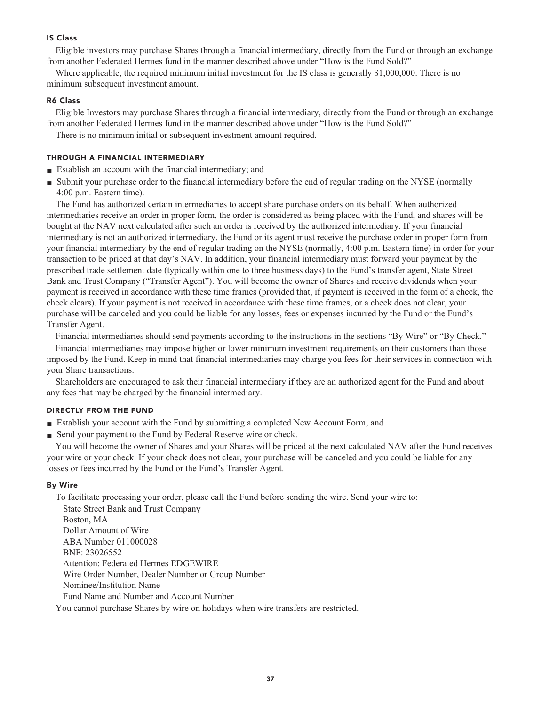## **IS Class**

**Eligible investors may purchase Shares through a financial intermediary, directly from the Fund or through an exchange from another Federated Hermes fund in the manner described above under "How is the Fund Sold?"**

**Where applicable, the required minimum initial investment for the IS class is generally \$1,000,000. There is no minimum subsequent investment amount.**

## **R6 Class**

**Eligible Investors may purchase Shares through a financial intermediary, directly from the Fund or through an exchange from another Federated Hermes fund in the manner described above under "How is the Fund Sold?"**

**There is no minimum initial or subsequent investment amount required.**

## **THROUGH A FINANCIAL INTERMEDIARY**

- **■ Establish an account with the financial intermediary; and**
- **■ Submit your purchase order to the financial intermediary before the end of regular trading on the NYSE (normally 4:00 p.m. Eastern time).**

**The Fund has authorized certain intermediaries to accept share purchase orders on its behalf. When authorized intermediaries receive an order in proper form, the order is considered as being placed with the Fund, and shares will be bought at the NAV next calculated after such an order is received by the authorized intermediary. If your financial intermediary is not an authorized intermediary, the Fund or its agent must receive the purchase order in proper form from your financial intermediary by the end of regular trading on the NYSE (normally, 4:00 p.m. Eastern time) in order for your transaction to be priced at that day's NAV. In addition, your financial intermediary must forward your payment by the prescribed trade settlement date (typically within one to three business days) to the Fund's transfer agent, State Street Bank and Trust Company ("Transfer Agent"). You will become the owner of Shares and receive dividends when your payment is received in accordance with these time frames (provided that, if payment is received in the form of a check, the check clears). If your payment is not received in accordance with these time frames, or a check does not clear, your purchase will be canceled and you could be liable for any losses, fees or expenses incurred by the Fund or the Fund's Transfer Agent.**

**Financial intermediaries should send payments according to the instructions in the sections "By Wire" or "By Check."**

**Financial intermediaries may impose higher or lower minimum investment requirements on their customers than those imposed by the Fund. Keep in mind that financial intermediaries may charge you fees for their services in connection with your Share transactions.**

**Shareholders are encouraged to ask their financial intermediary if they are an authorized agent for the Fund and about any fees that may be charged by the financial intermediary.**

## **DIRECTLY FROM THE FUND**

- **■ Establish your account with the Fund by submitting a completed New Account Form; and**
- **Send your payment to the Fund by Federal Reserve wire or check.**

**You will become the owner of Shares and your Shares will be priced at the next calculated NAV after the Fund receives your wire or your check. If your check does not clear, your purchase will be canceled and you could be liable for any losses or fees incurred by the Fund or the Fund's Transfer Agent.**

#### **By Wire**

**To facilitate processing your order, please call the Fund before sending the wire. Send your wire to: State Street Bank and Trust Company Boston, MA Dollar Amount of Wire ABA Number 011000028 BNF: 23026552 Attention: Federated Hermes EDGEWIRE Wire Order Number, Dealer Number or Group Number Nominee/Institution Name Fund Name and Number and Account Number**

**You cannot purchase Shares by wire on holidays when wire transfers are restricted.**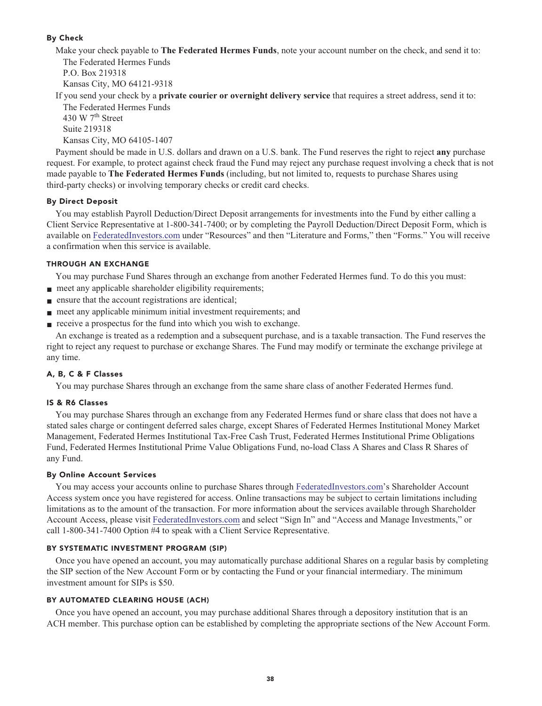## **By Check**

**Make your check payable to The Federated Hermes Funds, note your account number on the check, and send it to: The Federated Hermes Funds P.O. Box 219318**

**Kansas City, MO 64121-9318**

**If you send your check by a private courier or overnight delivery service that requires a street address, send it to:**

**The Federated Hermes Funds th 430 W 7 Street Suite 219318 Kansas City, MO 64105-1407**

**Payment should be made in U.S. dollars and drawn on a U.S. bank. The Fund reserves the right to reject any purchase request. For example, to protect against check fraud the Fund may reject any purchase request involving a check that is not made payable to The Federated Hermes Funds (including, but not limited to, requests to purchase Shares using third-party checks) or involving temporary checks or credit card checks.**

## **By Direct Deposit**

**You may establish Payroll Deduction/Direct Deposit arrangements for investments into the Fund by either calling a Client Service Representative at 1-800-341-7400; or by completing the Payroll Deduction/Direct Deposit Form, which is available on [FederatedInvestors.com](https://www.federatedinvestors.com/home.do) under "Resources" and then "Literature and Forms," then "Forms." You will receive a confirmation when this service is available.**

## **THROUGH AN EXCHANGE**

**You may purchase Fund Shares through an exchange from another Federated Hermes fund. To do this you must:**

- **meet any applicable shareholder eligibility requirements;**
- **■ ensure that the account registrations are identical;**
- **meet any applicable minimum initial investment requirements; and**
- **receive a prospectus for the fund into which you wish to exchange.**

**An exchange is treated as a redemption and a subsequent purchase, and is a taxable transaction. The Fund reserves the right to reject any request to purchase or exchange Shares. The Fund may modify or terminate the exchange privilege at any time.**

## **A, B, C & F Classes**

**You may purchase Shares through an exchange from the same share class of another Federated Hermes fund.**

## **IS & R6 Classes**

**You may purchase Shares through an exchange from any Federated Hermes fund or share class that does not have a stated sales charge or contingent deferred sales charge, except Shares of Federated Hermes Institutional Money Market Management, Federated Hermes Institutional Tax-Free Cash Trust, Federated Hermes Institutional Prime Obligations Fund, Federated Hermes Institutional Prime Value Obligations Fund, no-load Class A Shares and Class R Shares of any Fund.**

## **By Online Account Services**

**You may access your accounts online to purchase Shares through [FederatedInvestors.com'](https://www.federatedinvestors.com/home.do)s Shareholder Account Access system once you have registered for access. Online transactions may be subject to certain limitations including limitations as to the amount of the transaction. For more information about the services available through Shareholder Account Access, please visit [FederatedInvestors.com](https://www.federatedinvestors.com/home.do) and select "Sign In" and "Access and Manage Investments," or call 1-800-341-7400 Option #4 to speak with a Client Service Representative.**

## **BY SYSTEMATIC INVESTMENT PROGRAM (SIP)**

**Once you have opened an account, you may automatically purchase additional Shares on a regular basis by completing the SIP section of the New Account Form or by contacting the Fund or your financial intermediary. The minimum investment amount for SIPs is \$50.**

## **BY AUTOMATED CLEARING HOUSE (ACH)**

**Once you have opened an account, you may purchase additional Shares through a depository institution that is an ACH member. This purchase option can be established by completing the appropriate sections of the New Account Form.**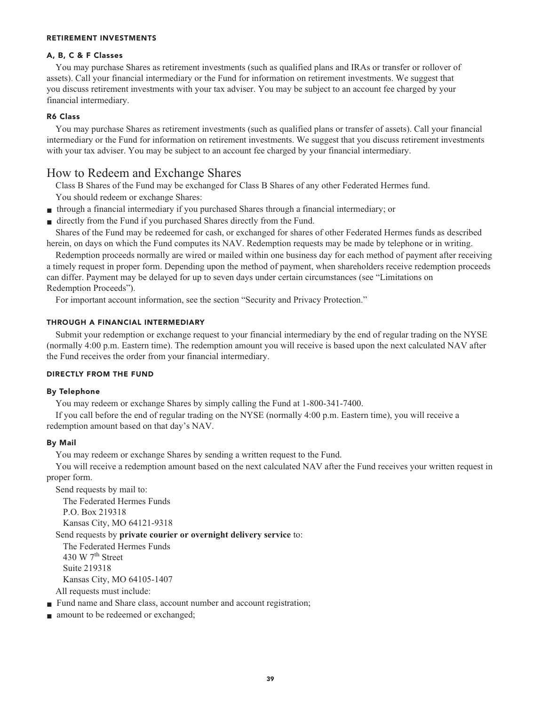## **RETIREMENT INVESTMENTS**

## **A, B, C & F Classes**

**You may purchase Shares as retirement investments (such as qualified plans and IRAs or transfer or rollover of assets). Call your financial intermediary or the Fund for information on retirement investments. We suggest that you discuss retirement investments with your tax adviser. You may be subject to an account fee charged by your financial intermediary.**

## **R6 Class**

**You may purchase Shares as retirement investments (such as qualified plans or transfer of assets). Call your financial intermediary or the Fund for information on retirement investments. We suggest that you discuss retirement investments with your tax adviser. You may be subject to an account fee charged by your financial intermediary.**

## **How to Redeem and Exchange Shares**

**Class B Shares of the Fund may be exchanged for Class B Shares of any other Federated Hermes fund. You should redeem or exchange Shares:**

- **■ through a financial intermediary if you purchased Shares through a financial intermediary; or**
- **■ directly from the Fund if you purchased Shares directly from the Fund.**

**Shares of the Fund may be redeemed for cash, or exchanged for shares of other Federated Hermes funds as described herein, on days on which the Fund computes its NAV. Redemption requests may be made by telephone or in writing.**

**Redemption proceeds normally are wired or mailed within one business day for each method of payment after receiving a timely request in proper form. Depending upon the method of payment, when shareholders receive redemption proceeds can differ. Payment may be delayed for up to seven days under certain circumstances (see "Limitations on Redemption Proceeds").**

**For important account information, see the section "Security and Privacy Protection."**

## **THROUGH A FINANCIAL INTERMEDIARY**

**Submit your redemption or exchange request to your financial intermediary by the end of regular trading on the NYSE (normally 4:00 p.m. Eastern time). The redemption amount you will receive is based upon the next calculated NAV after the Fund receives the order from your financial intermediary.**

## **DIRECTLY FROM THE FUND**

## **By Telephone**

**You may redeem or exchange Shares by simply calling the Fund at 1-800-341-7400.**

**If you call before the end of regular trading on the NYSE (normally 4:00 p.m. Eastern time), you will receive a redemption amount based on that day's NAV.**

## **By Mail**

**You may redeem or exchange Shares by sending a written request to the Fund.**

**You will receive a redemption amount based on the next calculated NAV after the Fund receives your written request in proper form.**

**Send requests by mail to: The Federated Hermes Funds P.O. Box 219318 Kansas City, MO 64121-9318**

## **Send requests by private courier or overnight delivery service to:**

**The Federated Hermes Funds th 430 W 7 Street Suite 219318 Kansas City, MO 64105-1407 All requests must include:**

- **Fund name and Share class, account number and account registration;**
- **amount** to be redeemed or exchanged;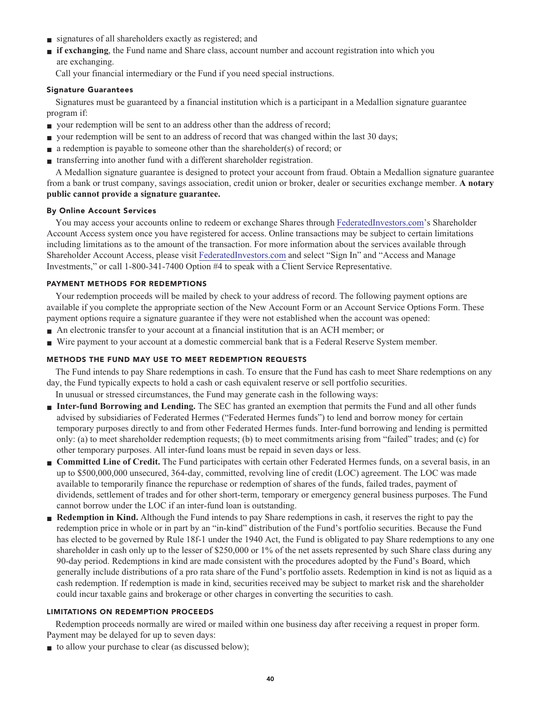- **■ signatures of all shareholders exactly as registered; and**
- **■ if exchanging**, the Fund name and Share class, account number and account registration into which you **are exchanging.**

**Call your financial intermediary or the Fund if you need special instructions.**

## **Signature Guarantees**

**Signatures must be guaranteed by a financial institution which is a participant in a Medallion signature guarantee program if:**

- **your redemption will be sent to an address other than the address of record;**
- **■ your redemption will be sent to an address of record that was changed within the last 30 days;**
- **a** redemption is payable to someone other than the shareholder(s) of record; or
- **■ transferring into another fund with a different shareholder registration.**

**A Medallion signature guarantee is designed to protect your account from fraud. Obtain a Medallion signature guarantee from a bank or trust company, savings association, credit union or broker, dealer or securities exchange member. A notary public cannot provide a signature guarantee.**

## **By Online Account Services**

**You may access your accounts online to redeem or exchange Shares through [FederatedInvestors.com'](https://www.federatedinvestors.com/home.do)s Shareholder Account Access system once you have registered for access. Online transactions may be subject to certain limitations including limitations as to the amount of the transaction. For more information about the services available through Shareholder Account Access, please visit [FederatedInvestors.com](https://www.federatedinvestors.com/home.do) and select "Sign In" and "Access and Manage Investments," or call 1-800-341-7400 Option #4 to speak with a Client Service Representative.**

## **PAYMENT METHODS FOR REDEMPTIONS**

**Your redemption proceeds will be mailed by check to your address of record. The following payment options are available if you complete the appropriate section of the New Account Form or an Account Service Options Form. These payment options require a signature guarantee if they were not established when the account was opened:**

- An electronic transfer to your account at a financial institution that is an ACH member; or
- Wire payment to your account at a domestic commercial bank that is a Federal Reserve System member.

## **METHODS THE FUND MAY USE TO MEET REDEMPTION REQUESTS**

**The Fund intends to pay Share redemptions in cash. To ensure that the Fund has cash to meet Share redemptions on any day, the Fund typically expects to hold a cash or cash equivalent reserve or sell portfolio securities.**

**In unusual or stressed circumstances, the Fund may generate cash in the following ways:**

- **Inter-fund Borrowing and Lending.** The SEC has granted an exemption that permits the Fund and all other funds **advised by subsidiaries of Federated Hermes ("Federated Hermes funds") to lend and borrow money for certain temporary purposes directly to and from other Federated Hermes funds. Inter-fund borrowing and lending is permitted only: (a) to meet shareholder redemption requests; (b) to meet commitments arising from "failed" trades; and (c) for other temporary purposes. All inter-fund loans must be repaid in seven days or less.**
- **■ Committed Line of Credit. The Fund participates with certain other Federated Hermes funds, on a several basis, in an up to \$500,000,000 unsecured, 364-day, committed, revolving line of credit (LOC) agreement. The LOC was made available to temporarily finance the repurchase or redemption of shares of the funds, failed trades, payment of dividends, settlement of trades and for other short-term, temporary or emergency general business purposes. The Fund cannot borrow under the LOC if an inter-fund loan is outstanding.**
- **■ Redemption in Kind. Although the Fund intends to pay Share redemptions in cash, it reserves the right to pay the redemption price in whole or in part by an "in-kind" distribution of the Fund's portfolio securities. Because the Fund has elected to be governed by Rule 18f-1 under the 1940 Act, the Fund is obligated to pay Share redemptions to any one shareholder in cash only up to the lesser of \$250,000 or 1% of the net assets represented by such Share class during any 90-day period. Redemptions in kind are made consistent with the procedures adopted by the Fund's Board, which generally include distributions of a pro rata share of the Fund's portfolio assets. Redemption in kind is not as liquid as a cash redemption. If redemption is made in kind, securities received may be subject to market risk and the shareholder could incur taxable gains and brokerage or other charges in converting the securities to cash.**

## **LIMITATIONS ON REDEMPTION PROCEEDS**

**Redemption proceeds normally are wired or mailed within one business day after receiving a request in proper form. Payment may be delayed for up to seven days:**

■ **to allow your purchase to clear (as discussed below);**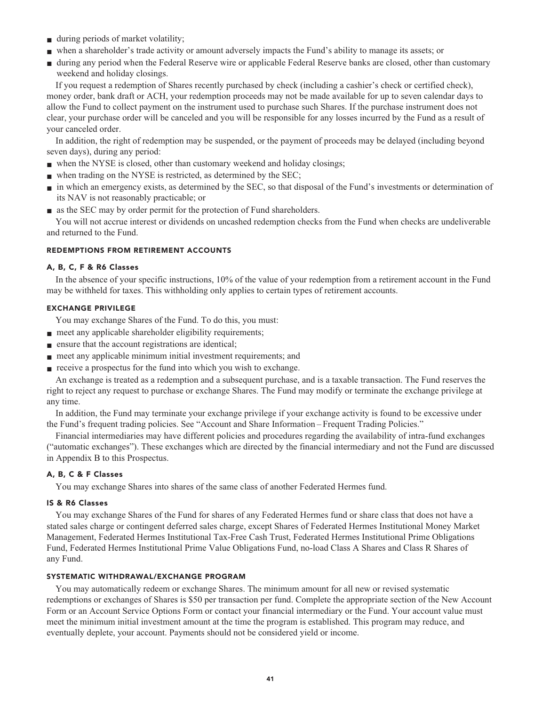- **■ during periods of market volatility;**
- **■ when a shareholder's trade activity or amount adversely impacts the Fund's ability to manage its assets; or**
- during any period when the Federal Reserve wire or applicable Federal Reserve banks are closed, other than customary **weekend and holiday closings.**

**If you request a redemption of Shares recently purchased by check (including a cashier's check or certified check), money order, bank draft or ACH, your redemption proceeds may not be made available for up to seven calendar days to allow the Fund to collect payment on the instrument used to purchase such Shares. If the purchase instrument does not clear, your purchase order will be canceled and you will be responsible for any losses incurred by the Fund as a result of your canceled order.**

**In addition, the right of redemption may be suspended, or the payment of proceeds may be delayed (including beyond seven days), during any period:**

- when the NYSE is closed, other than customary weekend and holiday closings;
- **■ when trading on the NYSE is restricted, as determined by the SEC;**
- **■ in which an emergency exists, as determined by the SEC, so that disposal of the Fund's investments or determination of its NAV is not reasonably practicable; or**
- **■ as the SEC may by order permit for the protection of Fund shareholders.**

**You will not accrue interest or dividends on uncashed redemption checks from the Fund when checks are undeliverable and returned to the Fund.**

## **REDEMPTIONS FROM RETIREMENT ACCOUNTS**

## **A, B, C, F & R6 Classes**

**In the absence of your specific instructions, 10% of the value of your redemption from a retirement account in the Fund may be withheld for taxes. This withholding only applies to certain types of retirement accounts.**

## **EXCHANGE PRIVILEGE**

**You may exchange Shares of the Fund. To do this, you must:**

- **meet any applicable shareholder eligibility requirements;**
- **■ ensure that the account registrations are identical;**
- **meet any applicable minimum initial investment requirements; and**
- **receive a prospectus for the fund into which you wish to exchange.**

**An exchange is treated as a redemption and a subsequent purchase, and is a taxable transaction. The Fund reserves the right to reject any request to purchase or exchange Shares. The Fund may modify or terminate the exchange privilege at any time.**

**In addition, the Fund may terminate your exchange privilege if your exchange activity is found to be excessive under the Fund's frequent trading policies. See "Account and Share Information – Frequent Trading Policies."**

**Financial intermediaries may have different policies and procedures regarding the availability of intra-fund exchanges ("automatic exchanges"). These exchanges which are directed by the financial intermediary and not the Fund are discussed in Appendix B to this Prospectus.**

## **A, B, C & F Classes**

**You may exchange Shares into shares of the same class of another Federated Hermes fund.**

#### **IS & R6 Classes**

**You may exchange Shares of the Fund for shares of any Federated Hermes fund or share class that does not have a stated sales charge or contingent deferred sales charge, except Shares of Federated Hermes Institutional Money Market Management, Federated Hermes Institutional Tax-Free Cash Trust, Federated Hermes Institutional Prime Obligations Fund, Federated Hermes Institutional Prime Value Obligations Fund, no-load Class A Shares and Class R Shares of any Fund.**

## **SYSTEMATIC WITHDRAWAL/EXCHANGE PROGRAM**

**You may automatically redeem or exchange Shares. The minimum amount for all new or revised systematic redemptions or exchanges of Shares is \$50 per transaction per fund. Complete the appropriate section of the New Account Form or an Account Service Options Form or contact your financial intermediary or the Fund. Your account value must meet the minimum initial investment amount at the time the program is established. This program may reduce, and eventually deplete, your account. Payments should not be considered yield or income.**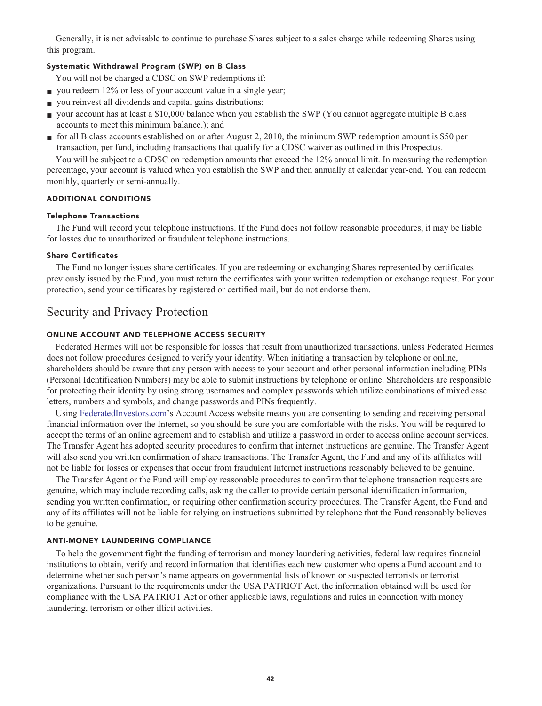**Generally, it is not advisable to continue to purchase Shares subject to a sales charge while redeeming Shares using this program.**

## **Systematic Withdrawal Program (SWP) on B Class**

**You will not be charged a CDSC on SWP redemptions if:**

- **you redeem 12% or less of your account value in a single year;**
- **you reinvest all dividends and capital gains distributions;**
- **■ your account has at least a \$10,000 balance when you establish the SWP (You cannot aggregate multiple B class accounts to meet this minimum balance.); and**
- **■ for all B class accounts established on or after August 2, 2010, the minimum SWP redemption amount is \$50 per transaction, per fund, including transactions that qualify for a CDSC waiver as outlined in this Prospectus.**

**You will be subject to a CDSC on redemption amounts that exceed the 12% annual limit. In measuring the redemption percentage, your account is valued when you establish the SWP and then annually at calendar year-end. You can redeem monthly, quarterly or semi-annually.**

## **ADDITIONAL CONDITIONS**

#### **Telephone Transactions**

**The Fund will record your telephone instructions. If the Fund does not follow reasonable procedures, it may be liable for losses due to unauthorized or fraudulent telephone instructions.**

#### **Share Certificates**

**The Fund no longer issues share certificates. If you are redeeming or exchanging Shares represented by certificates previously issued by the Fund, you must return the certificates with your written redemption or exchange request. For your protection, send your certificates by registered or certified mail, but do not endorse them.**

## **Security and Privacy Protection**

## **ONLINE ACCOUNT AND TELEPHONE ACCESS SECURITY**

**Federated Hermes will not be responsible for losses that result from unauthorized transactions, unless Federated Hermes does not follow procedures designed to verify your identity. When initiating a transaction by telephone or online, shareholders should be aware that any person with access to your account and other personal information including PINs (Personal Identification Numbers) may be able to submit instructions by telephone or online. Shareholders are responsible for protecting their identity by using strong usernames and complex passwords which utilize combinations of mixed case letters, numbers and symbols, and change passwords and PINs frequently.**

**Using [FederatedInvestors.com'](https://www.federatedinvestors.com/home.do)s Account Access website means you are consenting to sending and receiving personal financial information over the Internet, so you should be sure you are comfortable with the risks. You will be required to accept the terms of an online agreement and to establish and utilize a password in order to access online account services. The Transfer Agent has adopted security procedures to confirm that internet instructions are genuine. The Transfer Agent will also send you written confirmation of share transactions. The Transfer Agent, the Fund and any of its affiliates will not be liable for losses or expenses that occur from fraudulent Internet instructions reasonably believed to be genuine.**

**The Transfer Agent or the Fund will employ reasonable procedures to confirm that telephone transaction requests are genuine, which may include recording calls, asking the caller to provide certain personal identification information, sending you written confirmation, or requiring other confirmation security procedures. The Transfer Agent, the Fund and any of its affiliates will not be liable for relying on instructions submitted by telephone that the Fund reasonably believes to be genuine.**

#### **ANTI-MONEY LAUNDERING COMPLIANCE**

**To help the government fight the funding of terrorism and money laundering activities, federal law requires financial institutions to obtain, verify and record information that identifies each new customer who opens a Fund account and to determine whether such person's name appears on governmental lists of known or suspected terrorists or terrorist organizations. Pursuant to the requirements under the USA PATRIOT Act, the information obtained will be used for compliance with the USA PATRIOT Act or other applicable laws, regulations and rules in connection with money laundering, terrorism or other illicit activities.**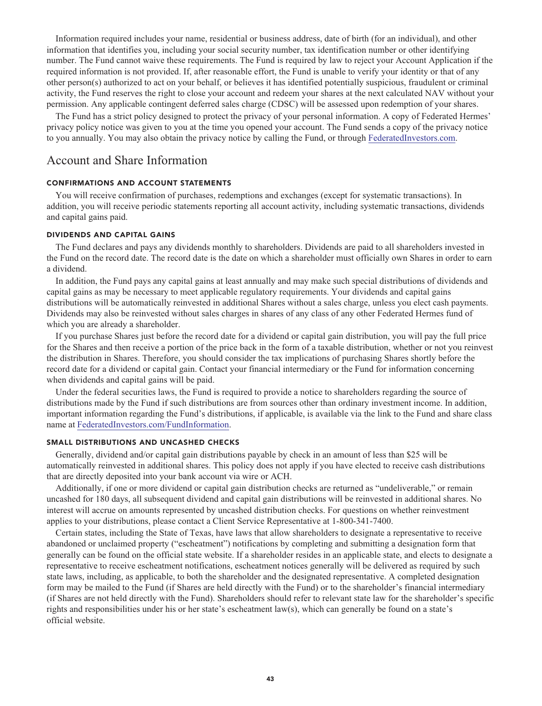**Information required includes your name, residential or business address, date of birth (for an individual), and other information that identifies you, including your social security number, tax identification number or other identifying number. The Fund cannot waive these requirements. The Fund is required by law to reject your Account Application if the required information is not provided. If, after reasonable effort, the Fund is unable to verify your identity or that of any other person(s) authorized to act on your behalf, or believes it has identified potentially suspicious, fraudulent or criminal activity, the Fund reserves the right to close your account and redeem your shares at the next calculated NAV without your permission. Any applicable contingent deferred sales charge (CDSC) will be assessed upon redemption of your shares.**

**The Fund has a strict policy designed to protect the privacy of your personal information. A copy of Federated Hermes' privacy policy notice was given to you at the time you opened your account. The Fund sends a copy of the privacy notice to you annually. You may also obtain the privacy notice by calling the Fund, or through [FederatedInvestors.com.](https://www.federatedinvestors.com/home.do)**

## **Account and Share Information**

## **CONFIRMATIONS AND ACCOUNT STATEMENTS**

**You will receive confirmation of purchases, redemptions and exchanges (except for systematic transactions). In addition, you will receive periodic statements reporting all account activity, including systematic transactions, dividends and capital gains paid.**

## **DIVIDENDS AND CAPITAL GAINS**

**The Fund declares and pays any dividends monthly to shareholders. Dividends are paid to all shareholders invested in the Fund on the record date. The record date is the date on which a shareholder must officially own Shares in order to earn a dividend.**

**In addition, the Fund pays any capital gains at least annually and may make such special distributions of dividends and capital gains as may be necessary to meet applicable regulatory requirements. Your dividends and capital gains distributions will be automatically reinvested in additional Shares without a sales charge, unless you elect cash payments. Dividends may also be reinvested without sales charges in shares of any class of any other Federated Hermes fund of which you are already a shareholder.**

**If you purchase Shares just before the record date for a dividend or capital gain distribution, you will pay the full price for the Shares and then receive a portion of the price back in the form of a taxable distribution, whether or not you reinvest the distribution in Shares. Therefore, you should consider the tax implications of purchasing Shares shortly before the record date for a dividend or capital gain. Contact your financial intermediary or the Fund for information concerning when dividends and capital gains will be paid.**

**Under the federal securities laws, the Fund is required to provide a notice to shareholders regarding the source of distributions made by the Fund if such distributions are from sources other than ordinary investment income. In addition, important information regarding the Fund's distributions, if applicable, is available via the link to the Fund and share class name at [FederatedInvestors.com/FundInformation.](https://www.federatedinvestors.com/product-info/prospectuses-and-regulatory-reports.do)**

## **SMALL DISTRIBUTIONS AND UNCASHED CHECKS**

**Generally, dividend and/or capital gain distributions payable by check in an amount of less than \$25 will be automatically reinvested in additional shares. This policy does not apply if you have elected to receive cash distributions that are directly deposited into your bank account via wire or ACH.**

**Additionally, if one or more dividend or capital gain distribution checks are returned as "undeliverable," or remain uncashed for 180 days, all subsequent dividend and capital gain distributions will be reinvested in additional shares. No interest will accrue on amounts represented by uncashed distribution checks. For questions on whether reinvestment applies to your distributions, please contact a Client Service Representative at 1-800-341-7400.**

**Certain states, including the State of Texas, have laws that allow shareholders to designate a representative to receive abandoned or unclaimed property ("escheatment") notifications by completing and submitting a designation form that generally can be found on the official state website. If a shareholder resides in an applicable state, and elects to designate a representative to receive escheatment notifications, escheatment notices generally will be delivered as required by such state laws, including, as applicable, to both the shareholder and the designated representative. A completed designation form may be mailed to the Fund (if Shares are held directly with the Fund) or to the shareholder's financial intermediary (if Shares are not held directly with the Fund). Shareholders should refer to relevant state law for the shareholder's specific rights and responsibilities under his or her state's escheatment law(s), which can generally be found on a state's official website.**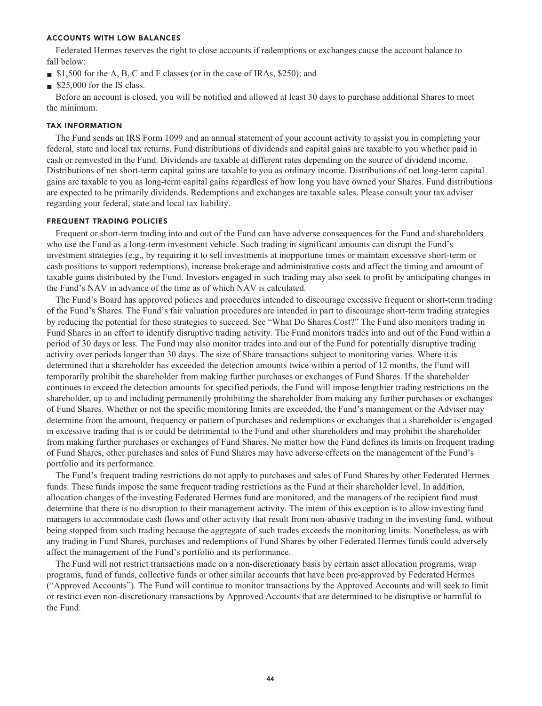## **ACCOUNTS WITH LOW BALANCES**

**Federated Hermes reserves the right to close accounts if redemptions or exchanges cause the account balance to fall below:**

- **■ \$1,500 for the A, B, C and F classes (or in the case of IRAs, \$250); and**
- **■ \$25,000 for the IS class.**

**Before an account is closed, you will be notified and allowed at least 30 days to purchase additional Shares to meet the minimum.**

#### **TAX INFORMATION**

**The Fund sends an IRS Form 1099 and an annual statement of your account activity to assist you in completing your federal, state and local tax returns. Fund distributions of dividends and capital gains are taxable to you whether paid in cash or reinvested in the Fund. Dividends are taxable at different rates depending on the source of dividend income. Distributions of net short-term capital gains are taxable to you as ordinary income. Distributions of net long-term capital gains are taxable to you as long-term capital gains regardless of how long you have owned your Shares. Fund distributions are expected to be primarily dividends. Redemptions and exchanges are taxable sales. Please consult your tax adviser regarding your federal, state and local tax liability.**

## **FREQUENT TRADING POLICIES**

**Frequent or short-term trading into and out of the Fund can have adverse consequences for the Fund and shareholders who use the Fund as a long-term investment vehicle. Such trading in significant amounts can disrupt the Fund's investment strategies (e.g., by requiring it to sell investments at inopportune times or maintain excessive short-term or cash positions to support redemptions), increase brokerage and administrative costs and affect the timing and amount of taxable gains distributed by the Fund. Investors engaged in such trading may also seek to profit by anticipating changes in the Fund's NAV in advance of the time as of which NAV is calculated.**

**The Fund's Board has approved policies and procedures intended to discourage excessive frequent or short-term trading of the Fund's Shares. The Fund's fair valuation procedures are intended in part to discourage short-term trading strategies by reducing the potential for these strategies to succeed. See "What Do Shares Cost?" The Fund also monitors trading in Fund Shares in an effort to identify disruptive trading activity. The Fund monitors trades into and out of the Fund within a period of 30 days or less. The Fund may also monitor trades into and out of the Fund for potentially disruptive trading activity over periods longer than 30 days. The size of Share transactions subject to monitoring varies. Where it is determined that a shareholder has exceeded the detection amounts twice within a period of 12 months, the Fund will temporarily prohibit the shareholder from making further purchases or exchanges of Fund Shares. If the shareholder continues to exceed the detection amounts for specified periods, the Fund will impose lengthier trading restrictions on the shareholder, up to and including permanently prohibiting the shareholder from making any further purchases or exchanges of Fund Shares. Whether or not the specific monitoring limits are exceeded, the Fund's management or the Adviser may determine from the amount, frequency or pattern of purchases and redemptions or exchanges that a shareholder is engaged in excessive trading that is or could be detrimental to the Fund and other shareholders and may prohibit the shareholder from making further purchases or exchanges of Fund Shares. No matter how the Fund defines its limits on frequent trading of Fund Shares, other purchases and sales of Fund Shares may have adverse effects on the management of the Fund's portfolio and its performance.**

**The Fund's frequent trading restrictions do not apply to purchases and sales of Fund Shares by other Federated Hermes funds. These funds impose the same frequent trading restrictions as the Fund at their shareholder level. In addition, allocation changes of the investing Federated Hermes fund are monitored, and the managers of the recipient fund must determine that there is no disruption to their management activity. The intent of this exception is to allow investing fund managers to accommodate cash flows and other activity that result from non-abusive trading in the investing fund, without being stopped from such trading because the aggregate of such trades exceeds the monitoring limits. Nonetheless, as with any trading in Fund Shares, purchases and redemptions of Fund Shares by other Federated Hermes funds could adversely affect the management of the Fund's portfolio and its performance.**

**The Fund will not restrict transactions made on a non-discretionary basis by certain asset allocation programs, wrap programs, fund of funds, collective funds or other similar accounts that have been pre-approved by Federated Hermes ("Approved Accounts"). The Fund will continue to monitor transactions by the Approved Accounts and will seek to limit or restrict even non-discretionary transactions by Approved Accounts that are determined to be disruptive or harmful to the Fund.**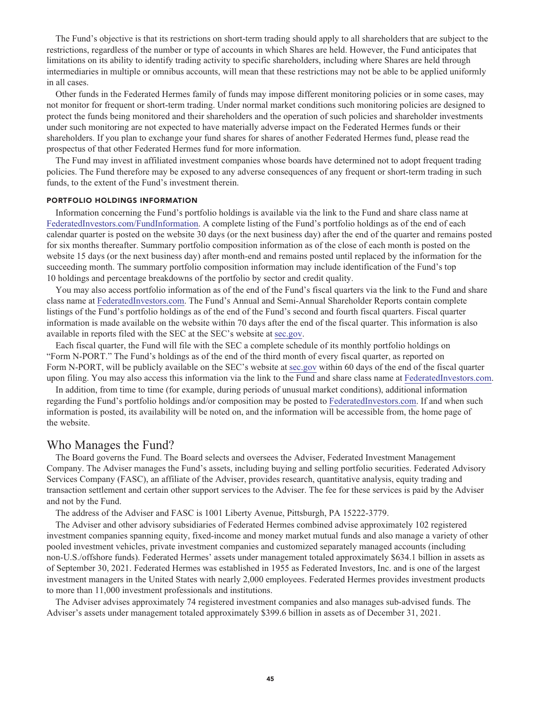**The Fund's objective is that its restrictions on short-term trading should apply to all shareholders that are subject to the restrictions, regardless of the number or type of accounts in which Shares are held. However, the Fund anticipates that limitations on its ability to identify trading activity to specific shareholders, including where Shares are held through intermediaries in multiple or omnibus accounts, will mean that these restrictions may not be able to be applied uniformly in all cases.**

**Other funds in the Federated Hermes family of funds may impose different monitoring policies or in some cases, may not monitor for frequent or short-term trading. Under normal market conditions such monitoring policies are designed to protect the funds being monitored and their shareholders and the operation of such policies and shareholder investments under such monitoring are not expected to have materially adverse impact on the Federated Hermes funds or their shareholders. If you plan to exchange your fund shares for shares of another Federated Hermes fund, please read the prospectus of that other Federated Hermes fund for more information.**

**The Fund may invest in affiliated investment companies whose boards have determined not to adopt frequent trading policies. The Fund therefore may be exposed to any adverse consequences of any frequent or short-term trading in such funds, to the extent of the Fund's investment therein.**

#### **PORTFOLIO HOLDINGS INFORMATION**

**Information concerning the Fund's portfolio holdings is available via the link to the Fund and share class name at [FederatedInvestors.com/FundInformation.](https://www.federatedinvestors.com/product-info/prospectuses-and-regulatory-reports.do) A complete listing of the Fund's portfolio holdings as of the end of each calendar quarter is posted on the website 30 days (or the next business day) after the end of the quarter and remains posted for six months thereafter. Summary portfolio composition information as of the close of each month is posted on the website 15 days (or the next business day) after month-end and remains posted until replaced by the information for the succeeding month. The summary portfolio composition information may include identification of the Fund's top 10 holdings and percentage breakdowns of the portfolio by sector and credit quality.**

**You may also access portfolio information as of the end of the Fund's fiscal quarters via the link to the Fund and share class name at [FederatedInvestors.com.](https://www.federatedinvestors.com/home.do) The Fund's Annual and Semi-Annual Shareholder Reports contain complete listings of the Fund's portfolio holdings as of the end of the Fund's second and fourth fiscal quarters. Fiscal quarter information is made available on the website within 70 days after the end of the fiscal quarter. This information is also available in reports filed with the SEC at the SEC's website at [sec.gov.](https://www.sec.gov/)**

**Each fiscal quarter, the Fund will file with the SEC a complete schedule of its monthly portfolio holdings on "Form N-PORT." The Fund's holdings as of the end of the third month of every fiscal quarter, as reported on Form N-PORT, will be publicly available on the SEC's website at [sec.gov](https://www.sec.gov/) within 60 days of the end of the fiscal quarter upon filing. You may also access this information via the link to the Fund and share class name at [FederatedInvestors.com.](https://www.federatedinvestors.com/home.do)**

**In addition, from time to time (for example, during periods of unusual market conditions), additional information regarding the Fund's portfolio holdings and/or composition may be posted to [FederatedInvestors.com.](https://www.federatedinvestors.com/home.do) If and when such information is posted, its availability will be noted on, and the information will be accessible from, the home page of the website.**

## **Who Manages the Fund?**

**The Board governs the Fund. The Board selects and oversees the Adviser, Federated Investment Management Company. The Adviser manages the Fund's assets, including buying and selling portfolio securities. Federated Advisory Services Company (FASC), an affiliate of the Adviser, provides research, quantitative analysis, equity trading and transaction settlement and certain other support services to the Adviser. The fee for these services is paid by the Adviser and not by the Fund.**

**The address of the Adviser and FASC is 1001 Liberty Avenue, Pittsburgh, PA 15222-3779.**

**The Adviser and other advisory subsidiaries of Federated Hermes combined advise approximately 102 registered investment companies spanning equity, fixed-income and money market mutual funds and also manage a variety of other pooled investment vehicles, private investment companies and customized separately managed accounts (including non-U.S./offshore funds). Federated Hermes' assets under management totaled approximately \$634.1 billion in assets as of September 30, 2021. Federated Hermes was established in 1955 as Federated Investors, Inc. and is one of the largest investment managers in the United States with nearly 2,000 employees. Federated Hermes provides investment products to more than 11,000 investment professionals and institutions.**

**The Adviser advises approximately 74 registered investment companies and also manages sub-advised funds. The Adviser's assets under management totaled approximately \$399.6 billion in assets as of December 31, 2021.**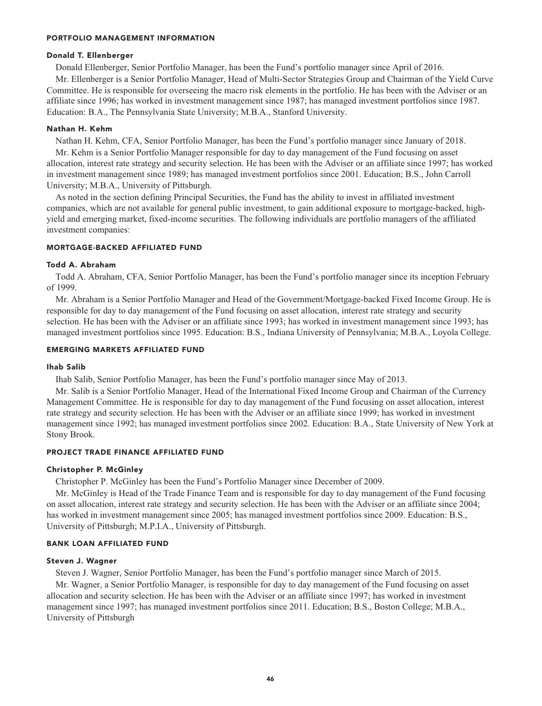### **PORTFOLIO MANAGEMENT INFORMATION**

## **Donald T. Ellenberger**

**Donald Ellenberger, Senior Portfolio Manager, has been the Fund's portfolio manager since April of 2016.**

**Mr. Ellenberger is a Senior Portfolio Manager, Head of Multi-Sector Strategies Group and Chairman of the Yield Curve Committee. He is responsible for overseeing the macro risk elements in the portfolio. He has been with the Adviser or an affiliate since 1996; has worked in investment management since 1987; has managed investment portfolios since 1987. Education: B.A., The Pennsylvania State University; M.B.A., Stanford University.**

#### **Nathan H. Kehm**

**Nathan H. Kehm, CFA, Senior Portfolio Manager, has been the Fund's portfolio manager since January of 2018. Mr. Kehm is a Senior Portfolio Manager responsible for day to day management of the Fund focusing on asset allocation, interest rate strategy and security selection. He has been with the Adviser or an affiliate since 1997; has worked in investment management since 1989; has managed investment portfolios since 2001. Education; B.S., John Carroll University; M.B.A., University of Pittsburgh.**

**As noted in the section defining Principal Securities, the Fund has the ability to invest in affiliated investment companies, which are not available for general public investment, to gain additional exposure to mortgage-backed, highyield and emerging market, fixed-income securities. The following individuals are portfolio managers of the affiliated investment companies:**

### **MORTGAGE-BACKED AFFILIATED FUND**

#### **Todd A. Abraham**

**Todd A. Abraham, CFA, Senior Portfolio Manager, has been the Fund's portfolio manager since its inception February of 1999.**

**Mr. Abraham is a Senior Portfolio Manager and Head of the Government/Mortgage-backed Fixed Income Group. He is responsible for day to day management of the Fund focusing on asset allocation, interest rate strategy and security selection. He has been with the Adviser or an affiliate since 1993; has worked in investment management since 1993; has managed investment portfolios since 1995. Education: B.S., Indiana University of Pennsylvania; M.B.A., Loyola College.**

## **EMERGING MARKETS AFFILIATED FUND**

## **Ihab Salib**

**Ihab Salib, Senior Portfolio Manager, has been the Fund's portfolio manager since May of 2013.**

**Mr. Salib is a Senior Portfolio Manager, Head of the International Fixed Income Group and Chairman of the Currency Management Committee. He is responsible for day to day management of the Fund focusing on asset allocation, interest rate strategy and security selection. He has been with the Adviser or an affiliate since 1999; has worked in investment management since 1992; has managed investment portfolios since 2002. Education: B.A., State University of New York at Stony Brook.**

## **PROJECT TRADE FINANCE AFFILIATED FUND**

#### **Christopher P. McGinley**

**Christopher P. McGinley has been the Fund's Portfolio Manager since December of 2009.**

**Mr. McGinley is Head of the Trade Finance Team and is responsible for day to day management of the Fund focusing on asset allocation, interest rate strategy and security selection. He has been with the Adviser or an affiliate since 2004; has worked in investment management since 2005; has managed investment portfolios since 2009. Education: B.S., University of Pittsburgh; M.P.I.A., University of Pittsburgh.**

## **BANK LOAN AFFILIATED FUND**

#### **Steven J. Wagner**

**Steven J. Wagner, Senior Portfolio Manager, has been the Fund's portfolio manager since March of 2015. Mr. Wagner, a Senior Portfolio Manager, is responsible for day to day management of the Fund focusing on asset allocation and security selection. He has been with the Adviser or an affiliate since 1997; has worked in investment management since 1997; has managed investment portfolios since 2011. Education; B.S., Boston College; M.B.A., University of Pittsburgh**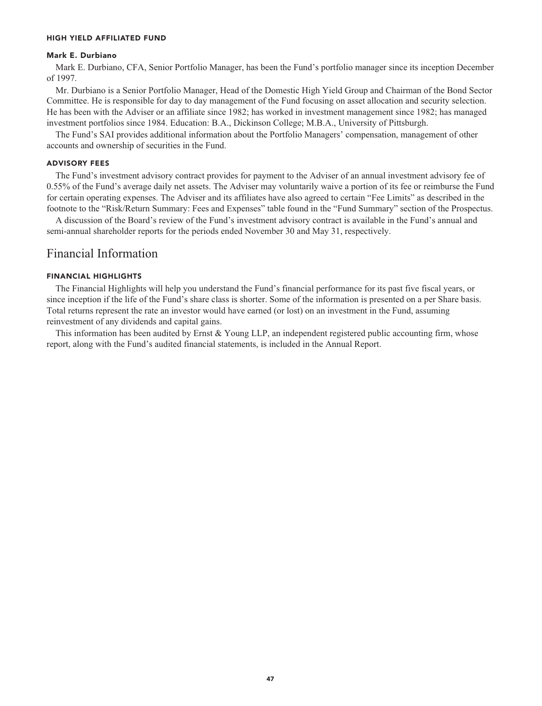## **HIGH YIELD AFFILIATED FUND**

## **Mark E. Durbiano**

**Mark E. Durbiano, CFA, Senior Portfolio Manager, has been the Fund's portfolio manager since its inception December of 1997.**

**Mr. Durbiano is a Senior Portfolio Manager, Head of the Domestic High Yield Group and Chairman of the Bond Sector Committee. He is responsible for day to day management of the Fund focusing on asset allocation and security selection. He has been with the Adviser or an affiliate since 1982; has worked in investment management since 1982; has managed investment portfolios since 1984. Education: B.A., Dickinson College; M.B.A., University of Pittsburgh.**

**The Fund's SAI provides additional information about the Portfolio Managers' compensation, management of other accounts and ownership of securities in the Fund.**

## **ADVISORY FEES**

**The Fund's investment advisory contract provides for payment to the Adviser of an annual investment advisory fee of 0.55% of the Fund's average daily net assets. The Adviser may voluntarily waive a portion of its fee or reimburse the Fund for certain operating expenses. The Adviser and its affiliates have also agreed to certain "Fee Limits" as described in the footnote to the "Risk/Return Summary: Fees and Expenses" table found in the "Fund Summary" section of the Prospectus.**

**A discussion of the Board's review of the Fund's investment advisory contract is available in the Fund's annual and semi-annual shareholder reports for the periods ended November 30 and May 31, respectively.**

## **Financial Information**

## **FINANCIAL HIGHLIGHTS**

**The Financial Highlights will help you understand the Fund's financial performance for its past five fiscal years, or since inception if the life of the Fund's share class is shorter. Some of the information is presented on a per Share basis. Total returns represent the rate an investor would have earned (or lost) on an investment in the Fund, assuming reinvestment of any dividends and capital gains.**

**This information has been audited by Ernst & Young LLP, an independent registered public accounting firm, whose report, along with the Fund's audited financial statements, is included in the Annual Report.**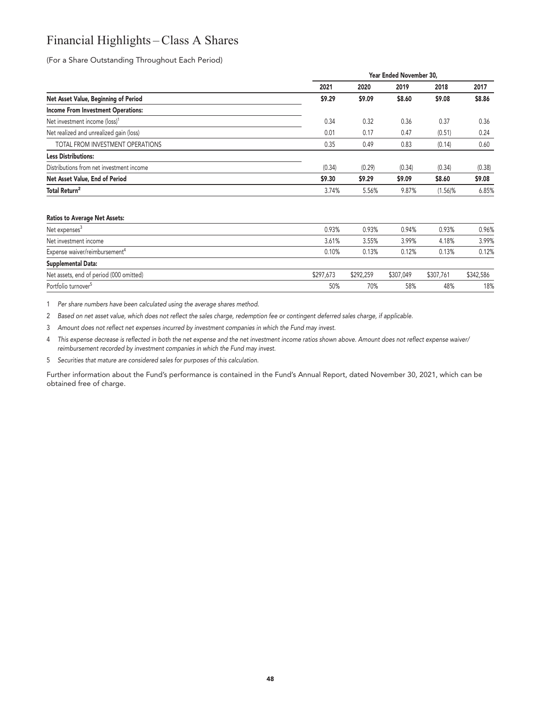## **Financial Highlights – Class A Shares**

**(For a Share Outstanding Throughout Each Period)**

|                                           |        | Year Ended November 30, |        |            |        |  |
|-------------------------------------------|--------|-------------------------|--------|------------|--------|--|
|                                           | 2021   | 2020                    | 2019   | 2018       | 2017   |  |
| Net Asset Value, Beginning of Period      | \$9.29 | \$9.09                  | \$8.60 | \$9.08     | \$8.86 |  |
| <b>Income From Investment Operations:</b> |        |                         |        |            |        |  |
| Net investment income (loss) <sup>1</sup> | 0.34   | 0.32                    | 0.36   | 0.37       | 0.36   |  |
| Net realized and unrealized gain (loss)   | 0.01   | 0.17                    | 0.47   | (0.51)     | 0.24   |  |
| TOTAL FROM INVESTMENT OPERATIONS          | 0.35   | 0.49                    | 0.83   | (0.14)     | 0.60   |  |
| <b>Less Distributions:</b>                |        |                         |        |            |        |  |
| Distributions from net investment income  | (0.34) | (0.29)                  | (0.34) | (0.34)     | (0.38) |  |
| Net Asset Value, End of Period            | \$9.30 | \$9.29                  | \$9.09 | \$8.60     | \$9.08 |  |
| Total Return <sup>2</sup>                 | 3.74%  | 5.56%                   | 9.87%  | $(1.56)$ % | 6.85%  |  |
|                                           |        |                         |        |            |        |  |
| <b>Ratios to Average Net Assets:</b>      |        |                         |        |            |        |  |
|                                           |        |                         |        |            |        |  |

| Net expenses <sup>3</sup>                 | 0.93%     | 0.93%     | 0.94%     | 0.93%     | 0.96%     |
|-------------------------------------------|-----------|-----------|-----------|-----------|-----------|
| Net investment income                     | 3.61%     | 3.55%     | 3.99%     | 4.18%     | 3.99%     |
| Expense waiver/reimbursement <sup>4</sup> | 0.10%     | 0.13%     | 0.12%     | 0.13%     | 0.12%     |
| Supplemental Data:                        |           |           |           |           |           |
| Net assets, end of period (000 omitted)   | \$297,673 | \$292.259 | \$307,049 | \$307.761 | \$342,586 |
| Portfolio turnover <sup>5</sup>           | 50%       | 70%       | 58%       | 48%       | 18%       |

**1 Per share numbers have been calculated using the average shares method.**

**2 Based on net asset value, which does not reflect the sales charge, redemption fee or contingent deferred sales charge, if applicable.**

**3 Amount does not reflect net expenses incurred by investment companies in which the Fund may invest.**

**4 This expense decrease is reflected in both the net expense and the net investment income ratios shown above. Amount does not reflect expense waiver/ reimbursement recorded by investment companies in which the Fund may invest.**

**5 Securities that mature are considered sales for purposes of this calculation.**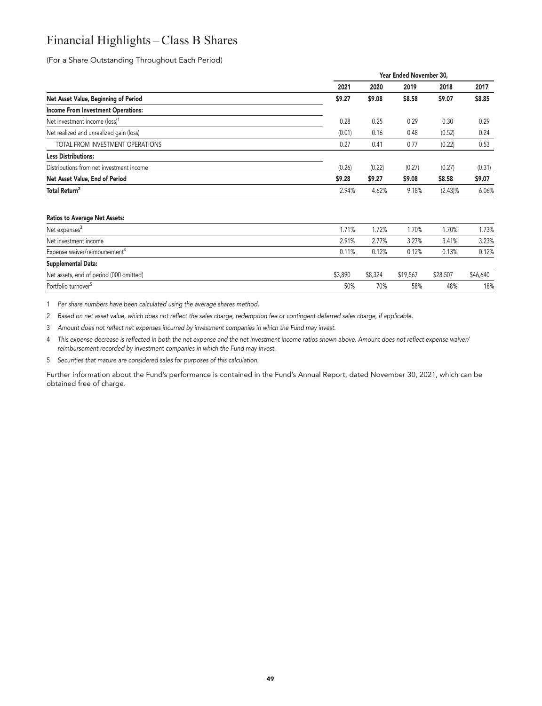## **Financial Highlights – Class B Shares**

**(For a Share Outstanding Throughout Each Period)**

|                                           |        | Year Ended November 30, |        |            |        |
|-------------------------------------------|--------|-------------------------|--------|------------|--------|
|                                           | 2021   | 2020                    | 2019   | 2018       | 2017   |
| Net Asset Value, Beginning of Period      | \$9.27 | \$9.08                  | \$8.58 | \$9.07     | \$8.85 |
| <b>Income From Investment Operations:</b> |        |                         |        |            |        |
| Net investment income (loss) <sup>1</sup> | 0.28   | 0.25                    | 0.29   | 0.30       | 0.29   |
| Net realized and unrealized gain (loss)   | (0.01) | 0.16                    | 0.48   | (0.52)     | 0.24   |
| TOTAL FROM INVESTMENT OPERATIONS          | 0.27   | 0.41                    | 0.77   | (0.22)     | 0.53   |
| <b>Less Distributions:</b>                |        |                         |        |            |        |
| Distributions from net investment income  | (0.26) | (0.22)                  | (0.27) | (0.27)     | (0.31) |
| Net Asset Value, End of Period            | \$9.28 | \$9.27                  | \$9.08 | \$8.58     | \$9.07 |
| Total Return <sup>2</sup>                 | 2.94%  | 4.62%                   | 9.18%  | $(2.43)\%$ | 6.06%  |
|                                           |        |                         |        |            |        |

#### **Ratios to Average Net Assets:**

| Net expenses <sup>3</sup>                 | .71%    | .72%    | .70%     | 1.70%    | 1.73%    |
|-------------------------------------------|---------|---------|----------|----------|----------|
| Net investment income                     | 2.91%   | 2.77%   | 3.27%    | 3.41%    | 3.23%    |
| Expense waiver/reimbursement <sup>4</sup> | 0.11%   | 0.12%   | 0.12%    | 0.13%    | 0.12%    |
| Supplemental Data:                        |         |         |          |          |          |
| Net assets, end of period (000 omitted)   | \$3,890 | \$8,324 | \$19,567 | \$28,507 | \$46,640 |
| Portfolio turnover <sup>5</sup>           | 50%     | 70%     | 58%      | 48%      | 18%      |

**1 Per share numbers have been calculated using the average shares method.**

**2 Based on net asset value, which does not reflect the sales charge, redemption fee or contingent deferred sales charge, if applicable.**

**3 Amount does not reflect net expenses incurred by investment companies in which the Fund may invest.**

**4 This expense decrease is reflected in both the net expense and the net investment income ratios shown above. Amount does not reflect expense waiver/ reimbursement recorded by investment companies in which the Fund may invest.**

**5 Securities that mature are considered sales for purposes of this calculation.**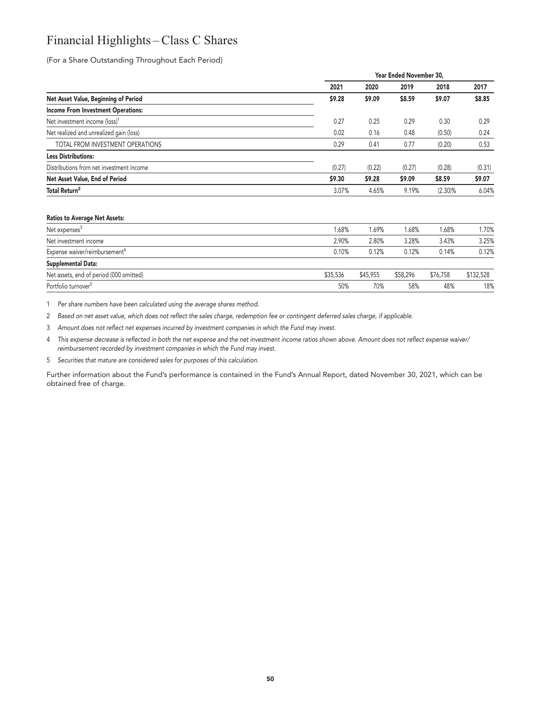## **Financial Highlights – Class C Shares**

**(For a Share Outstanding Throughout Each Period)**

|                                           |        | Year Ended November 30, |        |            |        |
|-------------------------------------------|--------|-------------------------|--------|------------|--------|
|                                           | 2021   | 2020                    | 2019   | 2018       | 2017   |
| Net Asset Value, Beginning of Period      | \$9.28 | \$9.09                  | \$8.59 | \$9.07     | \$8.85 |
| <b>Income From Investment Operations:</b> |        |                         |        |            |        |
| Net investment income (loss) <sup>1</sup> | 0.27   | 0.25                    | 0.29   | 0.30       | 0.29   |
| Net realized and unrealized gain (loss)   | 0.02   | 0.16                    | 0.48   | (0.50)     | 0.24   |
| TOTAL FROM INVESTMENT OPERATIONS          | 0.29   | 0.41                    | 0.77   | (0.20)     | 0.53   |
| <b>Less Distributions:</b>                |        |                         |        |            |        |
| Distributions from net investment income  | (0.27) | (0.22)                  | (0.27) | (0.28)     | (0.31) |
| Net Asset Value, End of Period            | \$9.30 | \$9.28                  | \$9.09 | \$8.59     | \$9.07 |
| Total Return <sup>2</sup>                 | 3.07%  | 4.65%                   | 9.19%  | $(2.30)\%$ | 6.04%  |
|                                           |        |                         |        |            |        |

#### **Ratios to Average Net Assets:**

| Net expenses <sup>3</sup>                 | 1.68%    | 1.69%    | 1.68%    | 1.68%    | 1.70%     |
|-------------------------------------------|----------|----------|----------|----------|-----------|
| Net investment income                     | 2.90%    | 2.80%    | 3.28%    | 3.43%    | 3.25%     |
| Expense waiver/reimbursement <sup>4</sup> | 0.10%    | 0.12%    | 0.12%    | 0.14%    | 0.12%     |
| Supplemental Data:                        |          |          |          |          |           |
| Net assets, end of period (000 omitted)   | \$35,536 | \$45,955 | \$58,296 | \$76.758 | \$132,528 |
| Portfolio turnover <sup>5</sup>           | 50%      | 70%      | 58%      | 48%      | 18%       |

**1 Per share numbers have been calculated using the average shares method.**

**2 Based on net asset value, which does not reflect the sales charge, redemption fee or contingent deferred sales charge, if applicable.**

**3 Amount does not reflect net expenses incurred by investment companies in which the Fund may invest.**

**4 This expense decrease is reflected in both the net expense and the net investment income ratios shown above. Amount does not reflect expense waiver/ reimbursement recorded by investment companies in which the Fund may invest.**

**5 Securities that mature are considered sales for purposes of this calculation.**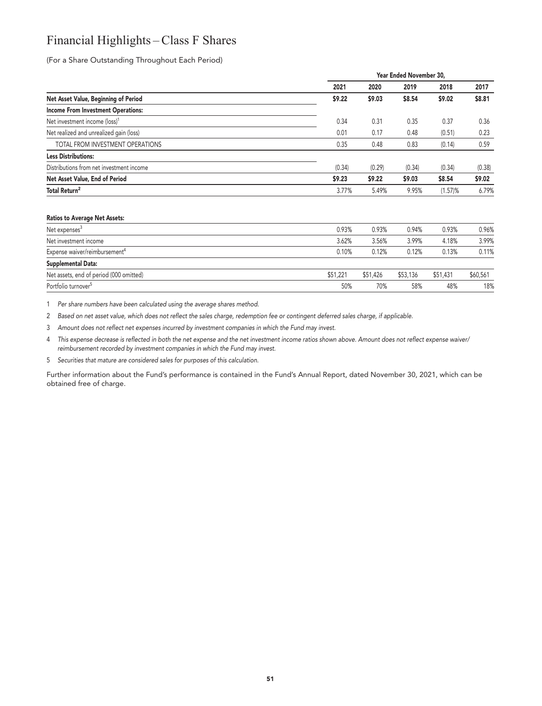## **Financial Highlights – Class F Shares**

**(For a Share Outstanding Throughout Each Period)**

|                                           |        | Year Ended November 30, |        |         |        |
|-------------------------------------------|--------|-------------------------|--------|---------|--------|
|                                           | 2021   | 2020                    | 2019   | 2018    | 2017   |
| Net Asset Value, Beginning of Period      | \$9.22 | \$9.03                  | \$8.54 | \$9.02  | \$8.81 |
| <b>Income From Investment Operations:</b> |        |                         |        |         |        |
| Net investment income (loss) <sup>1</sup> | 0.34   | 0.31                    | 0.35   | 0.37    | 0.36   |
| Net realized and unrealized gain (loss)   | 0.01   | 0.17                    | 0.48   | (0.51)  | 0.23   |
| TOTAL FROM INVESTMENT OPERATIONS          | 0.35   | 0.48                    | 0.83   | (0.14)  | 0.59   |
| <b>Less Distributions:</b>                |        |                         |        |         |        |
| Distributions from net investment income  | (0.34) | (0.29)                  | (0.34) | (0.34)  | (0.38) |
| Net Asset Value, End of Period            | \$9.23 | \$9.22                  | \$9.03 | \$8.54  | \$9.02 |
| Total Return <sup>2</sup>                 | 3.77%  | 5.49%                   | 9.95%  | (1.57)% | 6.79%  |
|                                           |        |                         |        |         |        |
|                                           |        |                         |        |         |        |

#### **Ratios to Average Net Assets:**

| Net expenses <sup>3</sup>                 | 0.93%    | 0.93%    | 0.94%    | 0.93%    | 0.96%    |
|-------------------------------------------|----------|----------|----------|----------|----------|
| Net investment income                     | 3.62%    | 3.56%    | 3.99%    | 4.18%    | 3.99%    |
| Expense waiver/reimbursement <sup>4</sup> | 0.10%    | 0.12%    | 0.12%    | 0.13%    | 0.11%    |
| Supplemental Data:                        |          |          |          |          |          |
| Net assets, end of period (000 omitted)   | \$51,221 | \$51.426 | \$53,136 | \$51,431 | \$60,561 |
| Portfolio turnover <sup>5</sup>           | 50%      | 70%      | 58%      | 48%      | 18%      |
|                                           |          |          |          |          |          |

**1 Per share numbers have been calculated using the average shares method.**

**2 Based on net asset value, which does not reflect the sales charge, redemption fee or contingent deferred sales charge, if applicable.**

**3 Amount does not reflect net expenses incurred by investment companies in which the Fund may invest.**

**4 This expense decrease is reflected in both the net expense and the net investment income ratios shown above. Amount does not reflect expense waiver/ reimbursement recorded by investment companies in which the Fund may invest.**

**5 Securities that mature are considered sales for purposes of this calculation.**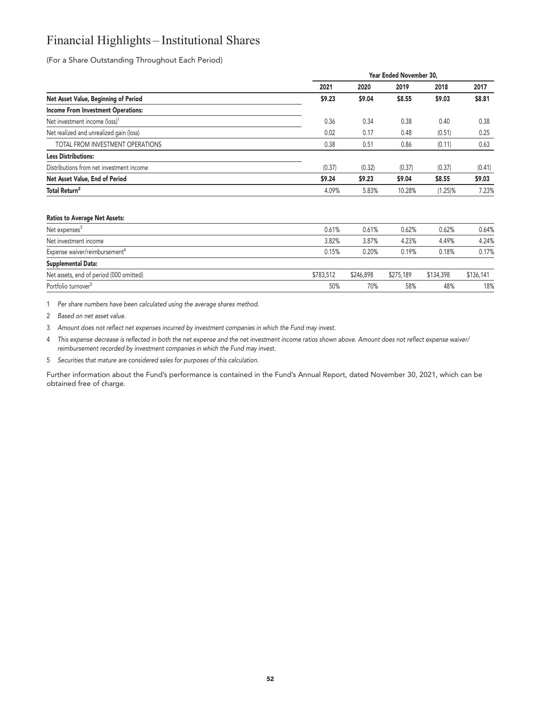## **Financial Highlights – Institutional Shares**

**(For a Share Outstanding Throughout Each Period)**

|                                           | Year Ended November 30, |        |        |            |        |
|-------------------------------------------|-------------------------|--------|--------|------------|--------|
|                                           | 2021                    | 2020   | 2019   | 2018       | 2017   |
| Net Asset Value, Beginning of Period      | \$9.23                  | \$9.04 | \$8.55 | \$9.03     | \$8.81 |
| <b>Income From Investment Operations:</b> |                         |        |        |            |        |
| Net investment income (loss) <sup>1</sup> | 0.36                    | 0.34   | 0.38   | 0.40       | 0.38   |
| Net realized and unrealized gain (loss)   | 0.02                    | 0.17   | 0.48   | (0.51)     | 0.25   |
| TOTAL FROM INVESTMENT OPERATIONS          | 0.38                    | 0.51   | 0.86   | (0.11)     | 0.63   |
| <b>Less Distributions:</b>                |                         |        |        |            |        |
| Distributions from net investment income  | (0.37)                  | (0.32) | (0.37) | (0.37)     | (0.41) |
| Net Asset Value, End of Period            | \$9.24                  | \$9.23 | \$9.04 | \$8.55     | \$9.03 |
| Total Return <sup>2</sup>                 | 4.09%                   | 5.83%  | 10.28% | $(1.25)\%$ | 7.23%  |
| <b>Ratios to Average Net Assets:</b>      |                         |        |        |            |        |

| Net expenses <sup>3</sup>                 | 0.61%     | 0.61%     | 0.62%     | 0.62%     | 0.64%     |
|-------------------------------------------|-----------|-----------|-----------|-----------|-----------|
| Net investment income                     | 3.82%     | 3.87%     | 4.23%     | 4.49%     | 4.24%     |
| Expense waiver/reimbursement <sup>4</sup> | 0.15%     | 0.20%     | 0.19%     | 0.18%     | 0.17%     |
| Supplemental Data:                        |           |           |           |           |           |
| Net assets, end of period (000 omitted)   | \$783.512 | \$246,898 | \$275,189 | \$134,398 | \$136,141 |
| Portfolio turnover <sup>5</sup>           | 50%       | 70%       | 58%       | 48%       | 18%       |

**1 Per share numbers have been calculated using the average shares method.**

**2 Based on net asset value.**

**3 Amount does not reflect net expenses incurred by investment companies in which the Fund may invest.**

**4 This expense decrease is reflected in both the net expense and the net investment income ratios shown above. Amount does not reflect expense waiver/ reimbursement recorded by investment companies in which the Fund may invest.**

**5 Securities that mature are considered sales for purposes of this calculation.**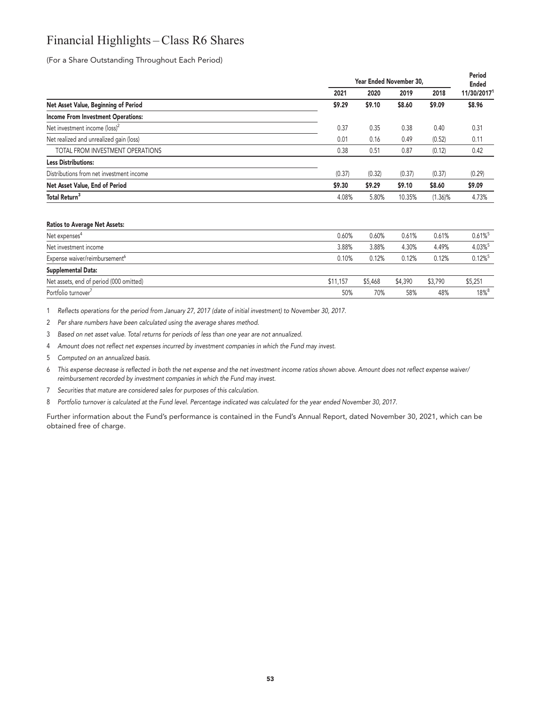## **Financial Highlights – Class R6 Shares**

**(For a Share Outstanding Throughout Each Period)**

|                                           | Year Ended November 30, |        |        |            | Period<br><b>Ended</b> |
|-------------------------------------------|-------------------------|--------|--------|------------|------------------------|
|                                           | 2021                    | 2020   | 2019   | 2018       | 11/30/20171            |
| Net Asset Value, Beginning of Period      | \$9.29                  | \$9.10 | \$8.60 | \$9.09     | \$8.96                 |
| <b>Income From Investment Operations:</b> |                         |        |        |            |                        |
| Net investment income (loss) <sup>2</sup> | 0.37                    | 0.35   | 0.38   | 0.40       | 0.31                   |
| Net realized and unrealized gain (loss)   | 0.01                    | 0.16   | 0.49   | (0.52)     | 0.11                   |
| TOTAL FROM INVESTMENT OPERATIONS          | 0.38                    | 0.51   | 0.87   | (0.12)     | 0.42                   |
| <b>Less Distributions:</b>                |                         |        |        |            |                        |
| Distributions from net investment income  | (0.37)                  | (0.32) | (0.37) | (0.37)     | (0.29)                 |
| Net Asset Value, End of Period            | \$9.30                  | \$9.29 | \$9.10 | \$8.60     | \$9.09                 |
| Total Return <sup>3</sup>                 | 4.08%                   | 5.80%  | 10.35% | $(1.36)$ % | 4.73%                  |

#### **Ratios to Average Net Assets:**

| Net expenses <sup>4</sup>                 | 0.60%    | 0.60%   | 0.61%   | 0.61%   | $0.61\%$ <sup>5</sup> |
|-------------------------------------------|----------|---------|---------|---------|-----------------------|
| Net investment income                     | 3.88%    | 3.88%   | 4.30%   | 4.49%   | 4.03%                 |
| Expense waiver/reimbursement <sup>6</sup> | 0.10%    | 0.12%   | 0.12%   | 0.12%   | $0.12\%$ <sup>5</sup> |
| <b>Supplemental Data:</b>                 |          |         |         |         |                       |
| Net assets, end of period (000 omitted)   | \$11,157 | \$5,468 | \$4,390 | \$3.790 | \$5,251               |
| Portfolio turnover <sup>7</sup>           | 50%      | 70%     | 58%     | 48%     | $18\%$ <sup>8</sup>   |
|                                           |          |         |         |         |                       |

**1 Reflects operations for the period from January 27, 2017 (date of initial investment) to November 30, 2017.**

**2 Per share numbers have been calculated using the average shares method.**

**3 Based on net asset value. Total returns for periods of less than one year are not annualized.**

**4 Amount does not reflect net expenses incurred by investment companies in which the Fund may invest.**

**5 Computed on an annualized basis.**

**6 This expense decrease is reflected in both the net expense and the net investment income ratios shown above. Amount does not reflect expense waiver/ reimbursement recorded by investment companies in which the Fund may invest.**

**7 Securities that mature are considered sales for purposes of this calculation.**

**8 Portfolio turnover is calculated at the Fund level. Percentage indicated was calculated for the year ended November 30, 2017.**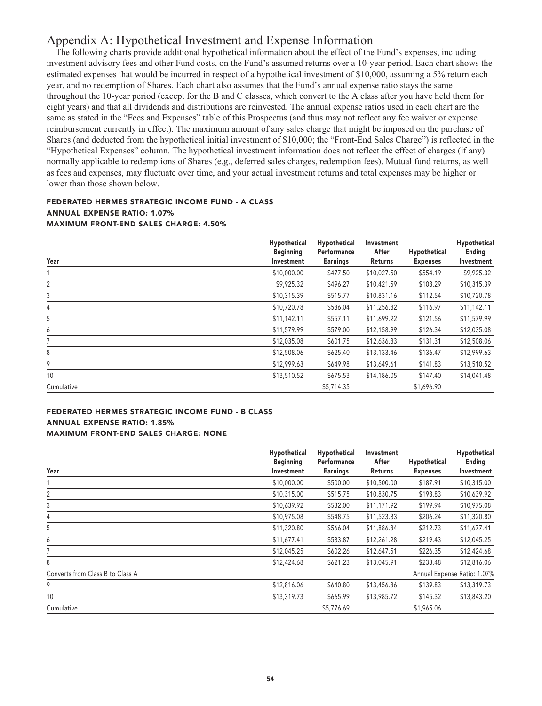## **Appendix A: Hypothetical Investment and Expense Information**

**The following charts provide additional hypothetical information about the effect of the Fund's expenses, including investment advisory fees and other Fund costs, on the Fund's assumed returns over a 10-year period. Each chart shows the estimated expenses that would be incurred in respect of a hypothetical investment of \$10,000, assuming a 5% return each year, and no redemption of Shares. Each chart also assumes that the Fund's annual expense ratio stays the same throughout the 10-year period (except for the B and C classes, which convert to the A class after you have held them for eight years) and that all dividends and distributions are reinvested. The annual expense ratios used in each chart are the same as stated in the "Fees and Expenses" table of this Prospectus (and thus may not reflect any fee waiver or expense reimbursement currently in effect). The maximum amount of any sales charge that might be imposed on the purchase of Shares (and deducted from the hypothetical initial investment of \$10,000; the "Front-End Sales Charge") is reflected in the "Hypothetical Expenses" column. The hypothetical investment information does not reflect the effect of charges (if any) normally applicable to redemptions of Shares (e.g., deferred sales charges, redemption fees). Mutual fund returns, as well as fees and expenses, may fluctuate over time, and your actual investment returns and total expenses may be higher or lower than those shown below.**

## **FEDERATED HERMES STRATEGIC INCOME FUND - A CLASS ANNUAL EXPENSE RATIO: 1.07% MAXIMUM FRONT-END SALES CHARGE: 4.50%**

| Year       | Hypothetical<br><b>Beginning</b><br>Investment | Hypothetical<br>Performance<br><b>Earnings</b> | Investment<br>After<br>Returns | Hypothetical<br><b>Expenses</b> | Hypothetical<br>Ending<br>Investment |
|------------|------------------------------------------------|------------------------------------------------|--------------------------------|---------------------------------|--------------------------------------|
|            | \$10,000.00                                    | \$477.50                                       | \$10,027.50                    | \$554.19                        | \$9,925.32                           |
| 2          | \$9,925.32                                     | \$496.27                                       | \$10,421.59                    | \$108.29                        | \$10,315.39                          |
| 3          | \$10,315.39                                    | \$515.77                                       | \$10,831.16                    | \$112.54                        | \$10,720.78                          |
| 4          | \$10,720.78                                    | \$536.04                                       | \$11,256.82                    | \$116.97                        | \$11,142.11                          |
| 5          | \$11,142.11                                    | \$557.11                                       | \$11,699.22                    | \$121.56                        | \$11,579.99                          |
| 6          | \$11,579.99                                    | \$579.00                                       | \$12,158.99                    | \$126.34                        | \$12,035.08                          |
| 7          | \$12,035.08                                    | \$601.75                                       | \$12,636.83                    | \$131.31                        | \$12,508.06                          |
| 8          | \$12,508.06                                    | \$625.40                                       | \$13,133.46                    | \$136.47                        | \$12,999.63                          |
| 9          | \$12,999.63                                    | \$649.98                                       | \$13,649.61                    | \$141.83                        | \$13,510.52                          |
| 10         | \$13,510.52                                    | \$675.53                                       | \$14,186.05                    | \$147.40                        | \$14,041.48                          |
| Cumulative |                                                | \$5,714.35                                     |                                | \$1,696.90                      |                                      |

## **FEDERATED HERMES STRATEGIC INCOME FUND - B CLASS ANNUAL EXPENSE RATIO: 1.85% MAXIMUM FRONT-END SALES CHARGE: NONE**

|                                  | Hypothetical<br><b>Beginning</b> | Hypothetical<br>Performance | Investment<br>After | Hypothetical    | Hypothetical<br>Ending      |
|----------------------------------|----------------------------------|-----------------------------|---------------------|-----------------|-----------------------------|
| Year                             | Investment                       | <b>Earnings</b>             | Returns             | <b>Expenses</b> | Investment                  |
|                                  | \$10,000.00                      | \$500.00                    | \$10,500.00         | \$187.91        | \$10,315.00                 |
| 2                                | \$10,315.00                      | \$515.75                    | \$10,830.75         | \$193.83        | \$10,639.92                 |
| 3                                | \$10,639.92                      | \$532.00                    | \$11,171.92         | \$199.94        | \$10,975.08                 |
| 4                                | \$10,975.08                      | \$548.75                    | \$11,523.83         | \$206.24        | \$11,320.80                 |
| 5                                | \$11,320.80                      | \$566.04                    | \$11,886.84         | \$212.73        | \$11,677.41                 |
| 6                                | \$11,677.41                      | \$583.87                    | \$12,261.28         | \$219.43        | \$12,045.25                 |
|                                  | \$12,045.25                      | \$602.26                    | \$12,647.51         | \$226.35        | \$12,424.68                 |
| 8                                | \$12,424.68                      | \$621.23                    | \$13,045.91         | \$233.48        | \$12,816.06                 |
| Converts from Class B to Class A |                                  |                             |                     |                 | Annual Expense Ratio: 1.07% |
| 9                                | \$12,816.06                      | \$640.80                    | \$13,456.86         | \$139.83        | \$13,319.73                 |
| 10                               | \$13,319.73                      | \$665.99                    | \$13,985.72         | \$145.32        | \$13,843.20                 |
| Cumulative                       |                                  | \$5,776.69                  |                     | \$1,965.06      |                             |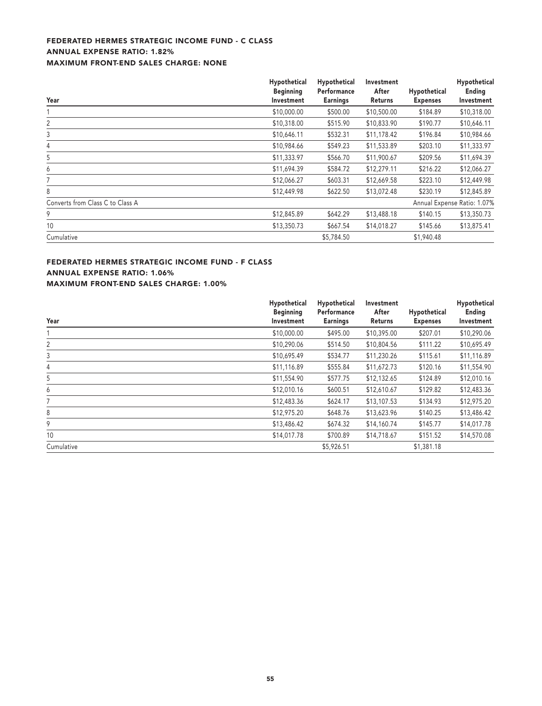## **FEDERATED HERMES STRATEGIC INCOME FUND - C CLASS ANNUAL EXPENSE RATIO: 1.82% MAXIMUM FRONT-END SALES CHARGE: NONE**

|                                  | Hypothetical<br><b>Beginning</b> | Hypothetical<br>Performance | Investment<br>After | Hypothetical    | Hypothetical<br>Ending      |
|----------------------------------|----------------------------------|-----------------------------|---------------------|-----------------|-----------------------------|
| Year                             | Investment                       | <b>Earnings</b>             | Returns             | <b>Expenses</b> | Investment                  |
|                                  | \$10,000.00                      | \$500.00                    | \$10,500.00         | \$184.89        | \$10,318.00                 |
| 2                                | \$10,318.00                      | \$515.90                    | \$10,833.90         | \$190.77        | \$10,646.11                 |
| 3                                | \$10,646.11                      | \$532.31                    | \$11,178.42         | \$196.84        | \$10,984.66                 |
| 4                                | \$10,984.66                      | \$549.23                    | \$11,533.89         | \$203.10        | \$11,333.97                 |
| 5                                | \$11,333.97                      | \$566.70                    | \$11,900.67         | \$209.56        | \$11,694.39                 |
| 6                                | \$11,694.39                      | \$584.72                    | \$12,279.11         | \$216.22        | \$12,066.27                 |
| 7                                | \$12,066.27                      | \$603.31                    | \$12,669.58         | \$223.10        | \$12,449.98                 |
| 8                                | \$12,449.98                      | \$622.50                    | \$13,072.48         | \$230.19        | \$12,845.89                 |
| Converts from Class C to Class A |                                  |                             |                     |                 | Annual Expense Ratio: 1.07% |
| 9                                | \$12,845.89                      | \$642.29                    | \$13,488.18         | \$140.15        | \$13,350.73                 |
| 10                               | \$13,350.73                      | \$667.54                    | \$14,018.27         | \$145.66        | \$13,875.41                 |
| Cumulative                       |                                  | \$5,784.50                  |                     | \$1,940.48      |                             |

## **FEDERATED HERMES STRATEGIC INCOME FUND - F CLASS ANNUAL EXPENSE RATIO: 1.06% MAXIMUM FRONT-END SALES CHARGE: 1.00%**

|            | Hypothetical     | Hypothetical    | Investment  |                 | Hypothetical |  |
|------------|------------------|-----------------|-------------|-----------------|--------------|--|
|            | <b>Beginning</b> | Performance     | After       | Hypothetical    | Ending       |  |
| Year       | Investment       | <b>Earnings</b> | Returns     | <b>Expenses</b> | Investment   |  |
|            | \$10,000.00      | \$495.00        | \$10,395.00 | \$207.01        | \$10,290.06  |  |
| 2          | \$10,290.06      | \$514.50        | \$10,804.56 | \$111.22        | \$10,695.49  |  |
| 3          | \$10,695.49      | \$534.77        | \$11,230.26 | \$115.61        | \$11,116.89  |  |
| 4          | \$11,116.89      | \$555.84        | \$11,672.73 | \$120.16        | \$11,554.90  |  |
| 5          | \$11,554.90      | \$577.75        | \$12,132.65 | \$124.89        | \$12,010.16  |  |
| 6          | \$12,010.16      | \$600.51        | \$12,610.67 | \$129.82        | \$12,483.36  |  |
| 7          | \$12,483.36      | \$624.17        | \$13,107.53 | \$134.93        | \$12,975.20  |  |
| 8          | \$12,975.20      | \$648.76        | \$13,623.96 | \$140.25        | \$13,486.42  |  |
| 9          | \$13,486.42      | \$674.32        | \$14,160.74 | \$145.77        | \$14,017.78  |  |
| 10         | \$14,017.78      | \$700.89        | \$14,718.67 | \$151.52        | \$14,570.08  |  |
| Cumulative |                  | \$5,926.51      |             | \$1,381.18      |              |  |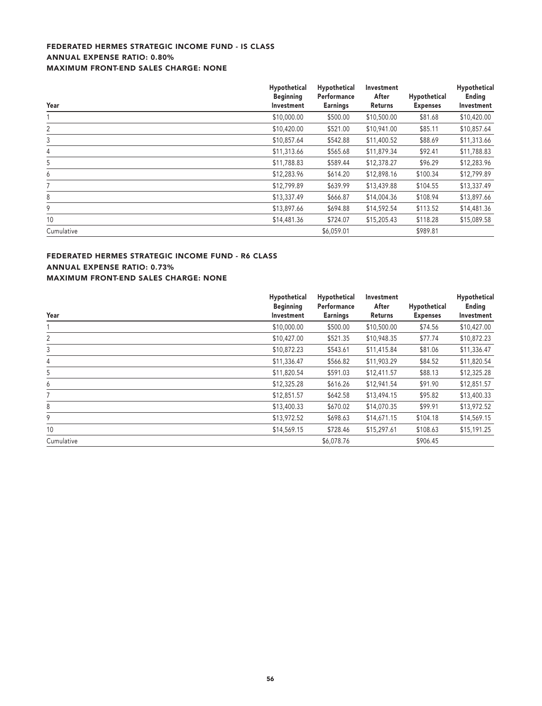## **FEDERATED HERMES STRATEGIC INCOME FUND - IS CLASS ANNUAL EXPENSE RATIO: 0.80% MAXIMUM FRONT-END SALES CHARGE: NONE**

| Year           | Hypothetical<br><b>Beginning</b><br>Investment | Hypothetical<br>Performance<br><b>Earnings</b> | Investment<br>After<br>Returns | Hypothetical<br><b>Expenses</b> | Hypothetical<br>Ending<br>Investment |
|----------------|------------------------------------------------|------------------------------------------------|--------------------------------|---------------------------------|--------------------------------------|
|                | \$10,000.00                                    | \$500.00                                       | \$10,500.00                    | \$81.68                         | \$10,420.00                          |
| 2              | \$10,420.00                                    | \$521.00                                       | \$10,941.00                    | \$85.11                         | \$10,857.64                          |
| 3              | \$10,857.64                                    | \$542.88                                       | \$11,400.52                    | \$88.69                         | \$11,313.66                          |
| $\overline{4}$ | \$11,313.66                                    | \$565.68                                       | \$11,879.34                    | \$92.41                         | \$11,788.83                          |
| 5              | \$11,788.83                                    | \$589.44                                       | \$12,378.27                    | \$96.29                         | \$12,283.96                          |
| 6              | \$12,283.96                                    | \$614.20                                       | \$12,898.16                    | \$100.34                        | \$12,799.89                          |
|                | \$12,799.89                                    | \$639.99                                       | \$13,439.88                    | \$104.55                        | \$13,337.49                          |
| 8              | \$13,337.49                                    | \$666.87                                       | \$14,004.36                    | \$108.94                        | \$13,897.66                          |
| 9              | \$13,897.66                                    | \$694.88                                       | \$14,592.54                    | \$113.52                        | \$14,481.36                          |
| 10             | \$14,481.36                                    | \$724.07                                       | \$15,205.43                    | \$118.28                        | \$15,089.58                          |
| Cumulative     |                                                | \$6,059.01                                     |                                | \$989.81                        |                                      |

## **FEDERATED HERMES STRATEGIC INCOME FUND - R6 CLASS ANNUAL EXPENSE RATIO: 0.73% MAXIMUM FRONT-END SALES CHARGE: NONE**

|            | Hypothetical<br><b>Beginning</b> | Hypothetical<br>Performance | Investment<br>After | Hypothetical    | Hypothetical<br>Ending |
|------------|----------------------------------|-----------------------------|---------------------|-----------------|------------------------|
| Year       | Investment                       | <b>Earnings</b>             | Returns             | <b>Expenses</b> | Investment             |
|            | \$10,000.00                      | \$500.00                    | \$10,500.00         | \$74.56         | \$10,427.00            |
| 2          | \$10,427.00                      | \$521.35                    | \$10,948.35         | \$77.74         | \$10,872.23            |
| 3          | \$10,872.23                      | \$543.61                    | \$11,415.84         | \$81.06         | \$11,336.47            |
| 4          | \$11,336.47                      | \$566.82                    | \$11,903.29         | \$84.52         | \$11,820.54            |
| 5          | \$11,820.54                      | \$591.03                    | \$12,411.57         | \$88.13         | \$12,325.28            |
| 6          | \$12,325.28                      | \$616.26                    | \$12,941.54         | \$91.90         | \$12,851.57            |
| 7          | \$12,851.57                      | \$642.58                    | \$13,494.15         | \$95.82         | \$13,400.33            |
| 8          | \$13,400.33                      | \$670.02                    | \$14,070.35         | \$99.91         | \$13,972.52            |
| 9          | \$13,972.52                      | \$698.63                    | \$14,671.15         | \$104.18        | \$14,569.15            |
| 10         | \$14,569.15                      | \$728.46                    | \$15,297.61         | \$108.63        | \$15,191.25            |
| Cumulative |                                  | \$6,078.76                  |                     | \$906.45        |                        |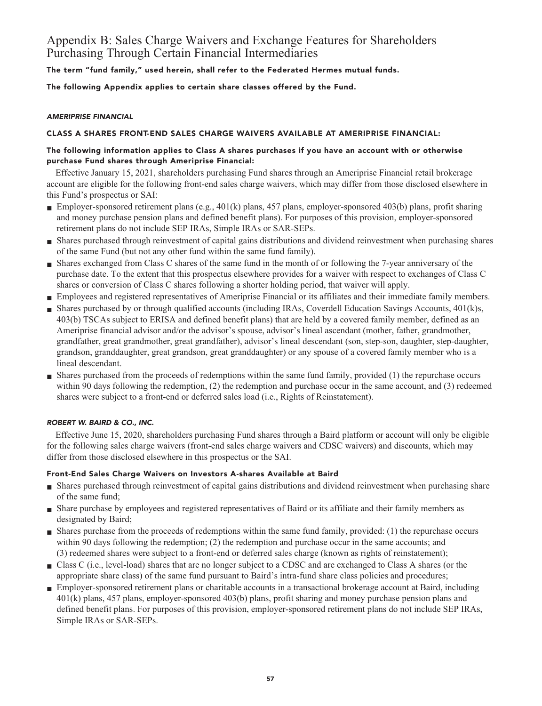## **Appendix B: Sales Charge Waivers and Exchange Features for Shareholders Purchasing Through Certain Financial Intermediaries**

**The term "fund family," used herein, shall refer to the Federated Hermes mutual funds.**

**The following Appendix applies to certain share classes offered by the Fund.**

## **AMERIPRISE FINANCIAL**

## **CLASS A SHARES FRONT-END SALES CHARGE WAIVERS AVAILABLE AT AMERIPRISE FINANCIAL:**

## **The following information applies to Class A shares purchases if you have an account with or otherwise purchase Fund shares through Ameriprise Financial:**

**Effective January 15, 2021, shareholders purchasing Fund shares through an Ameriprise Financial retail brokerage account are eligible for the following front-end sales charge waivers, which may differ from those disclosed elsewhere in this Fund's prospectus or SAI:**

- **Employer-sponsored retirement plans (e.g., 401(k) plans, 457 plans, employer-sponsored 403(b) plans, profit sharing and money purchase pension plans and defined benefit plans). For purposes of this provision, employer-sponsored retirement plans do not include SEP IRAs, Simple IRAs or SAR-SEPs.**
- **■ Shares purchased through reinvestment of capital gains distributions and dividend reinvestment when purchasing shares of the same Fund (but not any other fund within the same fund family).**
- **■ Shares exchanged from Class C shares of the same fund in the month of or following the 7-year anniversary of the purchase date. To the extent that this prospectus elsewhere provides for a waiver with respect to exchanges of Class C shares or conversion of Class C shares following a shorter holding period, that waiver will apply.**
- **■ Employees and registered representatives of Ameriprise Financial or its affiliates and their immediate family members.**
- Shares purchased by or through qualified accounts (including IRAs, Coverdell Education Savings Accounts, 401(k)s, **403(b) TSCAs subject to ERISA and defined benefit plans) that are held by a covered family member, defined as an Ameriprise financial advisor and/or the advisor's spouse, advisor's lineal ascendant (mother, father, grandmother, grandfather, great grandmother, great grandfather), advisor's lineal descendant (son, step-son, daughter, step-daughter, grandson, granddaughter, great grandson, great granddaughter) or any spouse of a covered family member who is a lineal descendant.**
- **■ Shares purchased from the proceeds of redemptions within the same fund family, provided (1) the repurchase occurs within 90 days following the redemption, (2) the redemption and purchase occur in the same account, and (3) redeemed shares were subject to a front-end or deferred sales load (i.e., Rights of Reinstatement).**

## **ROBERT W. BAIRD & CO., INC.**

**Effective June 15, 2020, shareholders purchasing Fund shares through a Baird platform or account will only be eligible for the following sales charge waivers (front-end sales charge waivers and CDSC waivers) and discounts, which may differ from those disclosed elsewhere in this prospectus or the SAI.**

## **Front-End Sales Charge Waivers on Investors A-shares Available at Baird**

- **■ Shares purchased through reinvestment of capital gains distributions and dividend reinvestment when purchasing share of the same fund;**
- **■ Share purchase by employees and registered representatives of Baird or its affiliate and their family members as designated by Baird;**
- **■ Shares purchase from the proceeds of redemptions within the same fund family, provided: (1) the repurchase occurs within 90 days following the redemption; (2) the redemption and purchase occur in the same accounts; and (3) redeemed shares were subject to a front-end or deferred sales charge (known as rights of reinstatement);**
- **■ Class C (i.e., level-load) shares that are no longer subject to a CDSC and are exchanged to Class A shares (or the appropriate share class) of the same fund pursuant to Baird's intra-fund share class policies and procedures;**
- **Employer-sponsored retirement plans or charitable accounts in a transactional brokerage account at Baird, including 401(k) plans, 457 plans, employer-sponsored 403(b) plans, profit sharing and money purchase pension plans and defined benefit plans. For purposes of this provision, employer-sponsored retirement plans do not include SEP IRAs, Simple IRAs or SAR-SEPs.**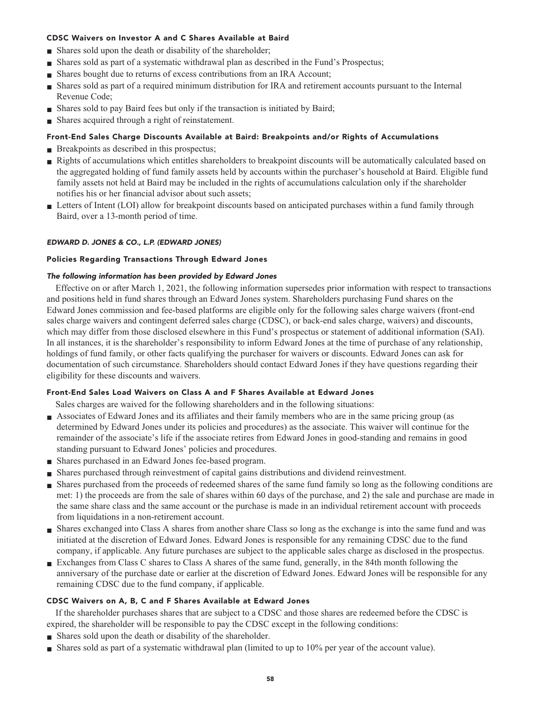## **CDSC Waivers on Investor A and C Shares Available at Baird**

- **■ Shares sold upon the death or disability of the shareholder;**
- **■ Shares sold as part of a systematic withdrawal plan as described in the Fund's Prospectus;**
- **Shares bought due to returns of excess contributions from an IRA Account;**
- **■ Shares sold as part of a required minimum distribution for IRA and retirement accounts pursuant to the Internal Revenue Code;**
- **Shares sold to pay Baird fees but only if the transaction is initiated by Baird;**
- **■ Shares acquired through a right of reinstatement.**

## **Front-End Sales Charge Discounts Available at Baird: Breakpoints and/or Rights of Accumulations**

- **Breakpoints as described in this prospectus;**
- **Rights of accumulations which entitles shareholders to breakpoint discounts will be automatically calculated based on the aggregated holding of fund family assets held by accounts within the purchaser's household at Baird. Eligible fund family assets not held at Baird may be included in the rights of accumulations calculation only if the shareholder notifies his or her financial advisor about such assets;**
- Letters of Intent (LOI) allow for breakpoint discounts based on anticipated purchases within a fund family through **Baird, over a 13-month period of time.**

## **EDWARD D. JONES & CO., L.P. (EDWARD JONES)**

## **Policies Regarding Transactions Through Edward Jones**

## **The following information has been provided by Edward Jones**

**Effective on or after March 1, 2021, the following information supersedes prior information with respect to transactions and positions held in fund shares through an Edward Jones system. Shareholders purchasing Fund shares on the Edward Jones commission and fee-based platforms are eligible only for the following sales charge waivers (front-end sales charge waivers and contingent deferred sales charge (CDSC), or back-end sales charge, waivers) and discounts, which may differ from those disclosed elsewhere in this Fund's prospectus or statement of additional information (SAI). In all instances, it is the shareholder's responsibility to inform Edward Jones at the time of purchase of any relationship, holdings of fund family, or other facts qualifying the purchaser for waivers or discounts. Edward Jones can ask for documentation of such circumstance. Shareholders should contact Edward Jones if they have questions regarding their eligibility for these discounts and waivers.**

## **Front-End Sales Load Waivers on Class A and F Shares Available at Edward Jones**

**Sales charges are waived for the following shareholders and in the following situations:**

- **■ Associates of Edward Jones and its affiliates and their family members who are in the same pricing group (as determined by Edward Jones under its policies and procedures) as the associate. This waiver will continue for the remainder of the associate's life if the associate retires from Edward Jones in good-standing and remains in good standing pursuant to Edward Jones' policies and procedures.**
- **■ Shares purchased in an Edward Jones fee-based program.**
- **■ Shares purchased through reinvestment of capital gains distributions and dividend reinvestment.**
- **■ Shares purchased from the proceeds of redeemed shares of the same fund family so long as the following conditions are met: 1) the proceeds are from the sale of shares within 60 days of the purchase, and 2) the sale and purchase are made in the same share class and the same account or the purchase is made in an individual retirement account with proceeds from liquidations in a non-retirement account.**
- **■ Shares exchanged into Class A shares from another share Class so long as the exchange is into the same fund and was initiated at the discretion of Edward Jones. Edward Jones is responsible for any remaining CDSC due to the fund company, if applicable. Any future purchases are subject to the applicable sales charge as disclosed in the prospectus.**
- **Exchanges from Class C shares to Class A shares of the same fund, generally, in the 84th month following the anniversary of the purchase date or earlier at the discretion of Edward Jones. Edward Jones will be responsible for any remaining CDSC due to the fund company, if applicable.**

## **CDSC Waivers on A, B, C and F Shares Available at Edward Jones**

**If the shareholder purchases shares that are subject to a CDSC and those shares are redeemed before the CDSC is expired, the shareholder will be responsible to pay the CDSC except in the following conditions:**

- **■ Shares sold upon the death or disability of the shareholder.**
- **■ Shares sold as part of a systematic withdrawal plan (limited to up to 10% per year of the account value).**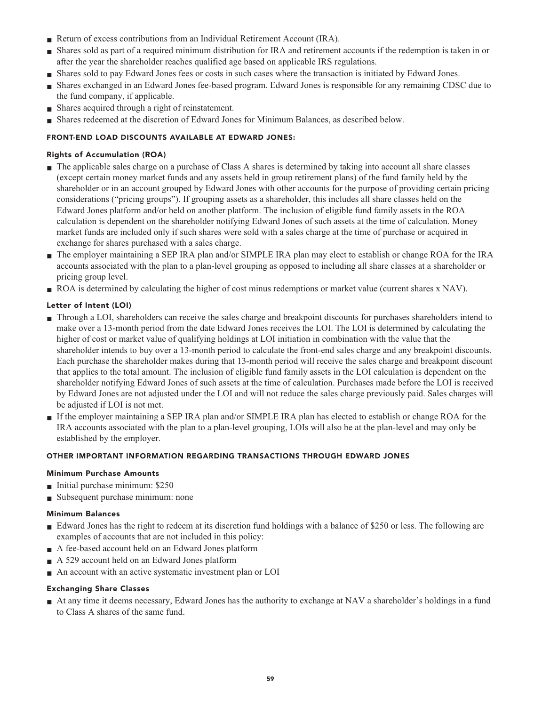- **Return of excess contributions from an Individual Retirement Account (IRA).**
- **■ Shares sold as part of a required minimum distribution for IRA and retirement accounts if the redemption is taken in or after the year the shareholder reaches qualified age based on applicable IRS regulations.**
- **■ Shares sold to pay Edward Jones fees or costs in such cases where the transaction is initiated by Edward Jones.**
- **■ Shares exchanged in an Edward Jones fee-based program. Edward Jones is responsible for any remaining CDSC due to the fund company, if applicable.**
- **Shares acquired through a right of reinstatement.**
- **■ Shares redeemed at the discretion of Edward Jones for Minimum Balances, as described below.**

## **FRONT-END LOAD DISCOUNTS AVAILABLE AT EDWARD JONES:**

## **Rights of Accumulation (ROA)**

- **■ The applicable sales charge on a purchase of Class A shares is determined by taking into account all share classes (except certain money market funds and any assets held in group retirement plans) of the fund family held by the shareholder or in an account grouped by Edward Jones with other accounts for the purpose of providing certain pricing considerations ("pricing groups"). If grouping assets as a shareholder, this includes all share classes held on the Edward Jones platform and/or held on another platform. The inclusion of eligible fund family assets in the ROA calculation is dependent on the shareholder notifying Edward Jones of such assets at the time of calculation. Money market funds are included only if such shares were sold with a sales charge at the time of purchase or acquired in exchange for shares purchased with a sales charge.**
- **■ The employer maintaining a SEP IRA plan and/or SIMPLE IRA plan may elect to establish or change ROA for the IRA accounts associated with the plan to a plan-level grouping as opposed to including all share classes at a shareholder or pricing group level.**
- **ROA** is determined by calculating the higher of cost minus redemptions or market value (current shares x NAV).

## **Letter of Intent (LOI)**

- **■ Through a LOI, shareholders can receive the sales charge and breakpoint discounts for purchases shareholders intend to make over a 13-month period from the date Edward Jones receives the LOI. The LOI is determined by calculating the higher of cost or market value of qualifying holdings at LOI initiation in combination with the value that the shareholder intends to buy over a 13-month period to calculate the front-end sales charge and any breakpoint discounts. Each purchase the shareholder makes during that 13-month period will receive the sales charge and breakpoint discount that applies to the total amount. The inclusion of eligible fund family assets in the LOI calculation is dependent on the shareholder notifying Edward Jones of such assets at the time of calculation. Purchases made before the LOI is received by Edward Jones are not adjusted under the LOI and will not reduce the sales charge previously paid. Sales charges will be adjusted if LOI is not met.**
- **■ If the employer maintaining a SEP IRA plan and/or SIMPLE IRA plan has elected to establish or change ROA for the IRA accounts associated with the plan to a plan-level grouping, LOIs will also be at the plan-level and may only be established by the employer.**

## **OTHER IMPORTANT INFORMATION REGARDING TRANSACTIONS THROUGH EDWARD JONES**

## **Minimum Purchase Amounts**

- **■ Initial purchase minimum: \$250**
- **■ Subsequent purchase minimum: none**

## **Minimum Balances**

- **■ Edward Jones has the right to redeem at its discretion fund holdings with a balance of \$250 or less. The following are examples of accounts that are not included in this policy:**
- **■ A fee-based account held on an Edward Jones platform**
- **■ A 529 account held on an Edward Jones platform**
- **■ An account with an active systematic investment plan or LOI**

## **Exchanging Share Classes**

**■ At any time it deems necessary, Edward Jones has the authority to exchange at NAV a shareholder's holdings in a fund to Class A shares of the same fund.**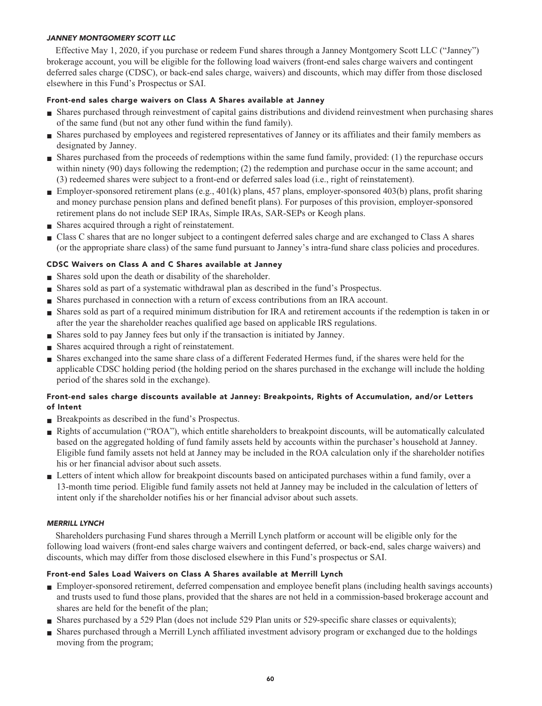## **JANNEY MONTGOMERY SCOTT LLC**

**Effective May 1, 2020, if you purchase or redeem Fund shares through a Janney Montgomery Scott LLC ("Janney") brokerage account, you will be eligible for the following load waivers (front-end sales charge waivers and contingent deferred sales charge (CDSC), or back-end sales charge, waivers) and discounts, which may differ from those disclosed elsewhere in this Fund's Prospectus or SAI.**

## **Front-end sales charge waivers on Class A Shares available at Janney**

- **■ Shares purchased through reinvestment of capital gains distributions and dividend reinvestment when purchasing shares of the same fund (but not any other fund within the fund family).**
- **■ Shares purchased by employees and registered representatives of Janney or its affiliates and their family members as designated by Janney.**
- **■ Shares purchased from the proceeds of redemptions within the same fund family, provided: (1) the repurchase occurs within ninety (90) days following the redemption; (2) the redemption and purchase occur in the same account; and (3) redeemed shares were subject to a front-end or deferred sales load (i.e., right of reinstatement).**
- **Employer-sponsored retirement plans (e.g., 401(k) plans, 457 plans, employer-sponsored 403(b) plans, profit sharing and money purchase pension plans and defined benefit plans). For purposes of this provision, employer-sponsored retirement plans do not include SEP IRAs, Simple IRAs, SAR-SEPs or Keogh plans.**
- **■ Shares acquired through a right of reinstatement.**
- **■ Class C shares that are no longer subject to a contingent deferred sales charge and are exchanged to Class A shares (or the appropriate share class) of the same fund pursuant to Janney's intra-fund share class policies and procedures.**

## **CDSC Waivers on Class A and C Shares available at Janney**

- **■ Shares sold upon the death or disability of the shareholder.**
- **■ Shares sold as part of a systematic withdrawal plan as described in the fund's Prospectus.**
- **■ Shares purchased in connection with a return of excess contributions from an IRA account.**
- **■ Shares sold as part of a required minimum distribution for IRA and retirement accounts if the redemption is taken in or after the year the shareholder reaches qualified age based on applicable IRS regulations.**
- **■ Shares sold to pay Janney fees but only if the transaction is initiated by Janney.**
- **■ Shares acquired through a right of reinstatement.**
- **■ Shares exchanged into the same share class of a different Federated Hermes fund, if the shares were held for the applicable CDSC holding period (the holding period on the shares purchased in the exchange will include the holding period of the shares sold in the exchange).**

## **Front-end sales charge discounts available at Janney: Breakpoints, Rights of Accumulation, and/or Letters of Intent**

- **■ Breakpoints as described in the fund's Prospectus.**
- **■ Rights of accumulation ("ROA"), which entitle shareholders to breakpoint discounts, will be automatically calculated based on the aggregated holding of fund family assets held by accounts within the purchaser's household at Janney. Eligible fund family assets not held at Janney may be included in the ROA calculation only if the shareholder notifies his or her financial advisor about such assets.**
- **■ Letters of intent which allow for breakpoint discounts based on anticipated purchases within a fund family, over a 13-month time period. Eligible fund family assets not held at Janney may be included in the calculation of letters of intent only if the shareholder notifies his or her financial advisor about such assets.**

## **MERRILL LYNCH**

**Shareholders purchasing Fund shares through a Merrill Lynch platform or account will be eligible only for the following load waivers (front-end sales charge waivers and contingent deferred, or back-end, sales charge waivers) and discounts, which may differ from those disclosed elsewhere in this Fund's prospectus or SAI.**

## **Front-end Sales Load Waivers on Class A Shares available at Merrill Lynch**

- **■ Employer-sponsored retirement, deferred compensation and employee benefit plans (including health savings accounts) and trusts used to fund those plans, provided that the shares are not held in a commission-based brokerage account and shares are held for the benefit of the plan;**
- **Shares purchased by a 529 Plan (does not include 529 Plan units or 529-specific share classes or equivalents);**
- **■ Shares purchased through a Merrill Lynch affiliated investment advisory program or exchanged due to the holdings moving from the program;**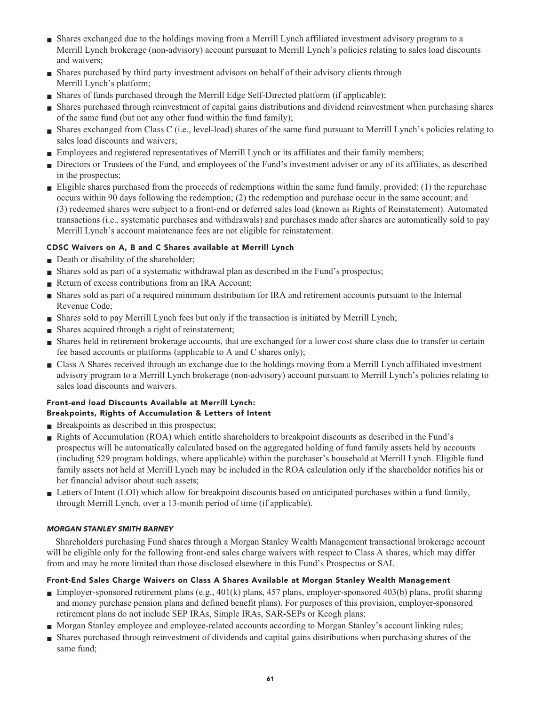- **■ Shares exchanged due to the holdings moving from a Merrill Lynch affiliated investment advisory program to a Merrill Lynch brokerage (non-advisory) account pursuant to Merrill Lynch's policies relating to sales load discounts and waivers;**
- **■ Shares purchased by third party investment advisors on behalf of their advisory clients through Merrill Lynch's platform;**
- **Shares of funds purchased through the Merrill Edge Self-Directed platform (if applicable);**
- **■ Shares purchased through reinvestment of capital gains distributions and dividend reinvestment when purchasing shares of the same fund (but not any other fund within the fund family);**
- **■ Shares exchanged from Class C (i.e., level-load) shares of the same fund pursuant to Merrill Lynch's policies relating to sales load discounts and waivers;**
- **■ Employees and registered representatives of Merrill Lynch or its affiliates and their family members;**
- **■ Directors or Trustees of the Fund, and employees of the Fund's investment adviser or any of its affiliates, as described in the prospectus;**
- **■ Eligible shares purchased from the proceeds of redemptions within the same fund family, provided: (1) the repurchase occurs within 90 days following the redemption; (2) the redemption and purchase occur in the same account; and (3) redeemed shares were subject to a front-end or deferred sales load (known as Rights of Reinstatement). Automated transactions (i.e., systematic purchases and withdrawals) and purchases made after shares are automatically sold to pay Merrill Lynch's account maintenance fees are not eligible for reinstatement.**

## **CDSC Waivers on A, B and C Shares available at Merrill Lynch**

- **Death or disability of the shareholder;**
- **Shares sold as part of a systematic withdrawal plan as described in the Fund's prospectus;**
- **Return of excess contributions from an IRA Account;**
- **■ Shares sold as part of a required minimum distribution for IRA and retirement accounts pursuant to the Internal Revenue Code;**
- **■ Shares sold to pay Merrill Lynch fees but only if the transaction is initiated by Merrill Lynch;**
- **■ Shares acquired through a right of reinstatement;**
- **Shares held in retirement brokerage accounts, that are exchanged for a lower cost share class due to transfer to certain fee based accounts or platforms (applicable to A and C shares only);**
- **■ Class A Shares received through an exchange due to the holdings moving from a Merrill Lynch affiliated investment advisory program to a Merrill Lynch brokerage (non-advisory) account pursuant to Merrill Lynch's policies relating to sales load discounts and waivers.**

## **Front-end load Discounts Available at Merrill Lynch: Breakpoints, Rights of Accumulation & Letters of Intent**

- **■ Breakpoints as described in this prospectus;**
- **■ Rights of Accumulation (ROA) which entitle shareholders to breakpoint discounts as described in the Fund's prospectus will be automatically calculated based on the aggregated holding of fund family assets held by accounts (including 529 program holdings, where applicable) within the purchaser's household at Merrill Lynch. Eligible fund family assets not held at Merrill Lynch may be included in the ROA calculation only if the shareholder notifies his or her financial advisor about such assets;**
- Letters of Intent (LOI) which allow for breakpoint discounts based on anticipated purchases within a fund family, **through Merrill Lynch, over a 13-month period of time (if applicable).**

## **MORGAN STANLEY SMITH BARNEY**

**Shareholders purchasing Fund shares through a Morgan Stanley Wealth Management transactional brokerage account will be eligible only for the following front-end sales charge waivers with respect to Class A shares, which may differ from and may be more limited than those disclosed elsewhere in this Fund's Prospectus or SAI.**

## **Front-End Sales Charge Waivers on Class A Shares Available at Morgan Stanley Wealth Management**

- **Employer-sponsored retirement plans (e.g., 401(k) plans, 457 plans, employer-sponsored 403(b) plans, profit sharing and money purchase pension plans and defined benefit plans). For purposes of this provision, employer-sponsored retirement plans do not include SEP IRAs, Simple IRAs, SAR-SEPs or Keogh plans;**
- **■ Morgan Stanley employee and employee-related accounts according to Morgan Stanley's account linking rules;**
- **■ Shares purchased through reinvestment of dividends and capital gains distributions when purchasing shares of the same fund;**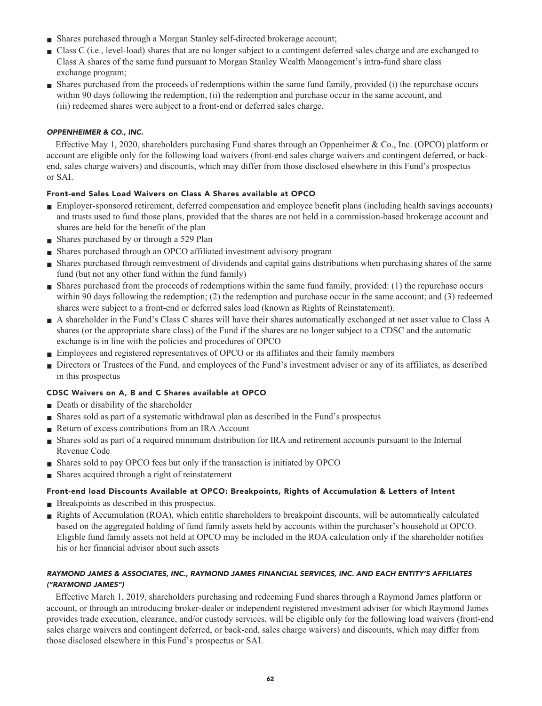- **■ Shares purchased through a Morgan Stanley self-directed brokerage account;**
- **■ Class C (i.e., level-load) shares that are no longer subject to a contingent deferred sales charge and are exchanged to Class A shares of the same fund pursuant to Morgan Stanley Wealth Management's intra-fund share class exchange program;**
- **■ Shares purchased from the proceeds of redemptions within the same fund family, provided (i) the repurchase occurs within 90 days following the redemption, (ii) the redemption and purchase occur in the same account, and (iii) redeemed shares were subject to a front-end or deferred sales charge.**

## **OPPENHEIMER & CO., INC.**

**Effective May 1, 2020, shareholders purchasing Fund shares through an Oppenheimer & Co., Inc. (OPCO) platform or account are eligible only for the following load waivers (front-end sales charge waivers and contingent deferred, or backend, sales charge waivers) and discounts, which may differ from those disclosed elsewhere in this Fund's prospectus or SAI.**

## **Front-end Sales Load Waivers on Class A Shares available at OPCO**

- **■ Employer-sponsored retirement, deferred compensation and employee benefit plans (including health savings accounts) and trusts used to fund those plans, provided that the shares are not held in a commission-based brokerage account and shares are held for the benefit of the plan**
- **■ Shares purchased by or through a 529 Plan**
- **■ Shares purchased through an OPCO affiliated investment advisory program**
- **■ Shares purchased through reinvestment of dividends and capital gains distributions when purchasing shares of the same fund (but not any other fund within the fund family)**
- **■ Shares purchased from the proceeds of redemptions within the same fund family, provided: (1) the repurchase occurs within 90 days following the redemption; (2) the redemption and purchase occur in the same account; and (3) redeemed shares were subject to a front-end or deferred sales load (known as Rights of Reinstatement).**
- **■ A shareholder in the Fund's Class C shares will have their shares automatically exchanged at net asset value to Class A shares (or the appropriate share class) of the Fund if the shares are no longer subject to a CDSC and the automatic exchange is in line with the policies and procedures of OPCO**
- **Employees and registered representatives of OPCO or its affiliates and their family members**
- **■ Directors or Trustees of the Fund, and employees of the Fund's investment adviser or any of its affiliates, as described in this prospectus**

## **CDSC Waivers on A, B and C Shares available at OPCO**

- **Death or disability of the shareholder**
- **■ Shares sold as part of a systematic withdrawal plan as described in the Fund's prospectus**
- **Return of excess contributions from an IRA Account**
- **■ Shares sold as part of a required minimum distribution for IRA and retirement accounts pursuant to the Internal Revenue Code**
- **■ Shares sold to pay OPCO fees but only if the transaction is initiated by OPCO**
- **Shares acquired through a right of reinstatement**

## **Front-end load Discounts Available at OPCO: Breakpoints, Rights of Accumulation & Letters of Intent**

- **Breakpoints as described in this prospectus.**
- **Rights of Accumulation (ROA), which entitle shareholders to breakpoint discounts, will be automatically calculated based on the aggregated holding of fund family assets held by accounts within the purchaser's household at OPCO. Eligible fund family assets not held at OPCO may be included in the ROA calculation only if the shareholder notifies his or her financial advisor about such assets**

## **RAYMOND JAMES & ASSOCIATES, INC., RAYMOND JAMES FINANCIAL SERVICES, INC. AND EACH ENTITY'S AFFILIATES ("RAYMOND JAMES")**

**Effective March 1, 2019, shareholders purchasing and redeeming Fund shares through a Raymond James platform or account, or through an introducing broker-dealer or independent registered investment adviser for which Raymond James provides trade execution, clearance, and/or custody services, will be eligible only for the following load waivers (front-end sales charge waivers and contingent deferred, or back-end, sales charge waivers) and discounts, which may differ from those disclosed elsewhere in this Fund's prospectus or SAI.**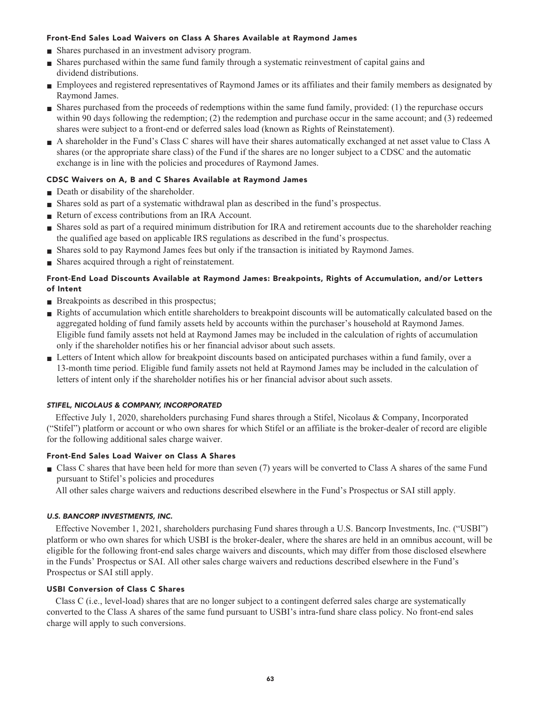## **Front-End Sales Load Waivers on Class A Shares Available at Raymond James**

- **■ Shares purchased in an investment advisory program.**
- **■ Shares purchased within the same fund family through a systematic reinvestment of capital gains and dividend distributions.**
- **■ Employees and registered representatives of Raymond James or its affiliates and their family members as designated by Raymond James.**
- **■ Shares purchased from the proceeds of redemptions within the same fund family, provided: (1) the repurchase occurs within 90 days following the redemption; (2) the redemption and purchase occur in the same account; and (3) redeemed shares were subject to a front-end or deferred sales load (known as Rights of Reinstatement).**
- **■ A shareholder in the Fund's Class C shares will have their shares automatically exchanged at net asset value to Class A shares (or the appropriate share class) of the Fund if the shares are no longer subject to a CDSC and the automatic exchange is in line with the policies and procedures of Raymond James.**

## **CDSC Waivers on A, B and C Shares Available at Raymond James**

- **Death or disability of the shareholder.**
- **■ Shares sold as part of a systematic withdrawal plan as described in the fund's prospectus.**
- **■ Return of excess contributions from an IRA Account.**
- **■ Shares sold as part of a required minimum distribution for IRA and retirement accounts due to the shareholder reaching the qualified age based on applicable IRS regulations as described in the fund's prospectus.**
- **■ Shares sold to pay Raymond James fees but only if the transaction is initiated by Raymond James.**
- **■ Shares acquired through a right of reinstatement.**

## **Front-End Load Discounts Available at Raymond James: Breakpoints, Rights of Accumulation, and/or Letters of Intent**

- **Breakpoints as described in this prospectus;**
- **■ Rights of accumulation which entitle shareholders to breakpoint discounts will be automatically calculated based on the aggregated holding of fund family assets held by accounts within the purchaser's household at Raymond James. Eligible fund family assets not held at Raymond James may be included in the calculation of rights of accumulation only if the shareholder notifies his or her financial advisor about such assets.**
- **■ Letters of Intent which allow for breakpoint discounts based on anticipated purchases within a fund family, over a 13-month time period. Eligible fund family assets not held at Raymond James may be included in the calculation of letters of intent only if the shareholder notifies his or her financial advisor about such assets.**

## **STIFEL, NICOLAUS & COMPANY, INCORPORATED**

**Effective July 1, 2020, shareholders purchasing Fund shares through a Stifel, Nicolaus & Company, Incorporated ("Stifel") platform or account or who own shares for which Stifel or an affiliate is the broker-dealer of record are eligible for the following additional sales charge waiver.**

## **Front-End Sales Load Waiver on Class A Shares**

- **■ Class C shares that have been held for more than seven (7) years will be converted to Class A shares of the same Fund pursuant to Stifel's policies and procedures**
	- **All other sales charge waivers and reductions described elsewhere in the Fund's Prospectus or SAI still apply.**

## **U.S. BANCORP INVESTMENTS, INC.**

**Effective November 1, 2021, shareholders purchasing Fund shares through a U.S. Bancorp Investments, Inc. ("USBI") platform or who own shares for which USBI is the broker-dealer, where the shares are held in an omnibus account, will be eligible for the following front-end sales charge waivers and discounts, which may differ from those disclosed elsewhere in the Funds' Prospectus or SAI. All other sales charge waivers and reductions described elsewhere in the Fund's Prospectus or SAI still apply.**

## **USBI Conversion of Class C Shares**

**Class C (i.e., level-load) shares that are no longer subject to a contingent deferred sales charge are systematically converted to the Class A shares of the same fund pursuant to USBI's intra-fund share class policy. No front-end sales charge will apply to such conversions.**